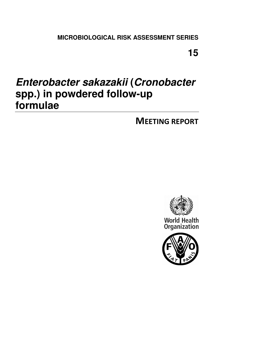**15** 

## **Enterobacter sakazakii (Cronobacter spp.) in powdered follow-up formulae**

MEETING REPORT



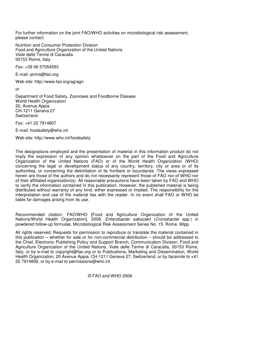For further information on the joint FAO/WHO activities on microbiological risk assessment, please contact:

Nutrition and Consumer Protection Division Food and Agriculture Organization of the United Nations Viale delle Terme di Caracalla 00153 Rome, Italy

Fax: +39 06 57054593

E-mail: jemra@fao.org

Web site: http://www.fao.org/ag/agn

or

Department of Food Safety, Zoonoses and Foodborne Disease World Health Organization 20, Avenue Appia CH-1211 Geneva 27 Switzerland

Fax: +41 22 7914807

E-mail: foodsafety@who.int

Web site: http://www.who.int/foodsafety

The designations employed and the presentation of material in this information product do not imply the expression of any opinion whatsoever on the part of the Food and Agriculture Organization of the United Nations (FAO) or of the World Health Organization (WHO) concerning the legal or development status of any country, territory, city or area or of its authorities, or concerning the delimitation of its frontiers or boundaries. The views expressed herein are those of the authors and do not necessarily represent those of FAO nor of WHO nor of their affiliated organization(s). All reasonable precautions have been taken by FAO and WHO to verify the information contained in this publication. However, the published material is being distributed without warranty of any kind, either expressed or implied. The responsibility for the interpretation and use of the material lies with the reader. In no event shall FAO or WHO be liable for damages arising from its use.

Recommended citation: FAO/WHO [Food and Agriculture Organization of the United Nations/World Health Organization]. 2008. Enterobacter sakazakii (Cronobacter spp.) in powdered follow-up formulae. Microbiological Risk Assessment Series No. 15. Rome. 90pp.

All rights reserved. Requests for permission to reproduce or translate the material contained in this publication – whether for sale or for non-commercial distribution – should be addressed to the Chief, Electronic Publishing Policy and Support Branch, Communication Division, Food and Agriculture Organization of the United Nations, Viale delle Terme di Caracalla, 00153 Rome, Italy, or by e-mail to copyright@fao.org or to Publications, Marketing and Dissemination, World Health Organization, 20 Avenue Appia, CH-1211 Geneva 27, Switzerland, or by facsimile to +41 22 7914806, or by e-mail to permissions@who.int.

© FAO and WHO 2008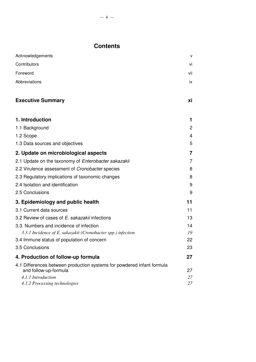## **Contents**

| Acknowledgements                                                       | v        |
|------------------------------------------------------------------------|----------|
| Contributors                                                           | vi       |
| Foreword                                                               | vii      |
| Abbreviations                                                          | ix       |
|                                                                        |          |
| <b>Executive Summary</b>                                               | хi       |
|                                                                        |          |
| 1. Introduction                                                        | ı        |
| 1.1 Background                                                         | 2        |
| 1.2 Scope                                                              | 4        |
| 1.3 Data sources and objectives                                        | 5        |
| 2. Update on microbiological aspects                                   | 7        |
| 2.1 Update on the taxonomy of Enterobacter sakazakii                   | 7        |
| 2.2 Virulence assessment of <i>Cronobacter</i> species                 | 8        |
| 2.3 Regulatory implications of taxonomic changes                       | 8        |
| 2.4 Isolation and identification                                       | 9        |
| 2.5 Conclusions                                                        | 9        |
| 3. Epidemiology and public health                                      | 11       |
| 3.1 Current data sources                                               | 11       |
| 3.2 Review of cases of E. sakazakii infections                         | 13       |
| 3.3. Numbers and incidence of infection                                | 14       |
| 3.3.1 Incidence of E. sakazakii (Cronobacter spp.) infection           | 19       |
| 3.4 Immune status of population of concern                             | 22       |
| 3.5 Conclusions                                                        | 23       |
| 4. Production of follow-up formula                                     | 27       |
| 4.1 Differences between production systems for powdered infant formula |          |
| and follow-up-formula<br>4.1.1 Introduction                            | 27<br>27 |
| 4.1.2 Processing technologies                                          | 27       |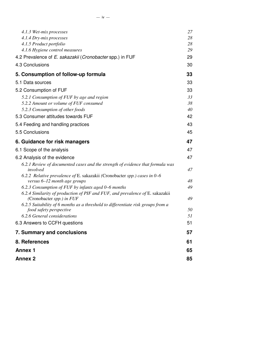| 4.1.3 Wet-mix processes                                                                                      | 27       |
|--------------------------------------------------------------------------------------------------------------|----------|
| 4.1.4 Dry-mix processes                                                                                      | 28       |
| 4.1.5 Product portfolio                                                                                      | 28       |
| 4.1.6 Hygiene control measures                                                                               | 29       |
| 4.2 Prevalence of E. sakazakii (Cronobacter spp.) in FUF                                                     | 29       |
| 4.3 Conclusions                                                                                              | 30       |
| 5. Consumption of follow-up formula                                                                          | 33       |
| 5.1 Data sources                                                                                             | 33       |
| 5.2 Consumption of FUF                                                                                       | 33       |
| 5.2.1 Consumption of FUF by age and region                                                                   | 33       |
| 5.2.2 Amount or volume of FUF consumed                                                                       | 38       |
| 5.2.3 Consumption of other foods                                                                             | 40       |
| 5.3 Consumer attitudes towards FUF                                                                           | 42       |
| 5.4 Feeding and handling practices                                                                           | 43       |
| 5.5 Conclusions                                                                                              | 45       |
| 6. Guidance for risk managers                                                                                | 47       |
| 6.1 Scope of the analysis                                                                                    | 47       |
| 6.2 Analysis of the evidence                                                                                 | 47       |
| 6.2.1 Review of documented cases and the strength of evidence that formula was<br>involved                   | 47       |
| 6.2.2 Relative prevalence of E. sakazakii (Cronobacter spp.) cases in 0-6                                    |          |
| versus 6–12 month age groups<br>6.2.3 Consumption of FUF by infants aged 0-6 months                          | 48<br>49 |
| 6.2.4 Similarity of production of PIF and FUF, and prevalence of E. sakazakii<br>(Cronobacter spp.) in $FUF$ | 49       |
| 6.2.5 Suitability of 6 months as a threshold to differentiate risk groups from a                             |          |
| food safety perspective                                                                                      | 50       |
| 6.2.6 General considerations                                                                                 | 51       |
| 6.3 Answers to CCFH questions                                                                                | 51       |
| 7. Summary and conclusions                                                                                   | 57       |
| 8. References                                                                                                | 61       |
| <b>Annex 1</b>                                                                                               | 65       |
| <b>Annex 2</b>                                                                                               | 85       |
|                                                                                                              |          |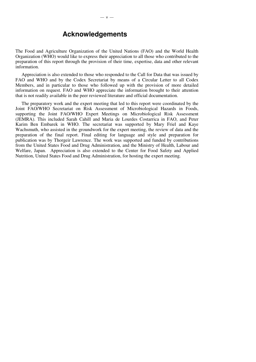## **Acknowledgements**

The Food and Agriculture Organization of the United Nations (FAO) and the World Health Organization (WHO) would like to express their appreciation to all those who contributed to the preparation of this report through the provision of their time, expertise, data and other relevant information.

 $-$  v  $-$ 

Appreciation is also extended to those who responded to the Call for Data that was issued by FAO and WHO and by the Codex Secretariat by means of a Circular Letter to all Codex Members, and in particular to those who followed up with the provision of more detailed information on request. FAO and WHO appreciate the information brought to their attention that is not readily available in the peer reviewed literature and official documentation.

The preparatory work and the expert meeting that led to this report were coordinated by the Joint FAO/WHO Secretariat on Risk Assessment of Microbiological Hazards in Foods, supporting the Joint FAO/WHO Expert Meetings on Microbiological Risk Assessment (JEMRA). This included Sarah Cahill and Maria de Lourdes Costarrica in FAO, and Peter Karim Ben Embarek in WHO. The secretariat was supported by Mary Friel and Kaye Wachsmuth, who assisted in the groundwork for the expert meeting, the review of data and the preparation of the final report. Final editing for language and style and preparation for publication was by Thorgeir Lawrence. The work was supported and funded by contributions from the United States Food and Drug Administration, and the Ministry of Health, Labour and Welfare, Japan. Appreciation is also extended to the Center for Food Safety and Applied Nutrition, United States Food and Drug Administration, for hosting the expert meeting.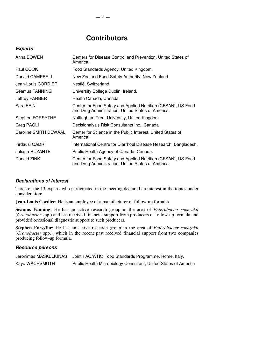## **Contributors**

#### **Experts**

| Anna BOWEN            | Centers for Disease Control and Prevention, United States of<br>America.                                            |
|-----------------------|---------------------------------------------------------------------------------------------------------------------|
| Paul COOK             | Food Standards Agency, United Kingdom.                                                                              |
| Donald CAMPBELL       | New Zealand Food Safety Authority, New Zealand.                                                                     |
| Jean-Louis CORDIER    | Nestlé, Switzerland.                                                                                                |
| Séamus FANNING        | University College Dublin, Ireland.                                                                                 |
| Jeffrey FARBER        | Health Canada, Canada.                                                                                              |
| Sara FEIN             | Center for Food Safety and Applied Nutrition (CFSAN), US Food<br>and Drug Administration, United States of America. |
| Stephen FORSYTHE      | Nottingham Trent University, United Kingdom.                                                                        |
| Greg PAOLI            | Decisionalysis Risk Consultants Inc., Canada                                                                        |
| Caroline SMITH DEWAAL | Center for Science in the Public Interest, United States of<br>America.                                             |
| Firdausi QADRI        | International Centre for Diarrhoel Disease Research, Bangladesh.                                                    |
| Juliana RUZANTE       | Public Health Agency of Canada, Canada.                                                                             |
| Donald ZINK           | Center for Food Safety and Applied Nutrition (CFSAN), US Food<br>and Drug Administration, United States of America. |

#### **Declarations of Interest**

Three of the 13 experts who participated in the meeting declared an interest in the topics under consideration:

**Jean-Louis Cordier:** He is an employee of a manufacturer of follow-up formula.

**Séamus Fanning:** He has an active research group in the area of *Enterobacter sakazakii* (*Cronobacter* spp.) and has received financial support from producers of follow-up formula and provided occasional diagnostic support to such producers.

**Stephen Forsythe**: He has an active research group in the area of *Enterobacter sakazakii* (*Cronobacter* spp.), which in the recent past received financial support from two companies producing follow-up formula.

#### **Resource persons**

| Jeronimas MASKELIUNAS | Joint FAO/WHO Food Standards Programme, Rome, Italy.            |
|-----------------------|-----------------------------------------------------------------|
| Kaye WACHSMUTH        | Public Health Microbiology Consultant, United States of America |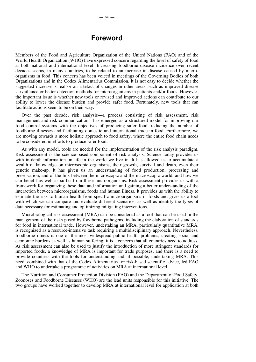## **Foreword**

Members of the Food and Agriculture Organization of the United Nations (FAO) and of the World Health Organization (WHO) have expressed concern regarding the level of safety of food at both national and international level. Increasing foodborne disease incidence over recent decades seems, in many countries, to be related to an increase in disease caused by microorganisms in food. This concern has been voiced in meetings of the Governing Bodies of both Organizations and in the Codex Alimentarius Commission. It is not easy to decide whether the suggested increase is real or an artefact of changes in other areas, such as improved disease surveillance or better detection methods for microorganisms in patients and/or foods. However, the important issue is whether new tools or revised and improved actions can contribute to our ability to lower the disease burden and provide safer food. Fortunately, new tools that can facilitate actions seem to be on their way.

Over the past decade, risk analysis—a process consisting of risk assessment, risk management and risk communication—has emerged as a structured model for improving our food control systems with the objectives of producing safer food, reducing the number of foodborne illnesses and facilitating domestic and international trade in food. Furthermore, we are moving towards a more holistic approach to food safety, where the entire food chain needs to be considered in efforts to produce safer food.

As with any model, tools are needed for the implementation of the risk analysis paradigm. Risk assessment is the science-based component of risk analysis. Science today provides us with in-depth information on life in the world we live in. It has allowed us to accumulate a wealth of knowledge on microscopic organisms, their growth, survival and death, even their genetic make-up. It has given us an understanding of food production, processing and preservation, and of the link between the microscopic and the macroscopic world, and how we can benefit as well as suffer from these microorganisms. Risk assessment provides us with a framework for organizing these data and information and gaining a better understanding of the interaction between microorganisms, foods and human illness. It provides us with the ability to estimate the risk to human health from specific microorganisms in foods and gives us a tool with which we can compare and evaluate different scenarios, as well as identify the types of data necessary for estimating and optimizing mitigating interventions.

Microbiological risk assessment (MRA) can be considered as a tool that can be used in the management of the risks posed by foodborne pathogens, including the elaboration of standards for food in international trade. However, undertaking an MRA, particularly quantitative MRA, is recognized as a resource-intensive task requiring a multidisciplinary approach. Nevertheless, foodborne illness is one of the most widespread public health problems, creating social and economic burdens as well as human suffering; it is a concern that all countries need to address. As risk assessment can also be used to justify the introduction of more stringent standards for imported foods, a knowledge of MRA is important for trade purposes, and there is a need to provide countries with the tools for understanding and, if possible, undertaking MRA. This need, combined with that of the Codex Alimentarius for risk-based scientific advice, led FAO and WHO to undertake a programme of activities on MRA at international level.

The Nutrition and Consumer Protection Division (FAO) and the Department of Food Safety, Zoonoses and Foodborne Diseases (WHO) are the lead units responsible for this initiative. The two groups have worked together to develop MRA at international level for application at both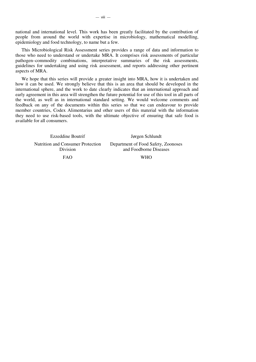national and international level. This work has been greatly facilitated by the contribution of people from around the world with expertise in microbiology, mathematical modelling, epidemiology and food technology, to name but a few.

This Microbiological Risk Assessment series provides a range of data and information to those who need to understand or undertake MRA. It comprises risk assessments of particular pathogen–commodity combinations, interpretative summaries of the risk assessments, guidelines for undertaking and using risk assessment, and reports addressing other pertinent aspects of MRA.

We hope that this series will provide a greater insight into MRA, how it is undertaken and how it can be used. We strongly believe that this is an area that should be developed in the international sphere, and the work to date clearly indicates that an international approach and early agreement in this area will strengthen the future potential for use of this tool in all parts of the world, as well as in international standard setting. We would welcome comments and feedback on any of the documents within this series so that we can endeavour to provide member countries, Codex Alimentarius and other users of this material with the information they need to use risk-based tools, with the ultimate objective of ensuring that safe food is available for all consumers.

| Ezzeddine Boutrif                             | Jørgen Schlundt                                               |
|-----------------------------------------------|---------------------------------------------------------------|
| Nutrition and Consumer Protection<br>Division | Department of Food Safety, Zoonoses<br>and Foodborne Diseases |
| <b>FAO</b>                                    | <b>WHO</b>                                                    |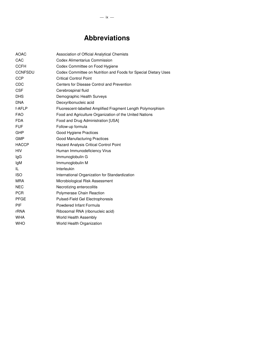## **Abbreviations**

| AOAC           | Association of Official Analytical Chemists                     |
|----------------|-----------------------------------------------------------------|
| CAC            | Codex Alimentarius Commission                                   |
| <b>CCFH</b>    | Codex Committee on Food Hygiene                                 |
| <b>CCNFSDU</b> | Codex Committee on Nutrition and Foods for Special Dietary Uses |
| <b>CCP</b>     | <b>Critical Control Point</b>                                   |
| <b>CDC</b>     | Centers for Disease Control and Prevention                      |
| <b>CSF</b>     | Cerebrospinal fluid                                             |
| <b>DHS</b>     | Demographic Health Surveys                                      |
| <b>DNA</b>     | Deoxyribonucleic acid                                           |
| f-AFLP         | Fluorescent-labelled Amplified Fragment Length Polymorphism     |
| <b>FAO</b>     | Food and Agriculture Organization of the United Nations         |
| <b>FDA</b>     | Food and Drug Administration [USA]                              |
| <b>FUF</b>     | Follow-up formula                                               |
| <b>GHP</b>     | Good Hygiene Practices                                          |
| <b>GMP</b>     | <b>Good Manufacturing Practices</b>                             |
| <b>HACCP</b>   | <b>Hazard Analysis Critical Control Point</b>                   |
| <b>HIV</b>     | Human Immunodeficiency Virus                                    |
| lgG            | Immunoglobulin G                                                |
| lgM            | Immunoglobulin M                                                |
| IL             | Interleukin                                                     |
| <b>ISO</b>     | International Organization for Standardization                  |
| <b>MRA</b>     | Microbiological Risk Assessment                                 |
| <b>NEC</b>     | Necrotizing enterocolitis                                       |
| <b>PCR</b>     | Polymerase Chain Reaction                                       |
| <b>PFGE</b>    | Pulsed-Field Gel Electrophoresis                                |
| PIF            | Powdered Infant Formula                                         |
| rRNA           | Ribosomal RNA (ribonucleic acid)                                |
| <b>WHA</b>     | World Health Assembly                                           |
| <b>WHO</b>     | World Health Organization                                       |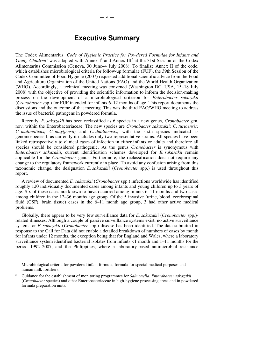### **Executive Summary**

The Codex Alimentarius '*Code of Hygienic Practice for Powdered Formulae for Infants and Young Children'* was adopted with Annex  $I^1$  and Annex  $III^2$  at the 31st Session of the Codex Alimentarius Commission (Geneva, 30 June–4 July 2008). To finalize Annex II of the code, which establishes microbiological criteria for follow-up formulae (FUF), the 39th Session of the Codex Committee of Food Hygiene (2007) requested additional scientific advice from the Food and Agriculture Organization of the United Nations (FAO) and the World Health Organization (WHO). Accordingly, a technical meeting was convened (Washington DC, USA, 15–18 July 2008) with the objective of providing the scientific information to inform the decision-making process on the development of a microbiological criterion for *Enterobacter sakazakii*  (*Cronobacter* spp.) for FUF intended for infants 6–12 months of age. This report documents the discussions and the outcome of that meeting. This was the third FAO/WHO meeting to address the issue of bacterial pathogens in powdered formula.

Recently, *E. sakazakii* has been reclassified as 6 species in a new genus, *Cronobacter* gen. nov. within the Enterobacteriaceae. The new species are *Cronobacter sakazakii; C. turicensis; C. malonaticus; C. muytjensii;* and *C. dublinensis;* with the sixth species indicated as genomospecies I, as currently it includes only two representative strains. All species have been linked retrospectively to clinical cases of infection in either infants or adults and therefore all species should be considered pathogenic. As the genus *Cronobacter* is synonymous with *Enterobacter sakazakii*, current identification schemes developed for *E. sakazakii* remain applicable for the *Cronobacter* genus. Furthermore, the reclassification does not require any change to the regulatory framework currently in place. To avoid any confusion arising from this taxonomic change, the designation *E. sakazakii* (*Cronobacter* spp.) is used throughout this report.

A review of documented *E. sakazakii* (*Cronobacter* spp.) infections worldwide has identified roughly 120 individually documented cases among infants and young children up to 3 years of age. Six of these cases are known to have occurred among infants 6–11 months and two cases among children in the 12–36 months age group. Of the 5 invasive (urine, blood, cerebrospinal fluid (CSF), brain tissue) cases in the 6–11 month age group, 3 had other active medical problems.

Globally, there appear to be very few surveillance data for *E. sakazakii* (*Cronobacter* spp.) related illnesses. Although a couple of passive surveillance systems exist, no active surveillance system for *E. sakazakii* (*Cronobacter* spp.) disease has been identified. The data submitted in response to the Call for Data did not enable a detailed breakdown of numbers of cases by month for infants under 12 months, the exception being that for England and Wales, where a laboratory surveillance system identified bacterial isolates from infants <1 month and 1–11 months for the period 1992–2007, and the Philippines, where a laboratory-based antimicrobial resistance

 $\overline{a}$ 

<sup>1</sup> Microbiological criteria for powdered infant formula, formula for special medical purposes and human milk fortifiers.

<sup>2</sup> Guidance for the establishment of monitoring programmes for *Salmonella*, *Enterobacter sakazakii*  (*Cronobacter* species) and other Enterobacteriaceae in high-hygiene processing areas and in powdered formula preparation units.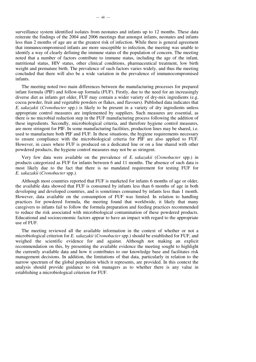surveillance system identified isolates from neonates and infants up to 12 months. These data reiterate the findings of the 2004 and 2006 meetings that amongst infants, neonates and infants less than 2 months of age are at the greatest risk of infection. While there is general agreement that immunocompromised infants are more susceptible to infection, the meeting was unable to identify a way of clearly defining the immune status of the population of concern. The meeting noted that a number of factors contribute to immune status, including the age of the infant, nutritional status, HIV status, other clinical conditions, pharmaceutical treatment, low birth weight and premature birth. The prevalence of such factors varies widely, and thus the meeting concluded that there will also be a wide variation in the prevalence of immunocompromised infants.

The meeting noted two main differences between the manufacturing processes for prepared infant formula (PIF) and follow-up formula (FUF). Firstly, due to the need for an increasingly diverse diet as infants get older, FUF may contain a wider variety of dry-mix ingredients (e.g. cocoa powder, fruit and vegetable powders or flakes, and flavours). Published data indicates that *E. sakazakii* (*Cronobacter* spp.) is likely to be present in a variety of dry ingredients unless appropriate control measures are implemented by suppliers. Such measures are essential, as there is no microbial reduction step in the FUF manufacturing process following the addition of these ingredients. Secondly, microbiological criteria, and therefore hygiene control measures, are more stringent for PIF. In some manufacturing facilities, production lines may be shared, i.e. used to manufacture both PIF and FUF. In these situations, the hygiene requirements necessary to ensure compliance with the microbiological criteria for PIF are also applied to FUF. However, in cases where FUF is produced on a dedicated line or on a line shared with other powdered products, the hygiene control measures may not be as stringent.

Very few data were available on the prevalence of *E. sakazakii* (*Cronobacter* spp.) in products categorized as FUF for infants between 6 and 11 months. The absence of such data is most likely due to the fact that there is no mandated requirement for testing FUF for *E. sakazakii* (*Cronobacter* spp.).

Although most countries reported that FUF is marketed for infants 6 months of age or older, the available data showed that FUF is consumed by infants less than 6 months of age in both developing and developed countries, and is sometimes consumed by infants less than 1 month. However, data available on the consumption of FUF was limited. In relation to handling practices for powdered formula, the meeting found that worldwide, it likely that many caregivers to infants fail to follow the formula preparation and feeding practices recommended to reduce the risk associated with microbiological contamination of these powdered products. Educational and socioeconomic factors appear to have an impact with regard to the appropriate use of FUF.

The meeting reviewed all the available information in the context of whether or not a microbiological criterion for *E. sakazakii* (*Cronobacter* spp.) should be established for FUF, and weighed the scientific evidence for and against. Although not making an explicit recommendation on this, by presenting the available evidence the meeting sought to highlight the currently available data and how it contributes to our knowledge base and facilitates risk management decisions. In addition, the limitations of that data, particularly in relation to the narrow spectrum of the global population which it represents, are provided. In this context the analysis should provide guidance to risk managers as to whether there is any value in establishing a microbiological criterion for FUF.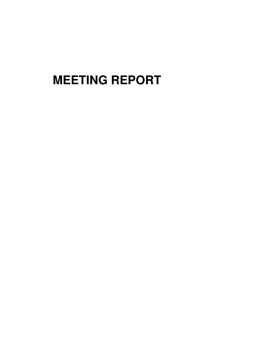# **MEETING REPORT**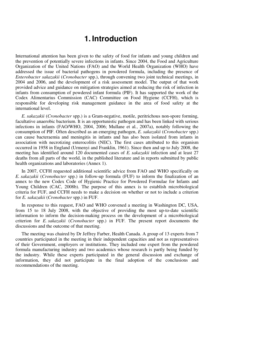## **1. Introduction**

International attention has been given to the safety of food for infants and young children and the prevention of potentially severe infections in infants. Since 2004, the Food and Agriculture Organization of the United Nations (FAO) and the World Health Organization (WHO) have addressed the issue of bacterial pathogens in powdered formula, including the presence of *Enterobacter sakazakii* (*Cronobacter* spp.), through convening two joint technical meetings, in 2004 and 2006, and the development of a risk assessment model. The output of that work provided advice and guidance on mitigation strategies aimed at reducing the risk of infection in infants from consumption of powdered infant formula (PIF). It has supported the work of the Codex Alimentarius Commission (CAC) Committee on Food Hygiene (CCFH), which is responsible for developing risk management guidance in the area of food safety at the international level.

*E. sakazakii* (*Cronobacter* spp.) is a Gram-negative, motile, peritrichous non-spore forming, facultative anaerobic bacterium. It is an opportunistic pathogen and has been linked with serious infections in infants (FAO/WHO, 2004, 2006; Mullane et al*.*, 2007a), notably following the consumption of PIF. Often described as an emerging pathogen, *E. sakazakii* (*Cronobacter* spp.) can cause bacteraemia and meningitis in infants and has also been isolated from infants in association with necrotizing enterocolitis (NEC). The first cases attributed to this organism occurred in 1958 in England (Urmenyi and Franklin, 1961). Since then and up to July 2008, the meeting has identified around 120 documented cases of *E. sakazakii* infection and at least 27 deaths from all parts of the world, in the published literature and in reports submitted by public health organizations and laboratories (Annex 1).

In 2007, CCFH requested additional scientific advice from FAO and WHO specifically on *E. sakazakii* (*Cronobacter* spp.) in follow-up formula (FUF) to inform the finalization of an annex to the new Codex Code of Hygienic Practice for Powdered Formulae for Infants and Young Children (CAC, 2008b). The purpose of this annex is to establish microbiological criteria for FUF, and CCFH needs to make a decision on whether or not to include a criterion for *E. sakazakii* (*Cronobacter* spp.) in FUF.

In response to this request, FAO and WHO convened a meeting in Washington DC, USA, from 15 to 18 July 2008, with the objective of providing the most up-to-date scientific information to inform the decision-making process on the development of a microbiological criterion for *E. sakazakii* (*Cronobacter* spp.) in FUF. The present report documents the discussions and the outcome of that meeting.

The meeting was chaired by Dr Jeffrey Farber, Health Canada. A group of 13 experts from 7 countries participated in the meeting in their independent capacities and not as representatives of their Government, employers or institutions. They included one expert from the powdered formula manufacturing industry and two academics whose research is partly being funded by the industry. While these experts participated in the general discussion and exchange of information, they did not participate in the final adoption of the conclusions and recommendations of the meeting.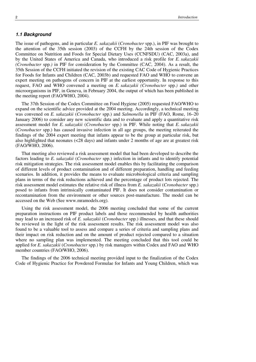#### **1.1 Background**

The issue of pathogens, and in particular *E. sakazakii* (*Cronobacter* spp.), in PIF was brought to the attention of the 35th session (2003) of the CCFH by the 24th session of the Codex Committee on Nutrition and Foods for Special Dietary Uses (CCNFSDU) (CAC, 2003a), and by the United States of America and Canada, who introduced a risk profile for *E. sakazakii (Cronobacter* spp*.)* in PIF for consideration by the Committee (CAC, 2004). As a result, the 35th Session of the CCFH initiated the revision of the existing CAC Code of Hygienic Practices for Foods for Infants and Children (CAC, 2003b) and requested FAO and WHO to convene an expert meeting on pathogens of concern in PIF at the earliest opportunity. In response to this request, FAO and WHO convened a meeting on *E. sakazakii (Cronobacter* spp*.)* and other microorganisms in PIF, in Geneva, in February 2004, the output of which has been published in the meeting report (FAO/WHO, 2004).

The 37th Session of the Codex Committee on Food Hygiene (2005) requested FAO/WHO to expand on the scientific advice provided at the 2004 meeting. Accordingly, a technical meeting was convened on *E. sakazakii* (*Cronobacter* spp.) and *Salmonella* in PIF (FAO, Rome, 16–20 January 2006) to consider any new scientific data and to evaluate and apply a quantitative risk assessment model for *E. sakazakii* (*Cronobacter* spp.) in PIF. While noting that *E. sakazakii* (*Cronobacter* spp.) has caused invasive infection in all age groups, the meeting reiterated the findings of the 2004 expert meeting that infants appear to be the group at particular risk, but also highlighted that neonates (<28 days) and infants under 2 months of age are at greatest risk (FAO/WHO, 2006).

That meeting also reviewed a risk assessment model that had been developed to describe the factors leading to *E. sakazakii* (*Cronobacter* spp.) infection in infants and to identify potential risk mitigation strategies. The risk assessment model enables this by facilitating the comparison of different levels of product contamination and of different preparation, handling and feeding scenarios. In addition, it provides the means to evaluate microbiological criteria and sampling plans in terms of the risk reductions achieved and the percentage of product lots rejected. The risk assessment model estimates the relative risk of illness from *E. sakazakii* (*Cronobacter* spp.) posed to infants from intrinsically contaminated PIF. It does not consider contamination or recontamination from the environment or other sources post-manufacture. The model can be accessed on the Web (See www.mramodels.org).

Using the risk assessment model, the 2006 meeting concluded that some of the current preparation instructions on PIF product labels and those recommended by health authorities may lead to an increased risk of *E. sakazakii* (*Cronobacter* spp*.*) illnesses, and that these should be reviewed in the light of the risk assessment results. The risk assessment model was also found to be a valuable tool to assess and compare a series of criteria and sampling plans and their impact on risk reduction and on the amount of product rejected compared to a situation where no sampling plan was implemented. The meeting concluded that this tool could be applied for *E. sakazakii* (*Cronobacter* spp*.*) by risk managers within Codex and FAO and WHO member countries (FAO/WHO, 2006).

The findings of the 2006 technical meeting provided input to the finalization of the Codex Code of Hygienic Practice for Powdered Formulae for Infants and Young Children, which was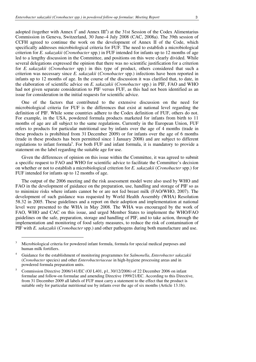adopted (together with Annex  $I^3$  and Annex  $III^4$ ) at the 31st Session of the Codex Alimentarius Commission in Geneva, Switzerland, 30 June–4 July 2008 (CAC, 2008a). The 39th session of CCFH agreed to continue the work on the development of Annex II of the Code, which specifically addresses microbiological criteria for FUF. The need to establish a microbiological criterion for *E. sakazakii* (*Cronobacter* spp*.*) in FUF intended for infants up to 12 months of age led to a lengthy discussion in the Committee, and positions on this were clearly divided. While several delegations expressed the opinion that there was no scientific justification for a criterion for *E. sakazakii* (*Cronobacter* spp*.*) in this type of product, others considered that such a criterion was necessary since *E. sakazakii* (*Cronobacter* spp.) infections have been reported in infants up to 12 months of age. In the course of the discussion it was clarified that, to date, in the elaboration of scientific advice on *E. sakazakii* (*Cronobacter* spp*.*) in PIF, FAO and WHO had not given separate consideration to PIF versus FUF, as this had not been identified as an issue for consideration in the initial requests for scientific advice.

One of the factors that contributed to the extensive discussion on the need for microbiological criteria for FUF is the differences that exist at national level regarding the definition of PIF. While some countries adhere to the Codex definition of FUF, others do not. For example, in the USA, powdered formula products marketed for infants from birth to 11 months of age are all subject to the same regulations. Currently in the European Union, FUF refers to products for particular nutritional use by infants over the age of 4 months (trade in these products is prohibited from 31 December 2009) or for infants over the age of 6 months (trade in these products has been permitted since 1 January 2008) and are subject to different regulations to infant formula<sup>5</sup>. For both FUF and infant formula, it is mandatory to provide a statement on the label regarding the suitable age for use.

Given the differences of opinion on this issue within the Committee, it was agreed to submit a specific request to FAO and WHO for scientific advice to facilitate the Committee's decision on whether or not to establish a microbiological criterion for *E. sakazakii* (*Cronobacter* spp*.*) for FUF intended for infants up to 12 months of age.

The output of the 2006 meeting and the risk assessment model were also used by WHO and FAO in the development of guidance on the preparation, use, handling and storage of PIF so as to minimize risks where infants cannot be or are not fed breast milk (FAO/WHO, 2007). The development of such guidance was requested by World Health Assembly (WHA) Resolution 58.32 in 2005. These guidelines and a report on their adoption and implementation at national level were presented to the WHA in May 2008. The WHA was encouraged by the work of FAO, WHO and CAC on this issue, and urged Member States to implement the WHO/FAO guidelines on the safe, preparation, storage and handling of PIF, and to take action, through the implementation and monitoring of food safety measures, to reduce the risk of contamination of PIF with *E. sakazakii* (*Cronobacter* spp.) and other pathogens during both manufacture and use.

 $\overline{a}$ 

<sup>3</sup> Microbiological criteria for powdered infant formula, formula for special medical purposes and human milk fortifiers.

<sup>4</sup> Guidance for the establishment of monitoring programmes for *Salmonella*, *Enterobacter sakazakii*  (*Cronobacter* species) and other *Enterobacteriaceae* in high-hygiene processing areas and in powdered formula preparation units.

<sup>5</sup> Commission Directive 2006/141/EC (OJ L401, p1, 30/12/2006) of 22 December 2006 on infant formulae and follow-on formulae and amending Directive 1999/21/EC. According to this Directive, from 31 December 2009 all labels of FUF must carry a statement to the effect that the product is suitable only for particular nutritional use by infants over the age of six months (Article 13.1b).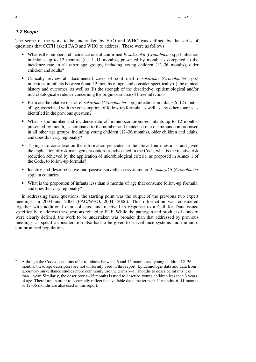#### **1.2 Scope**

 $\ddot{\phantom{a}}$ 

The scope of the work to be undertaken by FAO and WHO was defined by the series of questions that CCFH asked FAO and WHO to address. These were as follows:

- What is the number and incidence rate of confirmed *E. sakazakii* (*Cronobacter* spp*.*) infection in infants up to 12 months $<sup>6</sup>$  (i.e. 1–11 months), presented by month, as compared to the</sup> incidence rate in all other age groups, including young children (12–36 months), older children and adults?
- Critically review all documented cases of confirmed *E. sakazakii* (*Cronobacter* spp.) infections in infants between 6 and 12 months of age, and consider specifically (i) the clinical history and outcomes, as well as (ii) the strength of the descriptive, epidemiological and/or microbiological evidence concerning the origin or source of these infections.
- Estimate the relative risk of *E. sakazakii* (*Cronobacter* spp.) infections in infants 6–12 months of age, associated with the consumption of follow-up formula, as well as any other sources as identified in the previous question?
- What is the number and incidence rate of immunocompromised infants up to 12 months, presented by month, as compared to the number and incidence rate of immunocompromised in all other age groups, including young children (12–36 months), older children and adults, and does this vary regionally?
- Taking into consideration the information generated in the above four questions, and given the application of risk management options as advocated in the Code, what is the relative risk reduction achieved by the application of microbiological criteria, as proposed in Annex 1 of the Code, to follow-up formula?
- Identify and describe active and passive surveillance systems for *E. sakazakii* (*Cronobacter* spp.) in countries.
- What is the proportion of infants less than 6 months of age that consume follow-up formula, and does this vary regionally?

In addressing these questions, the starting point was the output of the previous two expert meetings, in 2004 and 2006 (FAO/WHO, 2004, 2006). This information was considered together with additional data collected and received in response to a Call for Data issued specifically to address the questions related to FUF. While the pathogen and product of concern were clearly defined, the work to be undertaken was broader than that addressed by previous meetings, as specific consideration also had to be given to surveillance systems and immunocompromised populations.

<sup>6</sup> Although the Codex questions refer to infants between 6 and 12 months and young children 12–36 months, these age descriptors are not uniformly used in this report. Epidemiologic data and data from laboratory surveillance studies more commonly use the terms x–11 months to describe infants less than 1 year. Similarly, the descriptor x–35 months is used to describe young children less than 3 years of age. Therefore, in order to accurately reflect the available data, the terms 0–11months, 6–11 months or 12–35 months are also used in this report.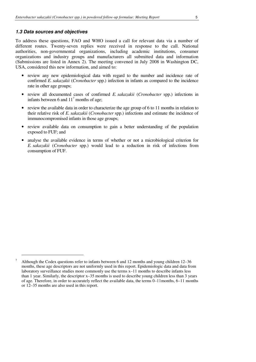#### **1.3 Data sources and objectives**

 $\ddot{\phantom{a}}$ 

To address these questions, FAO and WHO issued a call for relevant data via a number of different routes. Twenty-seven replies were received in response to the call. National authorities, non-governmental organizations, including academic institutions, consumer organizations and industry groups and manufacturers all submitted data and information (Submissions are listed in Annex 2). The meeting convened in July 2008 in Washington DC, USA, considered this new information, and aimed to:

- review any new epidemiological data with regard to the number and incidence rate of confirmed *E. sakazakii* (*Cronobacter* spp.) infection in infants as compared to the incidence rate in other age groups;
- review all documented cases of confirmed *E. sakazakii* (*Cronobacter* spp.) infections in infants between 6 and  $11<sup>7</sup>$  months of age;
- review the available data in order to characterize the age group of 6 to 11 months in relation to their relative risk of *E. sakazakii* (*Cronobacter* spp.) infections and estimate the incidence of immunocompromised infants in those age groups;
- review available data on consumption to gain a better understanding of the population exposed to FUF; and
- analyse the available evidence in terms of whether or not a microbiological criterion for *E. sakazakii* (*Cronobacter* spp.) would lead to a reduction in risk of infections from consumption of FUF.

<sup>7</sup> Although the Codex questions refer to infants between 6 and 12 months and young children 12–36 months, these age descriptors are not uniformly used in this report. Epidemiologic data and data from laboratory surveillance studies more commonly use the terms x–11 months to describe infants less than 1 year. Similarly, the descriptor x–35 months is used to describe young children less than 3 years of age. Therefore, in order to accurately reflect the available data, the terms 0–11months, 6–11 months or 12–35 months are also used in this report.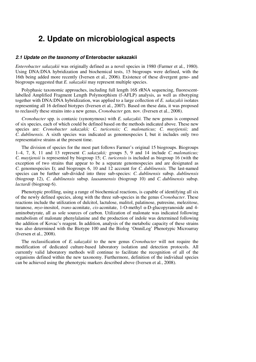## **2. Update on microbiological aspects**

#### **2.1 Update on the taxonomy of Enterobacter sakazakii**

*Enterobacter sakazakii* was originally defined as a novel species in 1980 (Farmer et al*.*, 1980). Using DNA:DNA hybridization and biochemical tests, 15 biogroups were defined, with the 16th being added more recently (Iversen et al*.*, 2006). Existence of these divergent geno- and biogroups suggested that *E. sakazakii* may represent multiple species.

Polyphasic taxonomic approaches, including full length 16S rRNA sequencing, fluorescentlabelled Amplified Fragment Length Polymorphism (f-AFLP) analysis, as well as ribotyping together with DNA:DNA hybridization, was applied to a large collection of *E. sakazakii* isolates representing all 16 defined biotypes (Iversen et al*.*, 2007). Based on these data, it was proposed to reclassify these strains into a new genus, *Cronobacter* gen. nov. (Iversen et al*.*, 2008).

*Cronobacter* spp. is contaxic (synonymous) with *E. sakazakii.* The new genus is composed of six species, each of which could be defined based on the methods indicated above. These new species are: *Cronobacter sakazakii; C. turicensis; C. malonaticus; C. muytjensii;* and *C. dublinensis.* A sixth species was indicated as genomospecies I, but it includes only two representative strains at the present time.

The division of species for the most part follows Farmer's original 15 biogroups. Biogroups 1–4, 7, 8, 11 and 13 represent *C. sakazakii;* groups 5, 9 and 14 include *C. malonaticus; C. muytjensii* is represented by biogroup 15; *C. turicensis* is included as biogroup 16 (with the exception of two strains that appear to be a separate genomospecies and are designated as *C.* genomospecies I); and biogroups 6, 10 and 12 account for *C. dublinensis.* The last-named species can be further sub-divided into three sub-species: *C. dublinensis* subsp. *dublinensis*  (biogroup 12), *C. dublinensis* subsp. *lausannensis* (biogroup 10) and *C. dublinensis* subsp. *lactardi* (biogroup 6).

Phenotypic profiling, using a range of biochemical reactions, is capable of identifying all six of the newly defined species, along with the three sub-species in the genus *Cronobacter*. These reactions include the utilization of dulcitol, lactulose, malitol, palatinose, putresine, melezitose, turanose, *myo-*inositol, *trans-*aconitate, *cis-*aconitate, 1-O-methyl α-D-glucopyranoside and 4 aminobutyrate, all as sole sources of carbon. Utilization of malonate was indicated following metabolism of malonate phenylalanine and the production of indole was determined following the addition of Kovac's reagent. In addition, analysis of the metabolic capacity of these strains was also determined with the Biotype 100 and the Biolog 'OmniLog' Phenotypic Microarray (Iversen et al*.*, 2008).

The reclassification of *E. sakazakii* to the new genus *Cronobacter* will not require the modification of dedicated culture-based laboratory isolation and detection protocols. All currently valid laboratory methods will continue to facilitate the recognition of all of the organisms defined within the new taxonomy. Furthermore, definition of the individual species can be achieved using the phenotypic markers described above (Iversen et al*.*, 2008).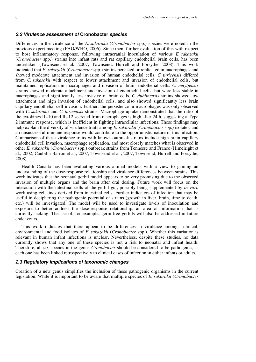#### **2.2 Virulence assessment of Cronobacter species**

Differences in the virulence of the *E. sakazakii* (*Cronobacter* spp*.*) species were noted in the previous expert meeting (FAO/WHO, 2006). Since then, further evaluation of this with respect to host inflammatory response, following intracranial inoculation of various *E. sakazakii* (*Cronobacter* spp.) strains into infant rats and rat capillary endothelial brain cells, has been undertaken (Townsend et al*.*, 2007; Townsend, Hurrell and Forsythe, 2008). This work indicated that *E. sakazakii* (*Cronobacter* spp*.*) strains persisted or replicated in macrophages and showed moderate attachment and invasion of human endothelial cells. *C. turicensis* differed from *C. sakazakii* with respect to lower attachment and invasion of endothelial cells, but maintained replication in macrophages and invasion of brain endothelial cells. *C. muytjensis*  strains showed moderate attachment and invasion of endothelial cells, but were less stable in macrophages and significantly less invasive of brain cells. *C. dublinensis* strains showed low attachment and high invasion of endothelial cells, and also showed significantly less brain capillary endothelial cell invasion. Further, the persistence in macrophages was only observed with *C. sakazakii* and *C. turicensis* strains. Macrophage uptake demonstrated that the ratio of the cytokines IL-10 and IL-12 secreted from macrophages is high after 24 h, suggesting a Type 2 immune response, which is inefficient in fighting intracellular infections. These findings may help explain the diversity of virulence traits among *E. sakazakii* (*Cronobacter* spp*.*) isolates, and an unsuccessful immune response would contribute to the opportunistic nature of this infection. Comparison of these virulence traits with known outbreak strains include high brain capillary endothelial cell invasion, macrophage replication, and most closely matches what is observed in other *E. sakazakii* (*Cronobacter* spp.) outbreak strains from Tennesse and France (Himelright et al*.*, 2002; Caubilla-Barron et al*.*, 2007; Townsend et al*.*, 2007; Townsend, Hurrell and Forsythe, 2008).

Health Canada has been evaluating various animal models with a view to gaining an understanding of the dose-response relationship and virulence differences between strains. This work indicates that the neonatal gerbil model appears to be very promising due to the observed invasion of multiple organs and the brain after oral dosing. Future work will focus on the interaction with the intestinal cells of the gerbil gut, possibly being supplemented by *in vitro* work using cell lines derived from intestinal cells. Further indicators of infection that may be useful in deciphering the pathogenic potential of strains (growth in liver, brain, time to death, etc.) will be investigated. The model will be used to investigate levels of inoculation and exposure to better address the dose-response relationship, an area of information that is currently lacking. The use of, for example, germ-free gerbils will also be addressed in future endeavours.

This work indicates that there appear to be differences in virulence amongst clinical, environmental and food isolates of *E. sakazakii* (*Cronobacter* spp.). Whether this variation is relevant in human infant infections is unclear. Nevertheless, despite these studies, no data currently shows that any one of these species is not a risk to neonatal and infant health. Therefore, all six species in the genus *Cronobacter* should be considered to be pathogenic, as each one has been linked retrospectively to clinical cases of infection in either infants or adults.

#### **2.3 Regulatory implications of taxonomic changes**

Creation of a new genus simplifies the inclusion of these pathogenic organisms in the current legislation. While it is important to be aware that multiple species of *E. sakazakii* (*Cronobacter*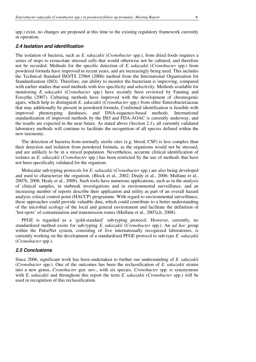spp.) exist, no changes are proposed at this time to the existing regulatory framework currently in operation.

#### **2.4 Isolation and identification**

The isolation of bacteria, such as *E. sakazakii* (*Cronobacter* spp.), from dried foods requires a series of steps to resuscitate stressed cells that would otherwise not be cultured, and therefore not be recorded. Methods for the specific detection of *E. sakazakii* (*Cronobacter* spp.) from powdered formula have improved in recent years, and are increasingly being used. This includes the Technical Standard ISO/TS 22964 (2006) method from the International Organization for Standardization (ISO). Therefore, our ability to monitor the bacterium is improving, compared with earlier studies that used methods with less specificity and selectivity. Methods available for monitoring *E. sakazakii* (*Cronobacter* spp.) have recently been reviewed by Fanning and Forsythe (2007). Culturing methods have improved with the development of chromogenic agars, which help to distinguish *E. sakazakii* (*Cronobacter* spp.) from other Enterobacteriaceae that may additionally be present in powdered formula. Confirmed identification is feasible with improved phenotyping databases, and DNA-sequence-based methods. International standardization of improved methods by the ISO and FDA-AOAC is currently underway, and the results are expected in the near future. As stated above (Section 2.1), all currently validated laboratory methods will continue to facilitate the recognition of all species defined within the new taxonomy.

The detection of bacteria from normally sterile sites (e.g. blood, CSF) is less complex than their detection and isolation from powdered formula, as the organisms would not be stressed, and are unlikely to be in a mixed population. Nevertheless, accurate clinical identification of isolates as *E. sakazakii* (*Cronobacter* spp.) has been restricted by the use of methods that have not been specifically validated for the organism.

Molecular sub-typing protocols for *E. sakazakii* (*Cronobacter* spp.) are also being developed and used to characterize the organism*.* (Block et al*.*, 2002; Drudy et al*.*, 2006; Mullane et al*.*, 2007b, 2008; Healy et al*.*, 2008). Such tools have numerous applications, such as in the analysis of clinical samples, in outbreak investigations and in environmental surveillance, and an increasing number of reports describe their application and utility as part of an overall hazard analysis critical control point (HACCP) programme. With regard to environmental surveillance, these approaches could provide valuable data, which could contribute to a better understanding of the microbial ecology of the local and general environment and facilitate the definition of 'hot-spots' of contamination and transmission routes (Mullane et al*.,* 2007a,b, 2008).

PFGE is regarded as a 'gold-standard' sub-typing protocol. However, currently, no standardized method exists for sub-typing *E. sakazakii* (*Cronobacter* spp.). An *ad hoc* group within the PulseNet system, consisting of five internationally recognized laboratories, is currently working on the development of a standardized PFGE protocol to sub-type *E. sakazakii*  (*Cronobacter* spp.).

#### **2.5 Conclusions**

Since 2006, significant work has been undertaken to further our understanding of *E. sakazakii* (*Cronobacter* spp.). One of the outcomes has been the reclassification of *E. sakazakii* strains into a new genus, *Cronobacter* gen. nov., with six species. *Cronobacter* spp. is synonymous with *E. sakazakii* and throughout this report the term *E. sakazakii* (*Cronobacter* spp.) will be used in recognition of this reclassification.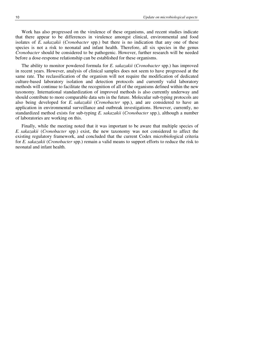Work has also progressed on the virulence of these organisms, and recent studies indicate that there appear to be differences in virulence amongst clinical, environmental and food isolates of *E. sakazakii* (*Cronobacter* spp.) but there is no indication that any one of these species is not a risk to neonatal and infant health. Therefore, all six species in the genus *Cronobacter* should be considered to be pathogenic. However, further research will be needed before a dose-response relationship can be established for these organisms.

The ability to monitor powdered formula for *E. sakazakii* (*Cronobacter* spp.) has improved in recent years. However, analysis of clinical samples does not seem to have progressed at the same rate. The reclassification of the organism will not require the modification of dedicated culture-based laboratory isolation and detection protocols and currently valid laboratory methods will continue to facilitate the recognition of all of the organisms defined within the new taxonomy. International standardization of improved methods is also currently underway and should contribute to more comparable data sets in the future. Molecular sub-typing protocols are also being developed for *E. sakazakii* (*Cronobacter* spp.), and are considered to have an application in environmental surveillance and outbreak investigations. However, currently, no standardized method exists for sub-typing *E. sakazakii* (*Cronobacter* spp.), although a number of laboratories are working on this.

Finally, while the meeting noted that it was important to be aware that multiple species of *E. sakazakii* (*Cronobacter* spp.) exist, the new taxonomy was not considered to affect the existing regulatory framework, and concluded that the current Codex microbiological criteria for *E. sakazakii* (*Cronobacter* spp.) remain a valid means to support efforts to reduce the risk to neonatal and infant health.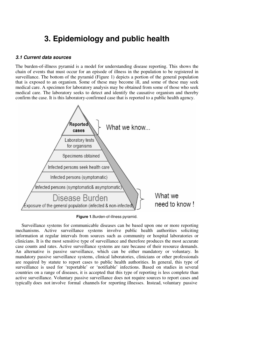## **3. Epidemiology and public health**

#### **3.1 Current data sources**

The burden-of-illness pyramid is a model for understanding disease reporting. This shows the chain of events that must occur for an episode of illness in the population to be registered in surveillance. The bottom of the pyramid (Figure 1) depicts a portion of the general population that is exposed to an organism. Some of these may become ill, and some of these may seek medical care. A specimen for laboratory analysis may be obtained from some of those who seek medical care. The laboratory seeks to detect and identify the causative organism and thereby confirm the case. It is this laboratory-confirmed case that is reported to a public health agency.



**Figure 1**.Burden-of-illness pyramid.

Surveillance systems for communicable diseases can be based upon one or more reporting mechanisms. Active surveillance systems involve public health authorities soliciting information at regular intervals from sources such as community or hospital laboratories or clinicians. It is the most sensitive type of surveillance and therefore produces the most accurate case counts and rates. Active surveillance systems are rare because of their resource demands. An alternative is passive surveillance, which can be either mandatory or voluntary. In mandatory passive surveillance systems, clinical laboratories, clinicians or other professionals are required by statute to report cases to public health authorities. In general, this type of surveillance is used for 'reportable' or 'notifiable' infections. Based on studies in several countries on a range of diseases, it is accepted that this type of reporting is less complete than active surveillance. Voluntary passive surveillance does not require sources to report cases and typically does not involve formal channels for reporting illnesses. Instead, voluntary passive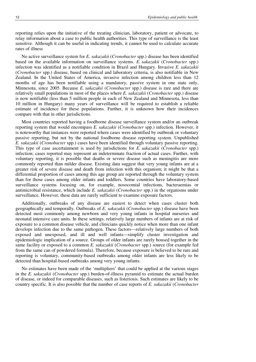reporting relies upon the initiative of the treating clinician, laboratory, patient or advocate, to relay information about a case to public health authorities. This type of surveillance is the least sensitive. Although it can be useful in indicating trends, it cannot be used to calculate accurate rates of illness

No active surveillance system for *E. sakazakii* (*Cronobacter* spp.) disease has been identified based on the available information on surveillance systems. *E. sakazakii* (*Cronobacter* spp.) infection was identified as a notifiable condition in Brazil and Hungary. Invasive *E. sakazakii* (*Cronobacter* spp.) disease, based on clinical and laboratory criteria, is also notifiable in New Zealand. In the United States of America, invasive infection among children less than 12 months of age has been notifiable using a mandatory, passive system in one state only, Minnesota, since 2005. Because *E. sakazakii* (*Cronobacter* spp.) disease is rare and there are relatively small populations in most of the places where *E. sakazakii* (*Cronobacter* spp.) disease is now notifiable (less than 5 million people in each of New Zealand and Minnesota, less than 10 million in Hungary) many years of surveillance will be required to establish a reliable estimate of incidence for these populations. Further, it is unknown how their incidences compare with that in other jurisdictions.

Most countries reported having a foodborne disease surveillance system and/or an outbreak reporting system that would encompass *E. sakazakii* (*Cronobacter* spp.) infection. However, it is noteworthy that instances were reported where cases were identified by outbreak or voluntary passive reporting, but not by the national foodborne disease reporting system. Unpublished *E. sakazakii* (*Cronobacter* spp.) cases have been identified through voluntary passive reporting. This type of case ascertainment is used by jurisdictions for *E. sakazakii* (*Cronobacter* spp.) infection; cases reported may represent an indeterminate fraction of actual cases. Further, with voluntary reporting, it is possible that deaths or severe disease such as meningitis are more commonly reported than milder disease. Existing data suggest that very young infants are at a greater risk of severe disease and death from infection with this organism; it might be that a differential proportion of cases among this age group are reported through the voluntary system than for those cases among older infants and toddlers. Some countries have laboratory-based surveillance systems focusing on, for example, nosocomial infections, bacteraemias or antimicrobial resistance, which include *E. sakazakii* (*Cronobacter* spp.) in the organisms under surveillance. However, these data are rarely sufficient to examine exposure factors.

Additionally, outbreaks of any disease are easiest to detect when cases cluster both geographically and temporally. Outbreaks of *E. sakazakii* (*Cronobacter* spp.) disease have been detected most commonly among newborn and very young infants in hospital nurseries and neonatal intensive care units. In these settings, relatively large numbers of infants are at risk of exposure to a common disease vehicle, and clinicians quickly notice when more than one infant develops infection due to the same pathogen. These factors—relatively large numbers of both exposed and unexposed, and ill and well infants—simplify cluster investigation and epidemiologic implication of a source. Groups of older infants are rarely housed together in the same facility or exposed to a common *E. sakazakii* (*Cronobacter* spp.) source (for example fed from the same can of powdered formula). Therefore, because exposure is believed to be rare and reporting is voluntary, community-based outbreaks among older infants are less likely to be detected than hospital-based outbreaks among very young infants.

No estimates have been made of the 'multipliers' that could be applied at the various stages in the *E. sakazakii* (*Cronobacter* spp.) burden-of-illness pyramid to estimate the actual burden of disease, or indeed for comparable diseases, such as listeriosis. Such estimates are likely to be country specific. It is also possible that the number of case reports of *E. sakazakii* (*Cronobacter*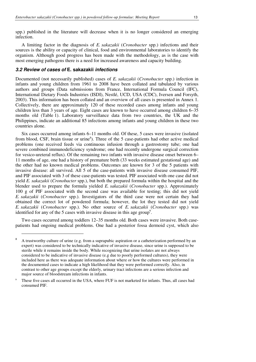spp.) published in the literature will decrease when it is no longer considered an emerging infection.

A limiting factor in the diagnosis of *E. sakazakii* (*Cronobacter* spp.) infections and their sources is the ability or capacity of clinical, food and environmental laboratories to identify the organism. Although good progress has been made with the methodology, as is the case with most emerging pathogens there is a need for increased awareness and capacity building.

#### **3.2 Review of cases of E. sakazakii infections**

 $\ddot{\phantom{a}}$ 

Documented (not necessarily published) cases of *E. sakazakii* (*Cronobacter* spp.) infection in infants and young children from 1961 to 2008 have been collated and tabulated by various authors and groups (Data submissions from France, International Formula Council (IFC), International Dietary Foods Industries (ISDI), Nestlé, UCD, USA (CDC), Iversen and Forsyth, 2003). This information has been collated and an overview of all cases is presented in Annex 1. Collectively, there are approximately 120 of these recorded cases among infants and young children less than 3 years of age. Eight cases are known to have occurred among children 6–35 months old (Table 1). Laboratory surveillance data from two countries, the UK and the Philippines, indicate an additional 85 infections among infants and young children in these two countries alone.

Six cases occurred among infants 6–11 months old. Of these, 5 cases were invasive (isolated from blood, CSF, brain tissue or urine<sup>8</sup>). Three of the 5 case-patients had other active medical problems (one received feeds via continuous infusion through a gastrostomy tube; one had severe combined immunodeficiency syndrome; one had recently undergone surgical correction for vesico-ureteral reflux). Of the remaining two infants with invasive disease onset between 6– 11 months of age, one had a history of premature birth (33 weeks estimated gestational age) and the other had no known medical problems. Outcomes are known for 3 of the 5 patients with invasive disease: all survived. All 5 of the case-patients with invasive disease consumed PIF, and PIF associated with 3 of these case-patients was tested. PIF associated with one case did not yield *E. sakazakii* (*Cronobacter* spp.), but both the prepared formula within the hospital and the blender used to prepare the formula yielded *E. sakazakii* (*Cronobacter* spp.). Approximately 100 g of PIF associated with the second case was available for testing; this did not yield *E. sakazakii* (*Cronobacter* spp.). Investigators of the third case were not certain they had obtained the correct lot of powdered formula; however, the lot they tested did not yield *E. sakazakii* (*Cronobacter* spp.). No other source of *E. sakazakii* (*Cronobacter* spp.) was identified for any of the 5 cases with invasive disease in this age group<sup>9</sup>.

Two cases occurred among toddlers 12–35 months old. Both cases were invasive. Both casepatients had ongoing medical problems. One had a posterior fossa dermoid cyst, which also

<sup>8</sup> A trustworthy culture of urine (e.g. from a suprapubic aspiration or a catheterization performed by an expert) was considered to be technically indicative of invasive disease, since urine is supposed to be sterile while it remains inside the body. While recognizing that urine isolates are not always considered to be indicative of invasive disease (e.g due to poorly performed cultures), they were included here as there was adequate information about where or how the cultures were performed in the documented cases to indicate a high likelihood that they were performed correctly. Also, in contrast to other age groups except the elderly, urinary tract infections are a serious infection and major source of bloodstream infections in infants.

<sup>9</sup> These five cases all occurred in the USA, where FUF is not marketed for infants. Thus, all cases had consumed PIF.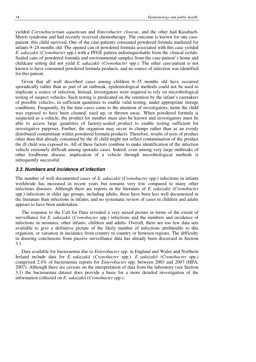yielded *Corynebacterium aquaticum* and *Enterobacter cloacae*, and the other had Kasabach-Merrit syndrome and had recently received chemotherapy. The outcome is known for one casepatient; this child survived. One of the case-patients consumed powdered formula marketed for infants 9–24 months old. The opened can of powdered formula associated with this case yielded *E. sakazakii* (*Cronobacter* spp.) with a PFGE pattern indistinguishable from the clinical isolate. Sealed cans of powdered formula and environmental samples from the case-patient's home and childcare setting did not yield *E. sakazakii* (*Cronobacter* spp.). The other case-patient is not known to have consumed powdered formula products, and no source of infection was identified for this patient.

Given that all well described cases among children 6–35 months old have occurred sporadically rather than as part of an outbreak, epidemiological methods could not be used to implicate a source of infection. Instead, investigators were required to rely on microbiological testing of suspect vehicles. Such testing is predicated on the retention by the infant's caretakers of possible vehicles, in sufficient quantities to enable valid testing, under appropriate storage conditions. Frequently, by the time cases come to the attention of investigators, items the child was exposed to have been cleaned, used up, or thrown away. When powdered formula is suspected as a vehicle, the product lot number must also be known and investigators must be able to access large quantities of factory-sealed product to enable testing sufficient for investigative purposes. Further, the organism may occur in clumps rather than as an evenly distributed contaminant within powdered formula products. Therefore, results of tests of product other than that already consumed by the ill child might not reflect contamination of the product the ill child was exposed to. All of these factors combine to make identification of the infection vehicle extremely difficult among sporadic cases. Indeed, even among very large outbreaks of other foodborne disease, implication of a vehicle through microbiological methods is infrequently successful.

#### **3.3. Numbers and incidence of infection**

The number of well documented cases of *E. sakazakii* (*Cronobacter* spp.) infections in infants worldwide has increased in recent years but remains very low compared to many other infectious diseases. Although there are reports in the literature of *E. sakazakii* (*Cronobacter* spp.) infections in older age groups, including adults, these have been less well documented in the literature than infections in infants, and no systematic review of cases in children and adults appears to have been undertaken.

The response to the Call for Data revealed a very mixed picture in terms of the extent of surveillance for *E. sakazakii* (*Cronobacter* spp.) infections and the numbers and incidence of infections in neonates, other infants, children and adults. Overall, there are too few data sets available to give a definitive picture of the likely number of infections attributable to this organism, or variation in incidence from country to country or between regions. The difficulty in drawing conclusions from passive surveillance data has already been discussed in Section 3.1.

Data available for bacteraemia due to *Enterobacter* spp. in England and Wales and Northern Ireland include data for *E. sakazakii* (*Cronobacter* spp.). *E. sakazakii* (*Cronobacter* spp.) comprised 2.4% of bacteraemia reports for *Enterobacter* spp. between 2003 and 2007 (HPA, 2007). Although there are caveats on the interpretation of data from the laboratory (see Section 3.1) the bacteraemia dataset does provide a basis for a more detailed investigation of the information collected on *E. sakazakii* (*Cronobacter* spp.).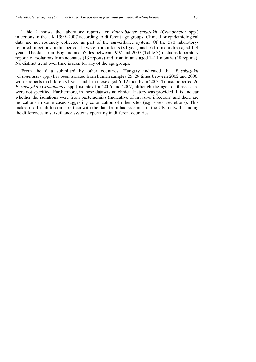Table 2 shows the laboratory reports for *Enterobacter sakazakii* (*Cronobacter* spp.) infections in the UK 1999–2007 according to different age groups. Clinical or epidemiological data are not routinely collected as part of the surveillance system. Of the 570 laboratoryreported infections in this period, 15 were from infants (<1 year) and 16 from children aged 1–4 years. The data from England and Wales between 1992 and 2007 (Table 3) includes laboratory reports of isolations from neonates (13 reports) and from infants aged 1–11 months (18 reports). No distinct trend over time is seen for any of the age groups.

From the data submitted by other countries, Hungary indicated that *E. sakazakii* (*Cronobacter* spp.) has been isolated from human samples 25–29 times between 2002 and 2006, with 5 reports in children <1 year and 1 in those aged  $6-12$  months in 2003. Tunisia reported 26 *E. sakazakii* (*Cronobacter* spp.) isolates for 2006 and 2007, although the ages of these cases were not specified. Furthermore, in these datasets no clinical history was provided. It is unclear whether the isolations were from bacteraemias (indicative of invasive infection) and there are indications in some cases suggesting colonization of other sites (e.g. sores, secretions). This makes it difficult to compare themwith the data from bacteraemias in the UK, notwithstanding the differences in surveillance systems operating in different countries.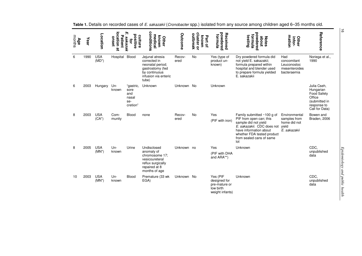| Age<br>months | Year | location<br>m<br>Location<br>positive<br>Patient<br>onset<br>yezeyes<br>ğ<br>ă |                |                                                      |                                                                                                                           | conditions<br>medical<br>culture |           | Outcome<br>outbreak<br>Known<br>Other                                     |                                                                                                                                                                                                              | powdered<br>Received<br>formula                                        | powdered<br>iormula<br>testing<br>about<br><b>Notes</b>                                                    | mation<br>Other<br>infor- | Reference |
|---------------|------|--------------------------------------------------------------------------------|----------------|------------------------------------------------------|---------------------------------------------------------------------------------------------------------------------------|----------------------------------|-----------|---------------------------------------------------------------------------|--------------------------------------------------------------------------------------------------------------------------------------------------------------------------------------------------------------|------------------------------------------------------------------------|------------------------------------------------------------------------------------------------------------|---------------------------|-----------|
| 6             | 1990 | <b>USA</b><br>$(MD^*)$                                                         | Hospital       | <b>Blood</b>                                         | Jejunal atresia<br>corrected in<br>neonatal period;<br>gastrostomy (fed<br>by continuous<br>infusion via enteric<br>tube) | Recov-<br>ered                   | <b>No</b> | Yes (type of<br>product un-<br>known)                                     | Dry powdered formula did<br>not yield E. sakazakii;<br>formula prepared within<br>hospital and blender used<br>to prepare formula yielded<br>E. sakazakii                                                    | Had<br>concomitant<br>Leuconostoc<br>mesenteroides<br>bacteraemia      | Noriega et al.,<br>1990                                                                                    |                           |           |
| 6             | 2003 | Hungary                                                                        | Un-<br>known   | "gastric,<br>sore<br>and<br>nasal<br>se-<br>cretion" | Unknown                                                                                                                   | Unknown No                       |           | Unknown                                                                   |                                                                                                                                                                                                              |                                                                        | Julia Cseh,<br>Hungarian<br><b>Food Safety</b><br>Office<br>(submitted in<br>response to<br>Call for Data) |                           |           |
| 8             | 2003 | <b>USA</b><br>$(CA^*)$                                                         | Com-<br>munity | <b>Blood</b>                                         | none                                                                                                                      | Recov-<br>ered                   | <b>No</b> | Yes<br>(PIF with iron)                                                    | Family submitted $\sim$ 100 g of<br>PIF from open can; this<br>sample did not yield<br>E. sakazakii. CDC does not<br>have information about<br>whether FDA tested product<br>from sealed cans of same<br>lot | Environmental<br>samples from<br>home did not<br>yield<br>E. sakazakii | Bowen and<br>Braden, 2006                                                                                  |                           |           |
| 8             | 2005 | <b>USA</b>                                                                     | $Un-$          | Urine                                                | Undisclosed                                                                                                               | Unknown no                       |           | Yes                                                                       | Unknown                                                                                                                                                                                                      |                                                                        | CDC.                                                                                                       |                           |           |
|               |      | $(MN^*)$                                                                       | known          |                                                      | anomaly of<br>chromosome 17;<br>vesicoureteral<br>reflux surgically<br>repaired at 8<br>months of age                     |                                  |           | (PIF with DHA<br>and ARA**)                                               |                                                                                                                                                                                                              |                                                                        | unpublished<br>data                                                                                        |                           |           |
| 10            | 2003 | <b>USA</b><br>$(MN^*)$                                                         | $Un-$<br>known | Blood                                                | Premature (33 wk)<br>EGA)                                                                                                 | Unknown No                       |           | Yes (PIF<br>designed for<br>pre-mature or<br>low birth<br>weight infants) | Unknown                                                                                                                                                                                                      |                                                                        | CDC,<br>unpublished<br>data                                                                                |                           |           |

**Table 1.** Details on recorded cases of E. sakazakii (Cronobacter spp.) isolated from any source among children aged 6–35 months old.

 $\overline{5}$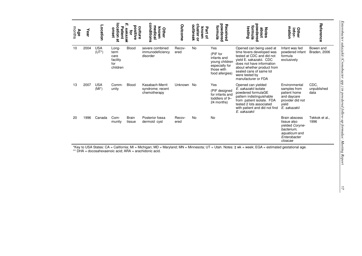| months<br>Age | Year | m<br>ocation<br>Location<br>positive<br>culture<br>Patient<br>onset<br>үеzеуе<br>ਕੁ<br>तैं |                                                      | conditions<br>medical<br>Known<br>Other | Outcome                                             | cluster or<br>outbreak<br>known<br>Part of | powdered<br>Received<br>formula | owdered<br>iormula<br>testing<br><b>Notes</b><br>about                                              | mation<br>infor-<br>Other                                                                                                                                                                                                                    | Reference                                                                                                 |                             |
|---------------|------|--------------------------------------------------------------------------------------------|------------------------------------------------------|-----------------------------------------|-----------------------------------------------------|--------------------------------------------|---------------------------------|-----------------------------------------------------------------------------------------------------|----------------------------------------------------------------------------------------------------------------------------------------------------------------------------------------------------------------------------------------------|-----------------------------------------------------------------------------------------------------------|-----------------------------|
| 10            | 2004 | <b>USA</b><br>$(UT^*)$                                                                     | Long-<br>term<br>care<br>facility<br>for<br>children | Blood                                   | severe combined<br>immunodeficiency<br>disorder     | Recov-<br>ered                             | <b>No</b>                       | Yes<br>(PIF for<br>infants and<br>young children<br>especially for<br>those with<br>food allergies) | Opened can being used at<br>time fevers developed was<br>tested at CDC and did not<br>yield E. sakazakii. CDC<br>does not have information<br>about whether product from<br>sealed cans of same lot<br>were tested by<br>manufacturer or FDA | Infant was fed<br>powdered infant<br>formula<br>exclusively                                               | Bowen and<br>Braden, 2006   |
| 13            | 2007 | <b>USA</b><br>$(MI^*)$                                                                     | Comm-<br>unity                                       | <b>Blood</b>                            | Kasabach-Merrit<br>syndrome; recent<br>chemotherapy | Unknown No                                 |                                 | Yes<br>(PIF designed<br>for infants and<br>toddlers of 9-<br>24 months)                             | Opened can yielded<br>E. sakazakii isolate<br>powdered formulaGE<br>pattern indistinguishable<br>from patient isolate. FDA<br>tested 2 lots associated<br>with patient and did not find<br>E. sakazakii                                      | Environmental<br>samples from<br>patient home<br>and daycare<br>provider did not<br>yield<br>E. sakazakii | CDC.<br>unpublished<br>data |
| 20            | 1996 | Canada                                                                                     | Com-<br>munity                                       | <b>Brain</b><br>tissue                  | Posterior fossa<br>dermoid cyst                     | Recov-<br>ered                             | No                              | No                                                                                                  |                                                                                                                                                                                                                                              | Brain abscess<br>tissue also<br>yielded Coryne-<br>bacterium.<br>aquaticum and<br>Enterobacter<br>cloacae | Tekkok et al<br>1996        |

\*Key to USA States: CA = California; MI = Michigan; MD = Maryland; MN = Minnesota; UT = Utah. Notes: ‡ wk = week; EGA = estimated gestational age. \*\* DHA = docosahexaenoic acid; ARA = arachidonic acid.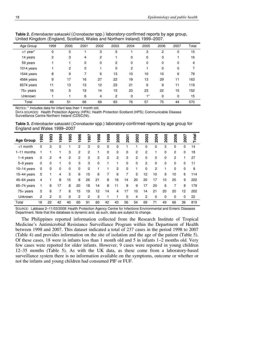| Age Group               | 1999 | 2000 | 2001 | 2002 | 2003 | 2004 | 2005 | 2006           | 2007        | Total |  |
|-------------------------|------|------|------|------|------|------|------|----------------|-------------|-------|--|
| $<$ 1 year <sup>*</sup> | 0    | 0    |      | 3    | 5    |      | 3    | $\overline{2}$ | $\mathbf 0$ | 15    |  |
| 14 years                | 2    | 3    | 4    | 2    |      | 0    | 0    | 3              |             | 16    |  |
| 59 years                |      |      | 0    | 0    | 2    | 0    | 0    | 0              | 0           | 4     |  |
| 1014 years              |      | 2    | 0    |      | 0    | 2    |      | $\Omega$       | 0           |       |  |
| 1544 years              | 8    | 9    | 7    | 6    | 13   | 10   | 10   | 10             | 6           | 79    |  |
| 4564 years              | 9    | 17   | 16   | 27   | 22   | 19   | 13   | 29             | 11          | 163   |  |
| 6574 years              | 11   | 13   | 13   | 12   | 23   | 21   | 6    | 9              | 11          | 119   |  |
| 75+ years               | 16   | 5    | 19   | 14   | 15   | 23   | 23   | 22             | 15          | 152   |  |
| <b>Unknown</b>          |      |      | 6    | 4    | 2    | 0    | $1*$ | 0              | 0           | 15    |  |
| Total                   | 49   | 51   | 66   | 69   | 83   | 76   | 57   | 75             | 44          | 570   |  |

**Table 2.** Enterobacter sakazakii (Cronobacter spp.) laboratory-confirmed reports by age group, United Kingdom (England, Scotland, Wales and Northern Ireland) 1999–2007.

NOTES: \* Includes data for infant less than 1 month old.

DATA SOURCES: Health Protection Agency (HPA); Health Protection Scotland (HPS); Communicable Disease Surveillance Centre Northern Ireland (CDSC(NI).

**Table 3.** Enterobacter sakazakii (Cronobacter spp.) laboratory-confirmed reports by age group for England and Wales 1999–2007

| <b>Age Group</b> | ္တ<br>စ္       | 993<br>↽       | 994<br>↽ | 995<br>↽       | 996<br>↽       | 997<br>$\mathbf$ | 998<br>$\overline{\phantom{0}}$ | 1999           | 2000           | 2001        | 2002           | 2003 | 2004           | 2005        | 2006           | 2007 | Total |
|------------------|----------------|----------------|----------|----------------|----------------|------------------|---------------------------------|----------------|----------------|-------------|----------------|------|----------------|-------------|----------------|------|-------|
| $<$ 1 month      | 0              | 3              | 0        | 1              | $\overline{c}$ | 3                | 0                               | 0              | 0              |             |                | 0    | 0              | 3           | 0              | 0    | 14    |
| $1-11$ months    |                |                |          | 3              | 2              | $\overline{c}$   |                                 | 0              | 0              | 0           | 2              | 2    |                | $\Omega$    | $\overline{c}$ | 0    | 18    |
| 1-4 years        | 0              | $\overline{2}$ | 4        | $\overline{2}$ | 2              | 3                | 2                               | $\overline{c}$ | $\overline{c}$ | 3           | $\overline{c}$ | 0    | $\Omega$       | $\Omega$    | $\overline{c}$ | 1    | 27    |
| 5-9 years        | 0              | 0              |          | $\mathbf 0$    | 3              | 3                | $\mathbf 0$                     |                | 1              | $\mathbf 0$ | 0              | 2    | 0              | $\mathbf 0$ | 0              | 0    | 11    |
| $10-14$ years    | 0              | 0              | 0        | $\mathbf 0$    | 0              | 0                |                                 |                | $\overline{2}$ | $\mathbf 0$ |                | 0    | $\overline{2}$ |             | 0              | 0    | 8     |
| $15-44$ years    | 5              | 1              | 4        | 5              | 6              | 15               | 6                               | 7              | 6              | 7           | 5              | 12   | 10             | 9           | 10             | 6    | 114   |
| 45-64 years      | 4              | 1              | 8        | 15             | 8              | 26               | 21                              | 8              | 16             | 14          | 20             | 20   | 17             | 10          | 25             | 9    | 222   |
| $65 - 74$ years  |                | 6              | 17       | 8              | 20             | 18               | 14                              | 8              | 11             | 9           | 9              | 17   | 20             | 6           | 7              | 8    | 179   |
| $75+ years$      | 5              | 6              | 7        | 6              | 15             | 19               | 12                              | 14             | 4              | 17          | 10             | 14   | 21             | 20          | 20             | 12   | 202   |
| Unknown          | $\overline{2}$ | $\overline{2}$ | 0        | $\mathbf 0$    | 2              | $\overline{c}$   | 3                               |                | 1              | 5           | 4              | 2    | $\Omega$       | 0           | 0              | 0    | 22    |
| Total            | 18             | 22             | 42       | 40             | 60             | 91               | 60                              | 42             | 43             | 56          | 54             | 69   | 71             | 49          | 66             | 36   | 819   |

SOURCE: Labbase 2–11/03/2008: Health Protection Agency Centre for Infections Environmental and Enteric Diseases Department. Note that the database is dynamic and, as such, data are subject to change.

The Philippines reported information collected from the Research Institute of Tropical Medicine's Antimicrobial Resistance Surveillance Program within the Department of Health between 1998 and 2007. This dataset indicated a total of 237 cases in the period 1998 to 2007 (Table 4) and provides information on the site of isolation and the age of the patient (Table 5). Of these cases, 18 were in infants less than 1 month old and 5 in infants 1–2 months old. Very few cases were reported for older infants. However, 9 cases were reported in young children 12–35 months (Table 5). As with the UK data, as these come from a laboratory-based surveillance system there is no information available on the symptoms, outcome or whether or not the infants and young children had consumed PIF or FUF.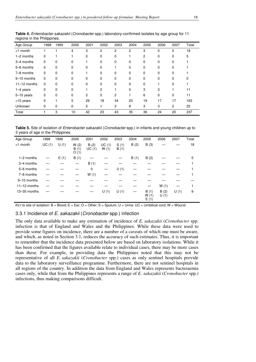| Age Group    | 1998 | 1999     | 2000     | 2001           | 2002     | 2003     | 2004 | 2005 | 2006 | 2007 | Total |
|--------------|------|----------|----------|----------------|----------|----------|------|------|------|------|-------|
| $<$ 1 month  |      |          | 4        | 3              | 2        | 2        | 2    | 3    | 0    | 0    | 18    |
| $1-2$ months | 0    |          |          | 0              | 0        | 0        |      | 2    | 0    | 0    | 5     |
| 3-4 months   | 0    | 0        | 0        |                | 0        | 0        | 0    | 0    | 0    | 0    |       |
| 5-6 months   | 0    | 0        | $\Omega$ | 0              | 0        |          | 0    | 0    | 0    | 0    |       |
| 7-8 months   | 0    | $\Omega$ | 0        |                | 0        | $\Omega$ | 0    | 0    | 0    | 0    |       |
| 9-10 months  | 0    | $\Omega$ | $\Omega$ | 0              | 0        | $\Omega$ | 0    | 0    | 0    | 0    | ი     |
| 11-12 months | 0    | 0        | 0        | 0              | 0        | 0        | 0    | 0    |      | 0    |       |
| $1-4$ years  | 0    | 0        | 0        |                | 2        |          | 0    | 3    | 3    |      | 11    |
| 5-10 years   | 0    | 0        | $\Omega$ | $\overline{c}$ | $\Omega$ | 2        |      | 6    | 0    | 0    | 11    |
| >10 years    | 0    |          | 5        | 29             | 18       | 34       | 23   | 19   | 17   | 17   | 163   |
| Unknown      | 0    | 0        | 0        | 5              |          | 3        | 8    | 3    | 3    | 2    | 25    |
| Total        |      | 3        | 10       | 42             | 23       | 43       | 35   | 36   | 24   | 20   | 237   |

**Table 4.** Enterobacter sakazakii (Cronobacter spp.) laboratory-confirmed isolates by age group for 11 regions in the Philippines.

**Table 5.** Site of isolation of Enterobacter sakazakii (Cronobacter spp.) in infants and young children up to 3 years of age in the Philippines

| Age Group      | 1998  | 1999 | 2000                 | 2001          | 2002          | 2003         | 2004 | 2005                 | 2006         | 2007 | Total |
|----------------|-------|------|----------------------|---------------|---------------|--------------|------|----------------------|--------------|------|-------|
| $<$ 1 month    | UC(1) | U(1) | W(2)<br>B(1)<br>O(1) | B(2)<br>UC(1) | UC(1)<br>W(1) | S(1)<br>B(1) | B(2) | B(3)                 |              |      | 18    |
| $1-2$ months   |       | E(1) | B(1)                 |               |               |              | B(1) | B(2)                 |              |      | 5     |
| 3-4 months     |       |      |                      | B(1)          |               |              |      |                      |              |      |       |
| 5-6 months     |       |      |                      | 0             |               | U(1)         |      |                      |              |      |       |
| 7-8 months     |       |      |                      | W(1)          |               |              |      |                      |              |      |       |
| 9-10 months    |       |      |                      |               |               |              |      |                      |              |      |       |
| $11-12$ months |       |      |                      |               |               |              |      |                      | W(1)         |      |       |
| 13-35 months   |       |      |                      |               | U(1)          | U(1)         |      | B(1)<br>W(1)<br>E(1) | B(2)<br>U(1) | U(1) | 9     |

KEY to site of isolation:  $B =$  Blood;  $E = Ear$ ; O = Other; S = Sputum; U = Urine; UC = Umbilical cord; W = Wound.

#### 3.3.1 Incidence of E. sakazakii (Cronobacter spp.) infection

The only data available to make any estimation of incidence of *E. sakazakii* (*Cronobacter* spp. infection is that of England and Wales and the Philippines. While these data were used to provide some figures on incidence, there are a number of a caveats of which one must be aware, and which, as noted in Section 3.1, reduces the accuracy of such estimates. Thus, it is important to remember that the incidence data presented below are based on laboratory isolations. While it has been confirmed that the figures available relate to individual cases, there may be more cases than these. For example, in providing data the Philippines noted that this may not be representative of all *E. sakazakii* (*Cronobacter* spp.) cases as only sentinel hospitals provide data to the laboratory surveillance programme. Furthermore, there are not sentinel hospitals in all regions of the country. In addition the data from England and Wales represents bacteraemia cases only, while that from the Philippines represents a range of *E. sakazakii* (*Cronobacter* spp.) infections, thus making comparisons difficult.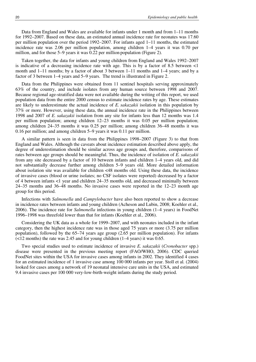Data from England and Wales are available for infants under 1 month and from 1–11 months for 1992–2007. Based on these data, an estimated annual incidence rate for neonates was 17.60 per million population over the period 1992–2007. For infants aged 1–11 months, the estimated incidence rate was 2.06 per million population, among children 1–4 years it was 0.70 per million, and for those 5–9 years it was 0.22 per million population (Figure 2).

Taken together, the data for infants and young children from England and Wales 1992–2007 is indicative of a decreasing incidence rate with age. This is by a factor of 8.5 between  $\langle$ 1 month and 1–11 months; by a factor of about 3 between 1–11 months and 1–4 years; and by a factor of 3 between 1–4 years and 5–9 years. The trend is illustrated in Figure 2.

Data from the Philippines were obtained from 11 sentinel hospitals serving approximately 63% of the country, and include isolates from any human source between 1998 and 2007. Because regional age-stratified data were not available during the writing of this report, we used population data from the entire 2000 census to estimate incidence rates by age. These estimates are likely to underestimate the actual incidence of *E. sakazakii* isolation in this population by 37% or more. However, using these data, the annual incidence rate in the Philippines between 1998 and 2007 of *E. sakazakii* isolation from any site for infants less than 12 months was 1.4 per million population; among children 12–23 months it was 0.05 per million population; among children 24–35 months it was 0.25 per million; among children 36–48 months it was 0.16 per million; and among children 5–9 years it was 0.11 per million.

A similar pattern is seen in data from the Philippines 1998–2007 (Figure 3) to that from England and Wales. Although the caveats about incidence estimation described above apply, the degree of underestimation should be similar across age groups and, therefore, comparisons of rates between age groups should be meaningful. Thus, the incidence of isolation of *E. sakazakii* from any site decreased by a factor of 10 between infants and children 1–4 years old, and did not substantially decrease further among children 5–9 years old. More detailed information about isolation site was available for children <48 months old. Using these data, the incidence of invasive cases (blood or urine isolates; no CSF isolates were reported) decreased by a factor of 4 between infants <1 year and children 24–35 months old, and decreased minimally between 24–35 months and 36–48 months. No invasive cases were reported in the 12–23 month age group for this period.

Infections with *Salmonella* and *Campylobacter* have also been reported to show a decrease in incidence rates between infants and young children (Acheson and Lubin, 2008; Koehler et al*.,* 2006). The incidence rate for *Salmonella* infections in young children (1–4 years) in FoodNet 1996–1998 was threefold lower than that for infants (Koehler et al*.,* 2006).

Considering the UK data as a whole for 1999–2007, and with neonates included in the infant category, then the highest incidence rate was in those aged 75 years or more (3.75 per million population), followed by the 65–74 years age group (2.65 per million population). For infants  $\overline{c}$  (<12 months) the rate was 2.45 and for young children (1–4 years) it was 0.65.

Two special studies used to estimate incidence of invasive *E. sakazakii* (*Cronobacter* spp.) disease were presented in the previous meeting report (FAO/WHO, 2006). CDC queried FoodNet sites within the USA for invasive cases among infants in 2002. They identified 4 cases for an estimated incidence of 1 invasive case among 100 000 infants per year. Stoll et al*.* (2004) looked for cases among a network of 19 neonatal intensive care units in the USA, and estimated 9.4 invasive cases per 100 000 very-low-birth-weight infants during the study period.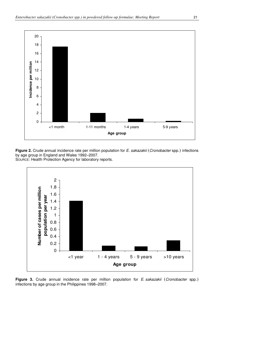

Figure 2. Crude annual incidence rate per million population for E. sakazakii (Cronobacter spp.) infections by age group in England and Wales 1992–2007.





Figure 3. Crude annual incidence rate per million population for E. sakazakii (Cronobacter spp.) infections by age group in the Philippines 1998–2007.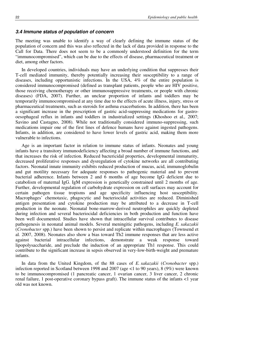# **3.4 Immune status of population of concern**

The meeting was unable to identify a way of clearly defining the immune status of the population of concern and this was also reflected in the lack of data provided in response to the Call for Data. There does not seem to be a commonly understood definition for the term "immunocompromised", which can be due to the effects of disease, pharmaceutical treatment or diet, among other factors.

In developed countries, individuals may have an underlying condition that suppresses their T-cell mediated immunity, thereby potentially increasing their susceptibility to a range of diseases, including opportunistic infections. In the USA, 4% of the entire population is considered immunocompromised (defined as transplant patients, people who are HIV positive, those receiving chemotherapy or other immunosuppressive treatments, or people with chronic diseases) (FDA, 2007). Further, an unclear proportion of infants and toddlers may be temporarily immunocompromised at any time due to the effects of acute illness, injury, stress or pharmaceutical treatments, such as steroids for asthma exacerbations. In addition, there has been a significant increase in the prescription of gastric acid-suppressing medications for gastrooesophageal reflux in infants and toddlers in industrialized settings (Khoshoo et al*.,* 2007; Savino and Castagno, 2008). While not traditionally considered immuno-suppressing, such medications impair one of the first lines of defence humans have against ingested pathogens. Infants, in addition, are considered to have lower levels of gastric acid, making them more vulnerable to infections.

Age is an important factor in relation to immune status of infants. Neonates and young infants have a transitory immunodeficiency affecting a broad number of immune functions, and that increases the risk of infection. Reduced bactericidal properties, developmental immaturity, decreased proliferative responses and dysregulation of cytokine networks are all contributing factors. Neonatal innate immunity exhibits reduced production of mucus, acid, immunoglobulin and gut motility necessary for adequate responses to pathogenic material and to prevent bacterial adherence. Infants between 2 and 6 months of age become IgG deficient due to catabolism of maternal IgG. IgM expression is genetically constrained until 2 months of age. Further, developmental regulation of carbohydrate expression on cell surfaces may account for certain pathogen tissue tropisms and age specificity influencing host susceptibility. Macrophages' chemotaxic, phagocytic and bacteriocidal activities are reduced. Diminished antigen presentation and cytokine production may be attributed to a decrease in T-cell production in the neonate. Neonatal bone-marrow-derived neutrophiles are quickly depleted during infection and several bacteriocidal deficiencies in both production and function have been well documented. Studies have shown that intracellular survival contributes to disease pathogenesis in neonatal animal models. Several meningitic pathogens, including *E. sakazakii* (*Cronobacter* spp.) have been shown to persist and replicate within macrophages (Townsend et al*.* 2007, 2008). Neonates also show a bias toward Th2 immune responses that are less active against bacterial intracellular infections, demonstrate a weak response toward lipopolysaccharide, and preclude the induction of an appropriate Th1 response. This could contribute to the significant increase in sepsis observed in very-low-birth-weight and premature infants.

In data from the United Kingdom, of the 88 cases of *E. sakazakii* (*Cronobacter* spp.) infection reported in Scotland between 1998 and 2007 (age <1 to 90 years), 8 (9%) were known to be immunocompromised (1 pancreatic cancer, 1 ovarian cancer, 3 liver cancer, 2 chronic renal failure, 1 post-operative coronary bypass graft). The immune status of the infants <1 year old was not known.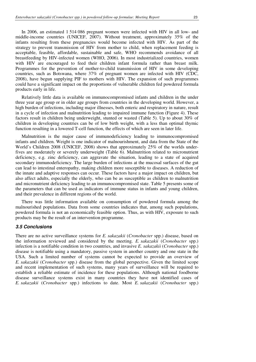In 2006, an estimated 1 514 086 pregnant women were infected with HIV in all low- and middle-income countries (UNICEF, 2007). Without treatment, approximately 35% of the infants resulting from these pregnancies would become infected with HIV. As part of the strategy to prevent transmission of HIV from mother to child, when replacement feeding is acceptable, feasible, affordable, sustainable and safe, WHO recommends avoidance of all breastfeeding by HIV-infected women (WHO, 2006). In most industrialized countries, women with HIV are encouraged to feed their children infant formula rather than breast milk. Programmes for the prevention of mother-to-child transmission of HIV in some developing countries, such as Botswana, where 37% of pregnant women are infected with HIV (CDC, 2008), have begun supplying PIF to mothers with HIV. The expansion of such programmes could have a significant impact on the proportions of vulnerable children fed powdered formula products early in life.

Relatively little data is available on immunocompromised infants and children in the under three year age group or in older age groups from countries in the developing world. However, a high burden of infections, including major illnesses, both enteric and respiratory in nature, result in a cycle of infection and malnutrition leading to impaired immune function (Figure 4). These factors result in children being underweight, stunted or wasted (Table 5). Up to about 30% of children in developing countries can be of low birth weight, with a less than optimal thymic function resulting in a lowered T-cell function, the effects of which are seen in later life.

Malnutrition is the major cause of immunodeficiency leading to immunocompromised infants and children. Weight is one indicator of malnourishment, and data from the State of the World's Children 2008 (UNICEF, 2008) shows that approximately 25% of the worlds underfives are moderately or severely underweight (Table 6). Malnutrition related to micronutrient deficiency, e.g. zinc deficiency, can aggravate the situation, leading to a state of acquired secondary immunodeficiency. The large burden of infections at the mucosal surfaces of the gut can lead to intestinal enteropathy, making children more susceptible to diseases. A reduction of the innate and adaptive responses can occur. These factors have a major impact on children, but also affect adults, especially the elderly, who can be as susceptible as children to malnutrition and micronutrient deficiency leading to an immunocompromised state. Table 5 presents some of the parameters that can be used as indicators of immune status in infants and young children, and their prevalence in different regions of the world.

There was little information available on consumption of powdered formula among the malnourished populations. Data from some countries indicates that, among such populations, powdered formula is not an economically feasible option. Thus, as with HIV, exposure to such products may be the result of an intervention programme.

#### **3.5 Conclusions**

There are no active surveillance systems for *E. sakazakii* (*Cronobacter* spp.) disease, based on the information reviewed and considered by the meeting. *E. sakazakii* (*Cronobacter* spp.) infection is a notifiable condition in two countries, and invasive *E. sakazakii* (*Cronobacter* spp.) disease is notifiable using a mandatory, passive system in another country and one state in the USA. Such a limited number of systems cannot be expected to provide an overview of *E. sakazakii* (*Cronobacter* spp.) disease from the global perspective. Given the limited scope and recent implementation of such systems, many years of surveillance will be required to establish a reliable estimate of incidence for these populations. Although national foodborne disease surveillance systems exist in many countries they have not identified cases of *E. sakazakii* (*Cronobacter* spp.) infections to date. Most *E. sakazakii* (*Cronobacter* spp.)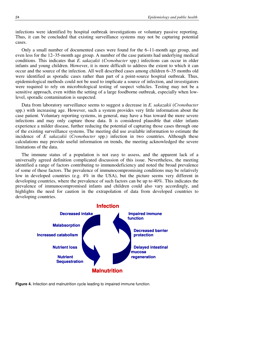infections were identified by hospital outbreak investigations or voluntary passive reporting. Thus, it can be concluded that existing surveillance systems may not be capturing potential cases.

Only a small number of documented cases were found for the 6–11-month age group, and even less for the 12–35-month age group. A number of the case patients had underlying medical conditions. This indicates that *E. sakazakii* (*Cronobacter* spp.) infections can occur in older infants and young children. However, it is more difficult to address the extent to which it can occur and the source of the infection. All well described cases among children 6–35 months old were identified as sporadic cases rather than part of a point-source hospital outbreak. Thus, epidemiological methods could not be used to implicate a source of infection, and investigators were required to rely on microbiological testing of suspect vehicles. Testing may not be a sensitive approach, even within the setting of a large foodborne outbreak, especially when lowlevel, sporadic contamination is suspected.

Data from laboratory surveillance seems to suggest a decrease in *E. sakazakii* (*Cronobacter* spp.) with increasing age. However, such a system provides very little information about the case patient. Voluntary reporting systems, in general, may have a bias toward the more severe infections and may only capture those data. It is considered plausible that older infants experience a milder disease, further reducing the potential of capturing those cases through one of the existing surveillance systems. The meeting did use available information to estimate the incidence of *E sakazakii* (*Cronobacter* spp.) infection in two countries. Although these calculations may provide useful information on trends, the meeting acknowledged the severe limitations of the data.

The immune status of a population is not easy to assess, and the apparent lack of a universally agreed definition complicated discussion of this issue. Nevertheless, the meeting identified a range of factors contributing to immunodeficiency and noted the broad prevalence of some of these factors. The prevalence of immunocompromising conditions may be relatively low in developed countries (e.g. 4% in the USA), but the picture seems very different in developing countries, where the prevalence of such factors can be up to 40%. This indicates the prevalence of immunocompromised infants and children could also vary accordingly, and highlights the need for caution in the extrapolation of data from developed countries to developing countries.



**Figure 4.** Infection and malnutrition cycle leading to impaired immune function.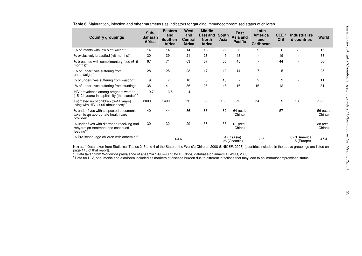| <b>Country groupings</b>                                                                        | Sub-<br><b>Saharan</b><br><b>Africa</b> | <b>Eastern</b><br>and<br><b>Southern</b><br><b>Africa</b> | West<br>and<br>Central<br><b>Africa</b> | <b>Middle</b><br><b>East and</b><br><b>North</b><br><b>Africa</b> | <b>South</b><br>Asia | East<br>Asia and<br><b>Pacific</b> | Latin<br><b>America</b><br>and<br><b>Caribbean</b> | CEE /<br><b>CIS</b> | <b>Industrialize</b><br>d countries | World               |
|-------------------------------------------------------------------------------------------------|-----------------------------------------|-----------------------------------------------------------|-----------------------------------------|-------------------------------------------------------------------|----------------------|------------------------------------|----------------------------------------------------|---------------------|-------------------------------------|---------------------|
| % of infants with low birth weight*                                                             | 14                                      | 14                                                        | 14                                      | 16                                                                | 29                   | 6                                  | 9                                                  | 6                   | 7                                   | 15                  |
| % exclusively breastfed (<6 months)*                                                            | 30                                      | 39                                                        | 21                                      | 28                                                                | 45                   | 43                                 |                                                    | 19                  |                                     | 38                  |
| % breastfed with complimentary food (6-9<br>months)*                                            | 67                                      | 71                                                        | 63                                      | 57                                                                | 55                   | 45                                 |                                                    | 44                  |                                     | 56                  |
| % of under-fives suffering from<br>underweight*                                                 | 28                                      | 28                                                        | 28                                      | 17                                                                | 42                   | 14                                 | 7                                                  | 5                   |                                     | 25                  |
| % of under-fives suffering from wasting*                                                        | 9                                       | $\overline{7}$                                            | 10                                      | 8                                                                 | 18                   | $\overline{\phantom{a}}$           | 2                                                  | 2                   |                                     | 11                  |
| % of under-fives suffering from stunting*                                                       | 38                                      | 41                                                        | 36                                      | 25                                                                | 46                   | 16                                 | 16                                                 | 12                  |                                     | 31                  |
| HIV prevalence among pregnant women<br>(15-24 years) in capital city (thousands) <sup>*#</sup>  | 9.7                                     | 13.5                                                      | 4                                       |                                                                   |                      |                                    |                                                    |                     |                                     |                     |
| Estimated no of children (0-14 years)<br>living with HIV, 2005 (thousands)*                     | 2000                                    | 1400                                                      | 650                                     | 33                                                                | 130                  | 50                                 | 54                                                 | 9                   | 13                                  | 2300                |
| % under-fives with suspected pneumonia<br>taken to an appropriate health care<br>provider*#     | 40                                      | 44                                                        | 36                                      | 66                                                                | 62                   | 64 (excl.<br>China)                |                                                    | 57                  |                                     | 56 (excl.<br>China) |
| % under-fives with diarrhoea receiving oral<br>rehydration treatment and continued<br>feeding*# | 30                                      | 32                                                        | 29                                      | 38                                                                | 35                   | 61 (excl.<br>China)                |                                                    |                     |                                     | 38 (excl.<br>China) |
| % Pre-school-age children with anaemia**                                                        |                                         | 64.6                                                      |                                         |                                                                   |                      | 47.7 (Asia)<br>28 (Oceania)        | 39.5                                               |                     | 6 (N. America)<br>1.5 (Europe)      | 47.4                |

NOTES: \* Data taken from Statistical Tables 2, 3 and 4 of the State of the World's Children 2008 (UNICEF, 2008) (countries included in the above groupings are listed on page 148 of that report).

\*\* Data taken from Worldwide prevalence of anaemia 1993–2005; WHO Global database on anaemia (WHO, 2008)<br># Data for HIV, pneumonia and diarrhoea included as markers of disease burden due to different infections that may le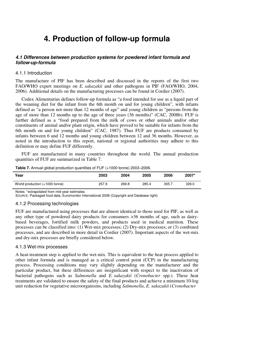# **4. Production of follow-up formula**

# **4.1 Differences between production systems for powdered infant formula and follow-up-formula**

#### 4.1.1 Introduction

The manufacture of PIF has been described and discussed in the reports of the first two FAO/WHO expert meetings on *E. sakazakii* and other pathogens in PIF (FAO/WHO, 2004, 2006). Additional details on the manufacturing processes can be found in Cordier (2007).

Codex Alimentarius defines follow-up formula as "a food intended for use as a liquid part of the weaning diet for the infant from the 6th month on and for young children", with infants defined as "a person not more than 12 months of age" and young children as "persons from the age of more than 12 months up to the age of three years (36 months)" (CAC, 2008b). FUF is further defined as a "food prepared from the milk of cows or other animals and/or other constituents of animal and/or plant origin, which have proved to be suitable for infants from the 6th month on and for young children" (CAC, 1987). Thus FUF are products consumed by infants between 6 and 12 months and young children between 12 and 36 months. However, as noted in the introduction to this report, national or regional authorities may adhere to this definition or may define FUF differently.

FUF are manufactured in many countries throughout the world. The annual production quantities of FUF are summarized in Table 7.

|                                | ~ |  |       |       |       |       |       |
|--------------------------------|---|--|-------|-------|-------|-------|-------|
| Year                           |   |  | 2003  | 2004  | 2005  | 2006  | 2007* |
| World production (×1000 tonne) |   |  | 257.9 | 269.8 | 285.4 | 305.7 | 329.0 |

Table 7. Annual global production quantities of FUF (×1000 tonne) 2003–2006.

Notes: \*extrapolated from mid-year estimates.

SOURCE: Packaged food data, Euromonitor International 2008 (Copyright and Database right)

#### 4.1.2 Processing technologies

FUF are manufactured using processes that are almost identical to those used for PIF, as well as any other type of powdered dairy products for consumers >36 months of age, such as dairybased beverages, fortified milk powders, and products used in medical nutrition. These processes can be classified into: (1) Wet-mix processes; (2) Dry-mix processes; or (3) combined processes, and are described in more detail in Cordier (2007). Important aspects of the wet-mix and dry-mix processes are briefly considered below.

### 4.1.3 Wet-mix processes

A heat-treatment step is applied to the wet-mix. This is equivalent to the heat process applied to other infant formula and is managed as a critical control point (CCP) in the manufacturing process. Processing conditions may vary slightly depending on the manufacturer and the particular product, but these differences are insignificant with respect to the inactivation of bacterial pathogens such as *Salmonella* and *E. sakazakii* (*Cronobacter* spp.). These heat treatments are validated to ensure the safety of the final products and achieve a minimum 10-log unit reduction for vegetative microorganisms, including *Salmonella*, *E. sakazakii* (*Cronobacter*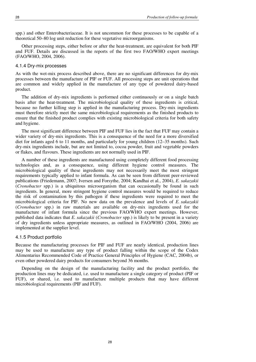spp.) and other Enterobacteriaceae. It is not uncommon for these processes to be capable of a theoretical 50–80 log unit reduction for these vegetative microorganisms.

Other processing steps, either before or after the heat-treatment, are equivalent for both PIF and FUF. Details are discussed in the reports of the first two FAO/WHO expert meetings (FAO/WHO, 2004, 2006).

## 4.1.4 Dry-mix processes

As with the wet-mix process described above, there are no significant differences for dry-mix processes between the manufacture of PIF or FUF. All processing steps are unit operations that are common and widely applied in the manufacture of any type of powdered dairy-based product.

The addition of dry-mix ingredients is performed either continuously or on a single batch basis after the heat-treatment. The microbiological quality of these ingredients is critical, because no further killing step is applied in the manufacturing process. Dry-mix ingredients must therefore strictly meet the same microbiological requirements as the finished products to ensure that the finished product complies with existing microbiological criteria for both safety and hygiene.

The most significant difference between PIF and FUF lies in the fact that FUF may contain a wider variety of dry-mix ingredients. This is a consequence of the need for a more diversified diet for infants aged 6 to 11 months, and particularly for young children (12–35 months). Such dry-mix ingredients include, but are not limited to, cocoa powder, fruit and vegetable powders or flakes, and flavours. These ingredients are not normally used in PIF.

A number of these ingredients are manufactured using completely different food processing technologies and, as a consequence, using different hygiene control measures. The microbiological quality of these ingredients may not necessarily meet the most stringent requirements typically applied to infant formula. As can be seen from different peer-reviewed publications (Friedemann, 2007; Iversen and Forsythe, 2004; Kandhai et al*.*, 2004), *E. sakazakii* (*Cronobacter* spp.) is a ubiquitous microorganism that can occasionally be found in such ingredients. In general, more stringent hygiene control measures would be required to reduce the risk of contamination by this pathogen if these ingredients were required to meet the microbiological criteria for PIF. No new data on the prevalence and levels of *E. sakazakii* (*Cronobacter* spp.) in raw materials are available on dry-mix ingredients used for the manufacture of infant formula since the previous FAO/WHO expert meetings. However, published data indicates that *E. sakazakii* (*Cronobacter* spp.) is likely to be present in a variety of dry ingredients unless appropriate measures, as outlined in FAO/WHO (2004, 2006) are implemented at the supplier level.

## 4.1.5 Product portfolio

Because the manufacturing processes for PIF and FUF are nearly identical, production lines may be used to manufacture any type of product falling within the scope of the Codex Alimentarius Recommended Code of Practice General Principles of Hygiene (CAC, 2004b), or even other powdered dairy products for consumers beyond 36 months.

Depending on the design of the manufacturing facility and the product portfolio, the production lines may be dedicated, i.e. used to manufacture a single category of product (PIF or FUF), or shared, i.e. used to manufacture multiple products that may have different microbiological requirements (PIF and FUF).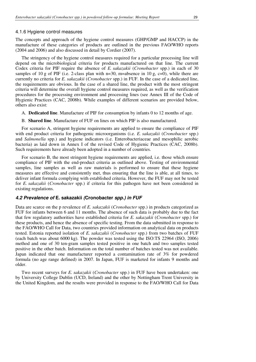#### 4.1.6 Hygiene control measures

The concepts and approach of the hygiene control measures (GHP/GMP and HACCP) in the manufacture of these categories of products are outlined in the previous FAO/WHO reports (2004 and 2006) and also discussed in detail by Cordier (2007).

The stringency of the hygiene control measures required for a particular processing line will depend on the microbiological criteria for products manufactured on that line. The current Codex criteria for PIF require the absence of *E. sakazakii* (*Cronobacter* spp.) in each of 30 samples of 10 g of PIF (i.e. 2-class plan with n=30, m=absence in 10 g, c=0), while there are currently no criteria for *E. sakazakii* (*Cronobacter* spp.) in FUF. In the case of a dedicated line, the requirements are obvious. In the case of a shared line, the product with the most stringent criteria will determine the overall hygiene control measures required, as well as the verification procedures for the processing environment and processing lines (see Annex III of the Code of Hygienic Practices (CAC, 2008b). While examples of different scenarios are provided below, others also exist:

- A. **Dedicated line**. Manufacture of PIF for consumption by infants 0 to 12 months of age.
- B. **Shared line**. Manufacture of FUF on lines on which PIF is also manufactured.

For scenario A, stringent hygiene requirements are applied to ensure the compliance of PIF with end product criteria for pathogenic microorganisms (i.e. *E. sakazakii* (*Cronobacter* spp.) and *Salmonella* spp.) and hygiene indicators (i.e. Enterobacteriaceae and mesophilic aerobic bacteria) as laid down in Annex I of the revised Code of Hygienic Practices (CAC, 2008b). Such requirements have already been adopted in a number of countries.

For scenario B, the most stringent hygiene requirements are applied, i.e. those which ensure compliance of PIF with the end-product criteria as outlined above. Testing of environmental samples, line samples as well as raw materials is performed to ensure that these hygiene measures are effective and consistently met, thus ensuring that the line is able, at all times, to deliver infant formula complying with established criteria. However, the FUF may not be tested for *E. sakazakii* (*Cronobacter* spp.) if criteria for this pathogen have not been considered in existing regulations.

#### **4.2 Prevalence of E. sakazakii (Cronobacter spp.) in FUF**

Data are scarce on the p revalence of *E. sakazakii* (*Cronobacter* spp.) in products categorized as FUF for infants between 6 and 11 months. The absence of such data is probably due to the fact that few regulatory authorities have established criteria for *E. sakazakii* (*Cronobacter* spp.) for these products, and hence the absence of specific testing. From the data submitted in response to the FAO/WHO Call for Data, two countries provided information on analytical data on products tested. Estonia reported isolation of *E. sakazakii* (*Cronobacter* spp.) from two batches of FUF (each batch was about 6000 kg). The powder was tested using the ISO:TS 22964 (ISO, 2006) method and one of 30 ten-gram samples tested positive in one batch and two samples tested positive in the other batch. Information on the total number of batches tested was not available. Japan indicated that one manufacturer reported a contamination rate of 3% for powdered formula (no age range defined) in 2007. In Japan, FUF is marketed for infants 9 months and older.

Two recent surveys for *E. sakazakii* (*Cronobacter* spp.) in FUF have been undertaken: one by University College Dublin (UCD, Ireland) and the other by Nottingham Trent University in the United Kingdom, and the results were provided in response to the FAO/WHO Call for Data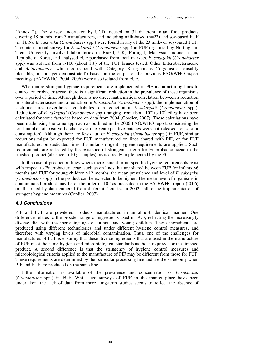(Annex 2). The survey undertaken by UCD focused on 31 different infant food products covering 18 brands from 7 manufacturers, and including milk-based (n=22) and soy-based FUF (n=1). No *E. sakazakii* (*Cronobacter* spp.) were found in any of the 23 milk- or soy-based FUF. The international survey for *E. sakazakii* (*Cronobacter* spp.) in FUF organized by Nottingham Trent University involved laboratories in Brazil, UK, Portugal, Malaysia, Indonesia and Republic of Korea, and analysed FUF purchased from local markets. *E. sakazakii* (*Cronobacter* spp.) was isolated from 1/106 (about 1%) of the FUF brands tested. Other Enterobacteriaceae and *Acinetobacter,* which correspond with Category B organisms ('organisms causality plausible, but not yet demonstrated') based on the output of the previous FAO/WHO expert meetings (FAO/WHO, 2004, 2006) were also isolated from FUF.

When more stringent hygiene requirements are implemented in PIF manufacturing lines to control Enterobacteriaceae, there is a significant reduction in the prevalence of these organisms over a period of time. Although there is no direct mathematical correlation between a reduction in Enterobacteriaceae and a reduction in *E. sakazakii* (*Cronobacter* spp.), the implementation of such measures nevertheless contributes to a reduction in *E. sakazakii* (*Cronobacter* spp.). Reductions of *E. sakazakii* (*Cronobacter* spp.) ranging from about  $10^{-4}$  to  $10^{-6}$  cfu/g have been calculated for some factories based on data from 2004 (Cordier, 2007). These calculations have been made using the same approach as outlined in the 2006 FAO/WHO report, considering the total number of positive batches over one year (positive batches were not released for sale or consumption). Although there are few data for *E. sakazakii* (*Cronobacter* spp.) in FUF, similar reductions might be expected for FUF manufactured on lines shared with PIF, or for FUF manufactured on dedicated lines if similar stringent hygiene requirements are applied. Such requirements are reflected by the existence of stringent criteria for Enterobacteriaceae in the finished product (absence in 10 g samples), as is already implemented by the EC.

In the case of production lines where more lenient or no specific hygiene requirements exist with respect to Enterobacteriaceae, such as on lines that are shared between FUF for infants  $>6$ months and FUF for young children >12 months, the mean prevalence and level of *E. sakazakii* (*Cronobacter* spp.) in the product can be expected to be higher. The mean level of organisms in contaminated product may be of the order of  $10^{-3}$  as presented in the FAO/WHO report (2006) or illustrated by data gathered from different factories in 2002 before the implementation of stringent hygiene measures (Cordier, 2007).

#### **4.3 Conclusions**

PIF and FUF are powdered products manufactured in an almost identical manner. One difference relates to the broader range of ingredients used in FUF, reflecting the increasingly diverse diet with the increasing age of infants and young children. These ingredients are produced using different technologies and under different hygiene control measures, and therefore with varying levels of microbial contamination. Thus, one of the challenges for manufactures of FUF is ensuring that these diverse ingredients that are used in the manufacture of FUF meet the same hygiene and microbiological standards as those required for the finished product. A second difference is that the stringency of hygiene control measures and microbiological criteria applied to the manufacture of PIF may be different from those for FUF. These requirements are determined by the particular processing line and are the same only when PIF and FUF are produced on the same line.

Little information is available of the prevalence and concentration of *E. sakazkaii*  (*Cronobacter* spp.) in FUF. While two surveys of FUF in the market place have been undertaken, the lack of data from more long-term studies seems to reflect the absence of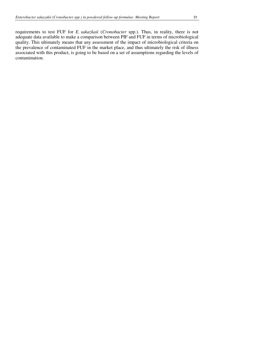requirements to test FUF for *E. sakazkaii* (*Cronobacter* spp.). Thus, in reality, there is not adequate data available to make a comparison between PIF and FUF in terms of microbiological quality. This ultimately means that any assessment of the impact of microbiological criteria on the prevalence of contaminated FUF in the market place, and thus ultimately the risk of illness associated with this product, is going to be based on a set of assumptions regarding the levels of contamination.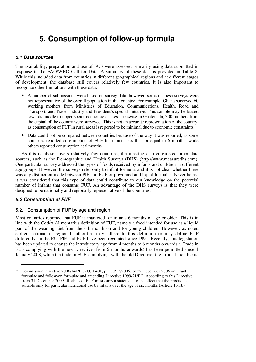# **5. Consumption of follow-up formula**

# **5.1 Data sources**

The availability, preparation and use of FUF were assessed primarily using data submitted in response to the FAO/WHO Call for Data. A summary of these data is provided in Table 8. While this included data from countries in different geographical regions and at different stages of development, the database still covers relatively few countries. It is also important to recognize other limitations with these data:

- A number of submissions were based on survey data; however, some of these surveys were not representative of the overall population in that country. For example, Ghana surveyed 60 working mothers from Ministries of Education, Communications, Health, Road and Transport, and Trade, Industry and President's special initiative. This sample may be biased towards middle to upper socio- economic classes. Likewise in Guatemala, 300 mothers from the capital of the country were surveyed. This is not an accurate representation of the country, as consumption of FUF in rural areas is reported to be minimal due to economic constraints.
- Data could not be compared between countries because of the way it was reported, as some countries reported consumption of FUF for infants less than or equal to 6 months, while others reported consumption at 6 months.

As this database covers relatively few countries, the meeting also considered other data sources, such as the Demographic and Health Surveys (DHS) (http://www.measuredhs.com). One particular survey addressed the types of foods received by infants and children in different age groups. However, the surveys refer only to infant formula, and it is not clear whether there was any distinction made between PIF and FUF or powdered and liquid formulas. Nevertheless it was considered that this type of data could contribute to our knowledge on the potential number of infants that consume FUF. An advantage of the DHS surveys is that they were designed to be nationally and regionally representative of the countries.

# **5.2 Consumption of FUF**

 $\overline{a}$ 

## 5.2.1 Consumption of FUF by age and region

Most countries reported that FUF is marketed for infants 6 months of age or older. This is in line with the Codex Alimentarius definition of FUF, namely a food intended for use as a liquid part of the weaning diet from the 6th month on and for young children. However, as noted earlier, national or regional authorities may adhere to this definition or may define FUF differently. In the EU, PIF and FUF have been regulated since 1991. Recently, this legislation has been updated to change the introductory age from 4 months to 6 months onwards<sup>10</sup>. Trade in FUF complying with the new Directive (from 6 months onwards) has been permitted since 1 January 2008, while the trade in FUF complying with the old Directive (i.e. from 4 months) is

<sup>&</sup>lt;sup>10</sup> Commission Directive 2006/141/EC (OJ L401, p1, 30/12/2006) of 22 December 2006 on infant formulae and follow-on formulae and amending Directive 1999/21/EC. According to this Directive, from 31 December 2009 all labels of FUF must carry a statement to the effect that the product is suitable only for particular nutritional use by infants over the age of six months (Article 13.1b).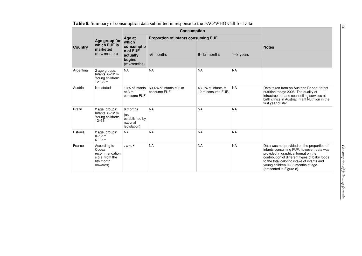|                |                                                                                      |                                                                        | <b>Consumption</b>                         |                                          |             |                                                                                                                                                                                                                                                                                                 |  |
|----------------|--------------------------------------------------------------------------------------|------------------------------------------------------------------------|--------------------------------------------|------------------------------------------|-------------|-------------------------------------------------------------------------------------------------------------------------------------------------------------------------------------------------------------------------------------------------------------------------------------------------|--|
|                | Age group for                                                                        | Age at                                                                 | <b>Proportion of infants consuming FUF</b> |                                          |             |                                                                                                                                                                                                                                                                                                 |  |
| <b>Country</b> | which FUF is<br>marketed<br>$(m = months)$                                           | which<br>consumptio<br>n of FUF<br>actually<br>begins<br>$(m=$ months) | $<$ 6 months                               | $6-12$ months                            | $1-3$ years | <b>Notes</b>                                                                                                                                                                                                                                                                                    |  |
| Argentina      | 2 age groups:<br>Infants: $6-12$ m<br>Young children:<br>$12 - 36$ m                 | <b>NA</b>                                                              | <b>NA</b>                                  | <b>NA</b>                                | <b>NA</b>   |                                                                                                                                                                                                                                                                                                 |  |
| Austria        | Not stated                                                                           | 10% of infants<br>at $3m$<br>consume FUF                               | 60.4% of infants at 6 m<br>consume FUF     | 48.9% of infants at<br>12 m consume FUF. | <b>NA</b>   | Data taken from an Austrian Report "Infant<br>nutrition today: 2006: The quality of<br>infrastructure and counselling services at<br>birth clinics in Austria: Infant Nutrition in the<br>first year of life"                                                                                   |  |
| <b>Brazil</b>  | 2 age groups:<br>Infants: $6-12$ m<br>Young children:<br>$12 - 36$ m                 | 6 months<br>(as<br>established by<br>national<br>legislation)          | <b>NA</b>                                  | <b>NA</b>                                | <b>NA</b>   |                                                                                                                                                                                                                                                                                                 |  |
| Estonia        | 2 age groups:<br>$0 - 12$ m<br>$6 - 12$ m                                            | <b>NA</b>                                                              | <b>NA</b>                                  | <b>NA</b>                                | <b>NA</b>   |                                                                                                                                                                                                                                                                                                 |  |
| France         | According to<br>Codex<br>recommendation<br>s (i.e. from the<br>6th month<br>onwards) | $<$ 4 m $*$                                                            | <b>NA</b>                                  | <b>NA</b>                                | <b>NA</b>   | Data was not provided on the proportion of<br>infants consuming FUF; however, data was<br>provided in graphical format on the<br>contribution of different types of baby foods<br>to the total calorific intake of infants and<br>young children 0-36 months of age<br>(presented in Figure 8). |  |

**Table 8.** Summary of consumption data submitted in response to the FAO/WHO Call for Data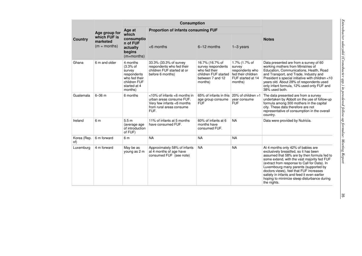|                    |                          |                                                                                                             | <b>Consumption</b>                                                                                                         |                                                                                                               |                                                                                                  |                                                                                                                                                                                                                                                                                                                                                                                                                            |
|--------------------|--------------------------|-------------------------------------------------------------------------------------------------------------|----------------------------------------------------------------------------------------------------------------------------|---------------------------------------------------------------------------------------------------------------|--------------------------------------------------------------------------------------------------|----------------------------------------------------------------------------------------------------------------------------------------------------------------------------------------------------------------------------------------------------------------------------------------------------------------------------------------------------------------------------------------------------------------------------|
|                    | Age group for            | Age at                                                                                                      | <b>Proportion of infants consuming FUF</b>                                                                                 |                                                                                                               |                                                                                                  |                                                                                                                                                                                                                                                                                                                                                                                                                            |
| <b>Country</b>     | which FUF is<br>marketed | which<br>consumptio<br>n of FUF                                                                             |                                                                                                                            |                                                                                                               |                                                                                                  | <b>Notes</b>                                                                                                                                                                                                                                                                                                                                                                                                               |
|                    | $(m = months)$           | actually<br>begins<br>$(m=$ months)                                                                         | $<$ 6 months                                                                                                               | 6-12 months                                                                                                   | $1-3$ years                                                                                      |                                                                                                                                                                                                                                                                                                                                                                                                                            |
| Ghana              | 6 m and older            | 4 months<br>$(3.3%$ of<br>survey<br>respondents<br>who fed their<br>children FUF<br>started at 4<br>months) | 33.3% (33.3% of survey<br>respondents who fed their<br>children FUF started at or<br>before 6 months)                      | 16.7% (16.7% of<br>survey respondents<br>who fed their<br>children FUF started<br>between 7 and 12<br>months) | 1.7% (1.7% of<br>survey<br>respondents who<br>fed their children<br>FUF started at 14<br>months) | Data presented are from a survey of 60<br>working mothers from Ministries of<br>Education, Communications, Health, Road<br>and Transport, and Trade, Industry and<br>President s special initiative with children <10<br>years old. About 28% of respondents used<br>only infant formula, 12% used only FUF and<br>38% used both.                                                                                          |
| Guatemala          | $6 - 36$ m               | 6 months                                                                                                    | <10% of infants <6 months in<br>urban areas consume FUF.<br>Very few infants <6 months<br>from rural areas consume<br>FUF. | 65% of infants in this<br>age group consume<br><b>FUF</b>                                                     | 20% of children >1<br>year consume<br><b>FUF</b>                                                 | The data presented are from a survey<br>undertaken by Abbott on the use of follow-up<br>formula among 300 mothers in the capital<br>city. These data therefore are not<br>representative of consumption in the overall<br>country.                                                                                                                                                                                         |
| Ireland            | 6 m                      | 5.5 <sub>m</sub><br>(average age<br>of introduction<br>of FUF)                                              | 11% of infants at 5 months<br>have consumed FUF.                                                                           | 60% of infants at 6<br>months have<br>consumed FUF.                                                           | <b>NA</b>                                                                                        | Data were provided by Nutricia.                                                                                                                                                                                                                                                                                                                                                                                            |
| Korea (Rep.<br>of) | 6 m forward              | 6 <sub>m</sub>                                                                                              | <b>NA</b>                                                                                                                  | <b>NA</b>                                                                                                     | <b>NA</b>                                                                                        |                                                                                                                                                                                                                                                                                                                                                                                                                            |
| Luxemburg          | 4 m forward              | May be as<br>young as 2 m                                                                                   | Approximately 58% of infants<br>at 4 months of age have<br>consumed FUF (see note)                                         | <b>NA</b>                                                                                                     | <b>NA</b>                                                                                        | At 4 months only 42% of babies are<br>exclusively breastfed, so it has been<br>assumed that 58% are by then formula fed to<br>some extend, with the vast majority fed FUF<br>(extract from response to Call for Data). In<br>Luxembourg many parents (supported by<br>doctors views), feel that FUF increases<br>satiety in infants and feed it even earlier<br>hoping to minimize sleep disturbance during<br>the nights. |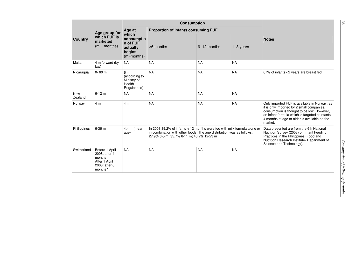|                       |                                                                                                    |                                                               | <b>Consumption</b>                                                                                                                                                                              |             |             |                                                                                                                                                                                                                                                      |
|-----------------------|----------------------------------------------------------------------------------------------------|---------------------------------------------------------------|-------------------------------------------------------------------------------------------------------------------------------------------------------------------------------------------------|-------------|-------------|------------------------------------------------------------------------------------------------------------------------------------------------------------------------------------------------------------------------------------------------------|
|                       | Age group for                                                                                      | Age at                                                        | <b>Proportion of infants consuming FUF</b>                                                                                                                                                      |             |             |                                                                                                                                                                                                                                                      |
| <b>Country</b>        | which FUF is<br>marketed<br>$(m = months)$                                                         | which<br>consumptio<br>n of FUF                               | $<$ 6 months                                                                                                                                                                                    | 6-12 months | $1-3$ years | <b>Notes</b>                                                                                                                                                                                                                                         |
|                       |                                                                                                    | actually<br>begins<br>$(m=$ months)                           |                                                                                                                                                                                                 |             |             |                                                                                                                                                                                                                                                      |
| Malta                 | 4 m forward (by<br>law)                                                                            | <b>NA</b>                                                     | <b>NA</b>                                                                                                                                                                                       | <b>NA</b>   | <b>NA</b>   |                                                                                                                                                                                                                                                      |
| Nicaragua             | $0 - 60$ m                                                                                         | 6 m<br>(according to<br>Ministry of<br>Health<br>Regulations) | <b>NA</b>                                                                                                                                                                                       | <b>NA</b>   | <b>NA</b>   | 67% of infants <2 years are breast fed                                                                                                                                                                                                               |
| <b>New</b><br>Zealand | $6 - 12$ m                                                                                         | <b>NA</b>                                                     | <b>NA</b>                                                                                                                                                                                       | <b>NA</b>   | <b>NA</b>   |                                                                                                                                                                                                                                                      |
| Norway                | 4 <sub>m</sub>                                                                                     | 4 m                                                           | <b>NA</b>                                                                                                                                                                                       | <b>NA</b>   | <b>NA</b>   | Only imported FUF is available in Norway: as<br>it is only imported by 2 small companies,<br>consumption is thought to be low. However,<br>an infant formula which is targeted at infants<br>4 months of age or older is available on the<br>market. |
| Philippines           | 6-36 m                                                                                             | $4.4$ m (mean<br>age)                                         | In 2003 39.2% of infants $<$ 12 months were fed with milk formula alone or<br>in combination with other foods. The age distribution was as follows:<br>27.9% 0-5 m; 35.7% 6-11 m; 46.2% 12-23 m |             |             | Data presented are from the 6th National<br>Nutrition Survey (2003) on Infant Feeding<br>Practices in the Philippines (Food and<br>Nutrition Research Institute- Department of<br>Science and Technology).                                           |
| Switzerland           | Before 1 April<br>2008: after 4<br>months<br>After 1 April<br>2008: after 6<br>months <sup>*</sup> | <b>NA</b>                                                     | <b>NA</b>                                                                                                                                                                                       | <b>NA</b>   | <b>NA</b>   |                                                                                                                                                                                                                                                      |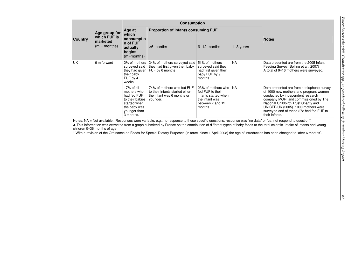|                   |                                                                        |                                                                                                                          | <b>Consumption</b>                                                                                    |                                                                                                                 |                                                                                                                            |                                                                                                                                                                                                                                                                                                                 |  |
|-------------------|------------------------------------------------------------------------|--------------------------------------------------------------------------------------------------------------------------|-------------------------------------------------------------------------------------------------------|-----------------------------------------------------------------------------------------------------------------|----------------------------------------------------------------------------------------------------------------------------|-----------------------------------------------------------------------------------------------------------------------------------------------------------------------------------------------------------------------------------------------------------------------------------------------------------------|--|
|                   | Age group for                                                          | Age at                                                                                                                   | <b>Proportion of infants consuming FUF</b>                                                            |                                                                                                                 |                                                                                                                            |                                                                                                                                                                                                                                                                                                                 |  |
| Country           | which FUF is<br>marketed<br>$(m = months)$                             | which<br>consumptio<br>n of FUF<br>actually<br>begins<br>$(m=months)$                                                    | $<$ 6 months                                                                                          | $6-12$ months                                                                                                   | $1-3$ years                                                                                                                | <b>Notes</b>                                                                                                                                                                                                                                                                                                    |  |
| UK<br>6 m forward | surveyed said<br>they had given $ $<br>their baby<br>FUF by 4<br>weeks | 2% of mothers 34% of mothers surveyed said<br>they had first given their baby<br>FUF by 6 months                         | 51% of mothers<br>surveyed said they<br>had first given their<br>baby FUF by 9<br>months              | <b>NA</b>                                                                                                       | Data presented are from the 2005 Infant<br>Feeding Survey (Bolling et al., 2007)<br>A total of 9416 mothers were surveyed. |                                                                                                                                                                                                                                                                                                                 |  |
|                   |                                                                        | 17% of all<br>mothers who<br>had fed FUF<br>to their babies<br>started when<br>the baby was<br>younger than<br>3 months. | 74% of mothers who fed FUF<br>to their infants started when<br>the infant was 6 months or<br>younger. | 23% of mothers who<br>fed FUF to their<br>infants started when<br>the infant was<br>between 7 and 12<br>months. | l NA                                                                                                                       | Data presented are from a telephone survey<br>of 1000 new mothers and pregnant women<br>conducted by independent research<br>company MORI and commissioned by The<br>National Childbirth Trust Charity and<br>UNICEF-UK (2005). 1000 mothers were<br>surveyed and of these 272 had fed FUF to<br>their infants. |  |

Notes: NA = Not available. Responses were variable, e.g., no response to these specific questions, response was "no data" or "cannot respond to question".<br>▲ This information was extracted from a graph submitted by France o children 0–36 months of age

♦ With a revision of the Ordinance on Foods for Special Dietary Purposes (in force since 1 April 2008) the age of introduction has been changed to 'after 6 months'.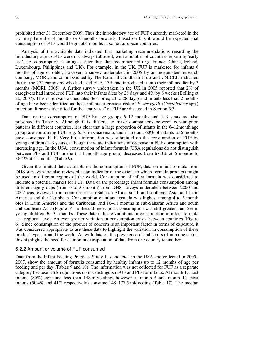prohibited after 31 December 2009. Thus the introductory age of FUF currently marketed in the EU may be either 4 months or 6 months onwards. Based on this it would be expected that consumption of FUF would begin at 4 months in some European countries.

Analysis of the available data indicated that marketing recommendations regarding the introductory age to FUF were not always followed, with a number of countries reporting 'early use', i.e. consumption at an age earlier than that recommended (e.g. France, Ghana, Ireland, Luxembourg, Philippines and UK). For example, in the UK, FUF is marketed for infants 6 months of age or older; however, a survey undertaken in 2005 by an independent research company, MORI, and commissioned by The National Childbirth Trust and UNICEF, indicated that of the 272 caregivers who had used FUF, 17% had introduced it into their infants diet by 3 months (MORI, 2005). A further survey undertaken in the UK in 2005 reported that 2% of caregivers had introduced FUF into their infants diets by 28 days and 4% by 8 weeks (Bolling et al*.*, 2007). This is relevant as neonates (less or equal to 28 days) and infants less than 2 months of age have been identified as those infants at greatest risk of *E. sakazakii* (*Cronobacter* spp.) infection. Reasons identified for the "early use" of FUF are discussed in Section 5.3.

Data on the consumption of FUF by age groups  $6-12$  months and  $1-3$  years are also presented in Table 8. Although it is difficult to make comparisons between consumption patterns in different countries, it is clear that a large proportion of infants in the 6–12month age group are consuming FUF, e.g. 65% in Guatemala, and in Ireland 60% of infants at 6 months have consumed FUF. Very little information was submitted on the consumption of FUF by young children (1–3 years), although there are indications of decrease in FUF consumption with increasing age. In the USA, consumption of infant formula (USA regulations do not distinguish between PIF and FUF in the 6–11 month age group) decreases from 67.3% at 6 months to 36.4% at 11 months (Table 9).

Given the limited data available on the consumption of FUF, data on infant formula from DHS surveys were also reviewed as an indicator of the extent to which formula products might be used in different regions of the world. Consumption of infant formula was considered to indicate a potential market for FUF. Data on the percentage infant formula consumption among different age groups (from 0 to 35 month) from DHS surveys undertaken between 2000 and 2007 was reviewed from countries in sub-Saharan Africa, south and southeast Asia, and Latin America and the Caribbean. Consumption of infant formula was highest among 4 to 5 month olds in Latin America and the Caribbean, and 10–11 months in sub-Saharan Africa and south and southeast Asia (Figure 5). In these three regions, consumption was still greater than 5% in young children 30–35 months. These data indicate variations in consumption in infant formula at a regional level. An even greater variation in consumption exists between countries (Figure 6). Since consumption of the product of concern is an important factor in terms of exposure, it was considered appropriate to use these data to highlight the variation in consumption of these product types around the world. As with data on the prevalence of indicators of immune status, this highlights the need for caution in extrapolation of data from one country to another.

## 5.2.2 Amount or volume of FUF consumed

Data from the Infant Feeding Practices Study II, conducted in the USA and collected in 2005– 2007, show the amount of formula consumed by healthy infants up to 12 months of age per feeding and per day (Tables 9 and 10). The information was not collected for FUF as a separate category because USA regulations do not distinguish FUF and PIF for infants. At month 1, most infants (80%) consume less than 148 ml/feeding; however at month 6 and month 12 most infants (50.4% and 41% respectively) consume 148–177.5 ml/feeding (Table 10). The median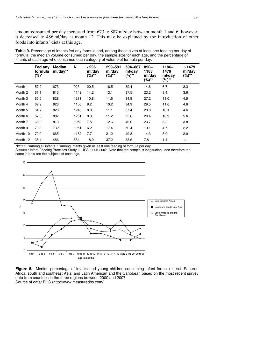amount consumed per day increased from 673 to 887 ml/day between month 1 and 6; however, it decreased to 486 ml/day at month 12. This may be explained by the introduction of other foods into infants' diets at this age.

**Table 9.** Percentage of infants fed any formula and, among those given at least one feeding per day of formula, the median volume consumed per day, the sample size for each age, and the percentage of infants of each age who consumed each category of volume of formula per day.

|          | Fed any<br>formula<br>(%)* | <b>Median</b><br>$ml/day**$ | N    | < 296<br>ml/dav<br>(%)** | 299-591<br>ml/dav<br>(%)** | 594-887<br>ml/dav<br>(%)** | $890 -$<br>1183<br>ml/dav<br>(%)** | 1186-<br>1479<br>ml/day<br>$(%)^{**}$ | >1479<br>ml/day<br>(%)** |
|----------|----------------------------|-----------------------------|------|--------------------------|----------------------------|----------------------------|------------------------------------|---------------------------------------|--------------------------|
| Month 1  | 57.2                       | 673                         | 923  | 20.5                     | 16.5                       | 39.4                       | 14.6                               | 6.7                                   | 2.3                      |
| Month 2  | 61.1                       | 813                         | 1149 | 14.2                     | 13.1                       | 37.5                       | 23.2                               | 8.4                                   | 3.6                      |
| Month 3  | 60.5                       | 828                         | 1211 | 10.8                     | 11.6                       | 34.9                       | 27.2                               | 11.0                                  | 4.5                      |
| Month 4  | 62.9                       | 828                         | 1156 | 9.2                      | 10.2                       | 34.9                       | 29.5                               | 11.6                                  | 4.6                      |
| Month 5  | 64.7                       | 828                         | 1248 | 8.0                      | 11.1                       | 37.4                       | 28.8                               | 10.1                                  | 4.6                      |
| Month 6  | 67.3                       | 887                         | 1231 | 8.3                      | 11.2                       | 35.6                       | 28.4                               | 10.9                                  | 5.6                      |
| Month 7  | 68.9                       | 813                         | 1250 | 7.5                      | 12.6                       | 46.0                       | 23.7                               | 6.2                                   | 3.8                      |
| Month 9  | 70.8                       | 732                         | 1251 | 6.2                      | 17.4                       | 50.4                       | 19.1                               | 4.7                                   | 2.2                      |
| Month 10 | 70.9                       | 665                         | 1182 | 7.7                      | 21.2                       | 49.8                       | 14.3                               | 5.0                                   | 2.0                      |
| Month 12 | 36.4                       | 486                         | 554  | 18.9                     | 37.2                       | 33.6                       | 7.8                                | 1.4                                   | 1.1                      |

NOTES: \*Among all infants. \*\*Among infants given at least one feeding of formula per day.

SOURCE: Infant Feeding Practices Study II, USA, 2005-2007. Note that the sample is longitudinal, and therefore the same infants are the subjects at each age.



**Figure 5.** Median percentage of infants and young children consuming infant formula in sub-Saharan Africa, south and southeast Asia, and Latin American and the Caribbean based on the most recent survey data from countries in the three regions between 2000 and 2007. Source of data: DHS (http://www.measuredhs.com/)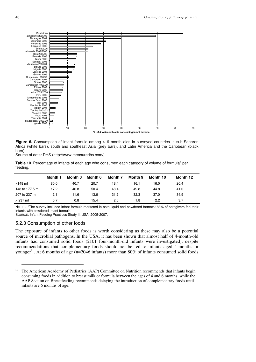

**Figure 6.** Consumption of infant formula among 4–6 month olds in surveyed countries in sub-Saharan Africa (white bars), south and southeast Asia (grey bars), and Latin America and the Caribbean (black bars).

Source of data: DHS (http://www.measuredhs.com/)

**Table 10.** Percentage of infants of each age who consumed each category of volume of formula\* per feeding.

|                 | Month 1 | Month 3 | Month 6 | Month 7 | Month 9 | Month 10 | Month 12 |  |
|-----------------|---------|---------|---------|---------|---------|----------|----------|--|
| $<$ 148 ml      | 80.0    | 40.7    | 20.7    | 18.4    | 16.1    | 16.0     | 20.4     |  |
| 148 to 177.5 ml | 17.2    | 46.8    | 50.4    | 48.4    | 49.8    | 44.8     | 41.0     |  |
| 207 to 237 ml   | 2.1     | 11.6    | 13.6    | 31.2    | 32.3    | 37.0     | 34.9     |  |
| $>237$ ml       | 0.7     | 0.8     | 15.4    | 2.0     | 1.8     | 2.2      | 3.7      |  |

NOTES: \*The survey included infant formula marketed in both liquid and powdered formats; 88% of caregivers fed their infants with powdered infant formula.

SOURCE: Infant Feeding Practices Study II, USA, 2005-2007.

#### 5.2.3 Consumption of other foods

 $\overline{a}$ 

The exposure of infants to other foods is worth considering as these may also be a potential source of microbial pathogens. In the USA, it has been shown that almost half of 4-month-old infants had consumed solid foods (2101 four-month-old infants were investigated), despite recommendations that complementary foods should not be fed to infants aged 4-months or younger<sup>11</sup>. At 6 months of age (n=2046 infants) more than 80% of infants consumed solid foods

<sup>&</sup>lt;sup>11</sup> The American Academy of Pediatrics (AAP) Committee on Nutrition recommends that infants begin consuming foods in addition to breast milk or formula between the ages of 4 and 6 months, while the AAP Section on Breastfeeding recommends delaying the introduction of complementary foods until infants are 6 months of age.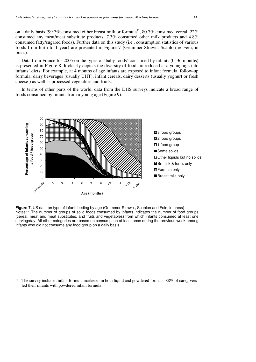on a daily basis (99.7% consumed either breast milk or formula<sup>12</sup>, 80.7% consumed cereal, 22% consumed any meat/meat substitute products, 7.3% consumed other milk products and 4.8% consumed fatty/sugared foods). Further data on this study (i.e., consumption statistics of various foods from birth to 1 year) are presented in Figure 7 (Grummer-Strawn, Scanlon & Fein, in press).

Data from France for 2005 on the types of 'baby foods' consumed by infants (0–36 months) is presented in Figure 8. It clearly depicts the diversity of foods introduced at a young age into infants' diets. For example, at 4 months of age infants are exposed to infant formula, follow-up formula, dairy beverages (usually UHT), infant cereals, dairy desserts (usually yoghurt or fresh cheese ) as well as processed vegetables and fruits.

In terms of other parts of the world, data from the DHS surveys indicate a broad range of foods consumed by infants from a young age (Figure 9).



**Figure 7.** US data on type of infant feeding by age (Grummer-Strawn , Scanlon and Fein, in press) Notes: \* The number of groups of solid foods consumed by infants indicates the number of food groups (cereal, meat and meat substitutes, and fruits and vegetables) from which infants consumed at least one serving/day. All other categories are based on consumption at least once during the previous week among infants who did not consume any food group on a daily basis.

 $\ddot{ }$ 

<sup>&</sup>lt;sup>12</sup> The survey included infant formula marketed in both liquid and powdered formats; 88% of caregivers fed their infants with powdered infant formula.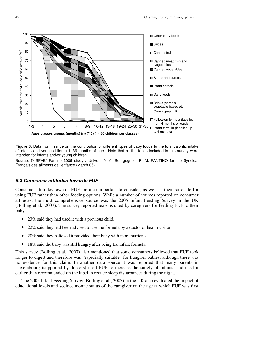

**Figure 8.** Data from France on the contribution of different types of baby foods to the total calorific intake of infants and young children 1–36 months of age. Note that all the foods included in this survey were intended for infants and/or young children.

Source: © SFAE/ Fantino 2005 study / Université of Bourgogne - Pr M. FANTINO for the Syndicat Français des aliments de l'enfance (March 05).

## **5.3 Consumer attitudes towards FUF**

Consumer attitudes towards FUF are also important to consider, as well as their rationale for using FUF rather than other feeding options. While a number of sources reported on consumer attitudes, the most comprehensive source was the 2005 Infant Feeding Survey in the UK (Bolling et al*.*, 2007). The survey reported reasons cited by caregivers for feeding FUF to their baby:

- 23% said they had used it with a previous child.
- 22% said they had been advised to use the formula by a doctor or health visitor.
- 20% said they believed it provided their baby with more nutrients.
- 18% said the baby was still hungry after being fed infant formula.

This survey (Bolling et al*.*, 2007) also mentioned that some consumers believed that FUF took longer to digest and therefore was "especially suitable" for hungrier babies, although there was no evidence for this claim. In another data source it was reported that many parents in Luxembourg (supported by doctors) used FUF to increase the satiety of infants, and used it earlier than recommended on the label to reduce sleep disturbances during the night.

The 2005 Infant Feeding Survey (Bolling et al*.*, 2007) in the UK also evaluated the impact of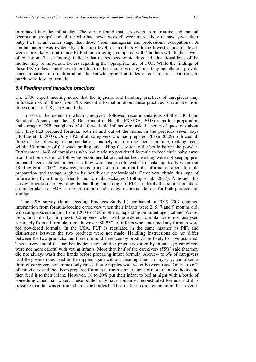introduced into the infant diet. The survey found that caregivers from 'routine and manual occupation groups' and 'those who had never worked' were more likely to have given their baby FUF at an earlier stage than those 'from managerial and professional occupations'. A similar pattern was evident by education level, as 'mothers with the lowest education level' were more likely to introduce FUF at an earlier age compared with 'mothers with higher levels of education'. These findings indicate that the socioeconomic class and educational level of the mother may be important factors regarding the appropriate use of FUF. While the findings of

these UK studies cannot be extrapolated to other countries or regions, they nonetheless provide some important information about the knowledge and attitudes of consumers in choosing to purchase follow-up formula.

## **5.4 Feeding and handling practices**

The 2006 expert meeting noted that the hygienic and handling practices of caregivers may influence risk of illness from PIF. Recent information about these practices is available from three countries: UK, USA and Italy.

To assess the extent to which caregivers followed recommendations of the UK Food Standards Agency and the UK Department of Health (FSA/DH, 2007) regarding preparation and storage of PIF, caregivers of 4–10-week-old infants were asked a series of questions about how they had prepared formula, both in and out of the home, in the previous seven days (Bolling et al*.*, 2007). Only 13% of all caregivers who had prepared PIF (n=8309) followed all three of the following recommendations, namely making one feed at a time, making feeds within 30 minutes of the water boiling, and adding the water to the bottle before the powder. Furthermore, 34% of caregivers who had made up powdered formula to feed their baby away from the home were not following recommendations, either because they were not keeping preprepared feeds chilled or because they were using cold water to make up feeds when out (Bolling et al*.*, 2007). However, focus groups also found that little information about formula preparation and storage is given by health care professionals. Caregivers obtain this type of information from family, friends and formula packages (Bolling et al*.*, 2007). Although this survey provides data regarding the handling and storage of PIF, it is likely that similar practices are undertaken for FUF, as the preparation and storage recommendations for both products are similar.

The USA survey (Infant Feeding Practices Study II) conducted in 2005–2007 obtained information from formula-feeding caregivers when their infants were 2, 5, 7 and 9 months old, with sample sizes ranging from 1200 to 1400 mothers, depending on infant age (Labiner-Wolfe, Fein, and Shealy, in press). Caregivers who used powdered formula were not analysed separately from all formula users; however, 80-93% of infants who consumed any formula were fed powdered formula. In the USA, FUF is regulated in the same manner as PIF, and distinctions between the two products were not made. Handling instructions do not differ between the two products, and therefore no differences by product are likely to have occurred. This survey found that neither hygiene nor chilling practices varied by infant age; caregivers were not more careful with young infants. More than half of the caregivers (55%) said that they did not always wash their hands before preparing infant formula. About 4 to 6% of caregivers said they sometimes used bottle nipples again without cleaning them in any way, and about a third of caregivers sometimes only rinsed bottle nipples with water between uses. Only 4 to 6% of caregivers said they keep prepared formula at room temperature for more than two hours and then feed it to their infant. However, 18 to 20% put their infant to bed at night with a bottle of something other than water. These bottles may have contained reconstituted formula and it is possible that this was consumed after the bottles had been left at room temperature for several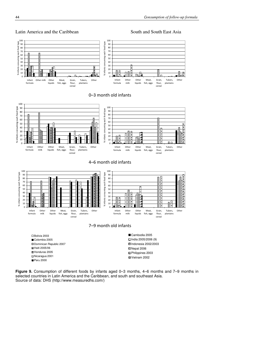Latin America and the Caribbean South and South and South East Asia



**Figure 9.** Consumption of different foods by infants aged 0–3 months, 4–6 months and 7–9 months in selected countries in Latin America and the Caribbean, and south and southeast Asia. Source of data: DHS (http://www.measuredhs.com/)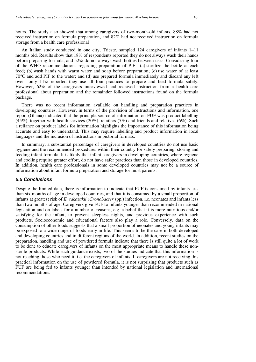hours. The study also showed that among caregivers of two-month-old infants, 88% had not received instruction on formula preparation, and 82% had not received instruction on formula storage from a health care professional

An Italian study conducted in one city, Trieste, sampled 124 caregivers of infants 1–11 months old. Results show that 18% of respondents reported they do not always wash their hands before preparing formula, and 52% do not always wash bottles between uses. Considering four of the WHO recommendations regarding preparation of PIF—(a) sterilize the bottle at each feed; (b) wash hands with warm water and soap before preparation; (c) use water of at least 70°C and add PIF to the water; and (d) use prepared formula immediately and discard any left over—only 11% reported they use all four practices to prepare and feed formula safely. However, 62% of the caregivers interviewed had received instruction from a health care professional about preparation and the remainder followed instructions found on the formula package.

There was no recent information available on handling and preparation practices in developing countries. However, in terms of the provision of instructions and information, one report (Ghana) indicated that the principle source of information on FUF was product labelling  $(45\%)$ , together with health services  $(20\%)$ , retailers  $(5\%)$  and friends and relatives  $(6\%)$ . Such a reliance on product labels for information highlights the importance of this information being accurate and easy to understand. This may require labelling and product information in local languages and the inclusion of instructions in pictorial formats.

In summary, a substantial percentage of caregivers in developed countries do not use basic hygiene and the recommended procedures within their country for safely preparing, storing and feeding infant formula. It is likely that infant caregivers in developing countries, where hygiene and cooling require greater effort, do not have safer practices than those in developed countries. In addition, health care professionals in some developed countries may not be a source of information about infant formula preparation and storage for most parents.

#### **5.5 Conclusions**

Despite the limited data, there is information to indicate that FUF is consumed by infants less than six months of age in developed countries, and that it is consumed by a small proportion of infants at greatest risk of *E. sakazakii* (*Cronobacter* spp.) infection, i.e. neonates and infants less than two months of age. Caregivers give FUF to infants younger than recommended in national legislation and on labels for a number of reasons, e.g. a belief that it is more nutritious and/or satisfying for the infant, to prevent sleepless nights, and previous experience with such products. Socioeconomic and educational factors also play a role. Conversely, data on the consumption of other foods suggests that a small proportion of neonates and young infants may be exposed to a wide range of foods early in life. This seems to be the case in both developed and developing countries and in different regions of the world. In addition, recent studies on the preparation, handling and use of powdered formula indicate that there is still quite a lot of work to be done to educate caregivers of infants on the most appropriate means to handle these nonsterile products. While such guidance exists, two of the studies indicate that this information is not reaching those who need it, i.e. the caregivers of infants. If caregivers are not receiving this practical information on the use of powdered formula, it is not surprising that products such as FUF are being fed to infants younger than intended by national legislation and international recommendations.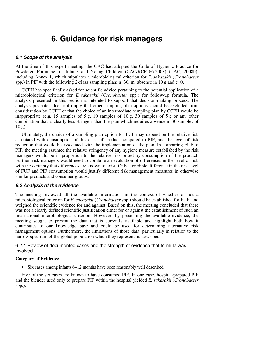# **6. Guidance for risk managers**

## **6.1 Scope of the analysis**

At the time of this expert meeting, the CAC had adopted the Code of Hygienic Practice for Powdered Formulae for Infants and Young Children (CAC/RCP 66-2008) (CAC, 2008b), including Annex 1, which stipulates a microbiological criterion for *E. sakazakii* (*Cronobacter* spp.) in PIF with the following 2-class sampling plan:  $n=30$ ,  $m=ab$  sence in 10 g and c=0.

CCFH has specifically asked for scientific advice pertaining to the potential application of a microbiological criterion for *E. sakazakii* (*Cronobacter* spp.) for follow-up formula. The analysis presented in this section is intended to support that decision-making process. The analysis presented does not imply that other sampling plan options should be excluded from consideration by CCFH or that the choice of an intermediate sampling plan by CCFH would be inappropriate (e.g. 15 samples of 5 g, 10 samples of 10 g, 30 samples of 5 g or any other combination that is clearly less stringent than the plan which requires absence in 30 samples of  $10 \text{ g}$ ).

Ultimately, the choice of a sampling plan option for FUF may depend on the relative risk associated with consumption of this class of product compared to PIF, and the level of risk reduction that would be associated with the implementation of the plan. In comparing FUF to PIF, the meeting assumed the relative stringency of any hygiene measure established by the risk managers would be in proportion to the relative risk posed by consumption of the product. Further, risk managers would need to combine an evaluation of differences in the level of risk with the certainty that differences are known to exist. Only a credible difference in the risk level of FUF and PIF consumption would justify different risk management measures in otherwise similar products and consumer groups.

## **6.2 Analysis of the evidence**

The meeting reviewed all the available information in the context of whether or not a microbiological criterion for *E. sakazakii* (*Cronobacter* spp.) should be established for FUF, and weighed the scientific evidence for and against. Based on this, the meeting concluded that there was not a clearly defined scientific justification either for or against the establishment of such an international microbiological criterion. However, by presenting the available evidence, the meeting sought to present the data that is currently available and highlight both how it contributes to our knowledge base and could be used for determining alternative risk management options. Furthermore, the limitations of those data, particularly in relation to the narrow spectrum of the global population which they represent, is described.

6.2.1 Review of documented cases and the strength of evidence that formula was involved

#### **Category of Evidence**

• Six cases among infants 6–12 months have been reasonably well described.

Five of the six cases are known to have consumed PIF. In one case, hospital-prepared PIF and the blender used only to prepare PIF within the hospital yielded *E. sakazakii* (*Cronobacter* spp.).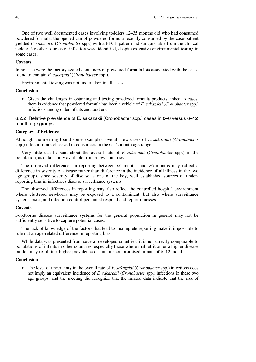One of two well documented cases involving toddlers 12–35 months old who had consumed powdered formula; the opened can of powdered formula recently consumed by the case-patient yielded *E. sakazakii* (*Cronobacter* spp.) with a PFGE pattern indistinguishable from the clinical isolate. No other sources of infection were identified, despite extensive environmental testing in some cases.

#### **Caveats**

In no case were the factory-sealed containers of powdered formula lots associated with the cases found to contain *E. sakazakii* (*Cronobacter* spp.).

Environmental testing was not undertaken in all cases.

## **Conclusion**

• Given the challenges in obtaining and testing powdered formula products linked to cases, there is evidence that powdered formula has been a vehicle of *E. sakazakii* (*Cronobacter* spp.) infections among older infants and toddlers.

6.2.2 Relative prevalence of E. sakazakii (Cronobacter spp.) cases in 0–6 versus 6–12 month age groups

## **Category of Evidence**

Although the meeting found some examples, overall, few cases of *E. sakazakii* (*Cronobacter* spp.) infections are observed in consumers in the 6–12 month age range.

Very little can be said about the overall rate of *E. sakazakii* (*Cronobacter* spp.) in the population, as data is only available from a few countries.

The observed differences in reporting between <6 months and >6 months may reflect a difference in severity of disease rather than difference in the incidence of all illness in the two age groups, since severity of disease is one of the key, well established sources of underreporting bias in infectious disease surveillance systems.

The observed differences in reporting may also reflect the controlled hospital environment where clustered newborns may be exposed to a contaminant, but also where surveillance systems exist, and infection control personnel respond and report illnesses.

#### **Caveats**

Foodborne disease surveillance systems for the general population in general may not be sufficiently sensitive to capture potential cases.

The lack of knowledge of the factors that lead to incomplete reporting make it impossible to rule out an age-related difference in reporting bias.

While data was presented from several developed countries, it is not directly comparable to populations of infants in other countries, especially those where malnutrition or a higher disease burden may result in a higher prevalence of immunecompromised infants of 6–12 months.

#### **Conclusion**

• The level of uncertainty in the overall rate of *E. sakazakii* (*Cronobacter* spp.) infections does not imply an equivalent incidence of *E. sakazakii* (*Cronobacter* spp.) infections in these two age groups, and the meeting did recognize that the limited data indicate that the risk of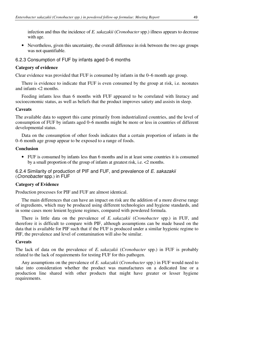infection and thus the incidence of *E. sakazakii* (*Cronobacter* spp.) illness appears to decrease with age.

• Nevertheless, given this uncertainty, the overall difference in risk between the two age groups was not quantifiable.

## 6.2.3 Consumption of FUF by infants aged 0–6 months

#### **Category of evidence**

Clear evidence was provided that FUF is consumed by infants in the 0–6 month age group.

There is evidence to indicate that FUF is even consumed by the group at risk, i.e. neonates and infants  $\lt$ 2 months.

Feeding infants less than 6 months with FUF appeared to be correlated with literacy and socioeconomic status, as well as beliefs that the product improves satiety and assists in sleep.

#### **Caveats**

The available data to support this came primarily from industrialized countries, and the level of consumption of FUF by infants aged 0–6 months might be more or less in countries of different developmental status.

Data on the consumption of other foods indicates that a certain proportion of infants in the 0–6 month age group appear to be exposed to a range of foods.

## **Conclusion**

• FUF is consumed by infants less than 6 months and in at least some countries it is consumed by a small proportion of the group of infants at greatest risk, i.e. <2 months.

# 6.2.4 Similarity of production of PIF and FUF, and prevalence of E. sakazakii (Cronobacter spp.) in FUF

## **Category of Evidence**

Production processes for PIF and FUF are almost identical.

The main differences that can have an impact on risk are the addition of a more diverse range of ingredients, which may be produced using different technologies and hygiene standards, and in some cases more lenient hygiene regimes, compared with powdered formula.

There is little data on the prevalence of *E. sakazakii* (*Cronobacter* spp.) in FUF, and therefore it is difficult to compare with PIF, although assumptions can be made based on the data that is available for PIF such that if the FUF is produced under a similar hygienic regime to PIF, the prevalence and level of contamination will also be similar.

#### **Caveats**

The lack of data on the prevalence of *E. sakazakii* (*Cronobacter* spp.) in FUF is probably related to the lack of requirements for testing FUF for this pathogen.

Any assumptions on the prevalence of *E. sakazakii* (*Cronobacter* spp.) in FUF would need to take into consideration whether the product was manufactures on a dedicated line or a production line shared with other products that might have greater or lesser hygiene requirements.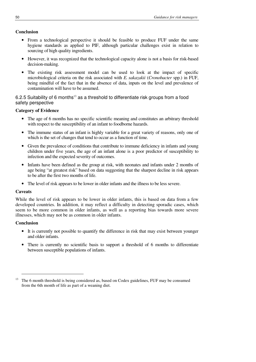# **Conclusion**

- From a technological perspective it should be feasible to produce FUF under the same hygiene standards as applied to PIF, although particular challenges exist in relation to sourcing of high quality ingredients.
- However, it was recognized that the technological capacity alone is not a basis for risk-based decision-making.
- The existing risk assessment model can be used to look at the impact of specific microbiological criteria on the risk associated with *E. sakazakii* (*Cronobacter* spp.) in FUF, being mindful of the fact that in the absence of data, inputs on the level and prevalence of contamination will have to be assumed.

6.2.5 Suitability of 6 months<sup>13</sup> as a threshold to differentiate risk groups from a food safety perspective

# **Category of Evidence**

- The age of 6 months has no specific scientific meaning and constitutes an arbitrary threshold with respect to the susceptibility of an infant to foodborne hazards.
- The immune status of an infant is highly variable for a great variety of reasons, only one of which is the set of changes that tend to occur as a function of time.
- Given the prevalence of conditions that contribute to immune deficiency in infants and young children under five years, the age of an infant alone is a poor predictor of susceptibility to infection and the expected severity of outcomes.
- Infants have been defined as the group at risk, with neonates and infants under 2 months of age being "at greatest risk" based on data suggesting that the sharpest decline in risk appears to be after the first two months of life.
- The level of risk appears to be lower in older infants and the illness to be less severe.

## **Caveats**

While the level of risk appears to be lower in older infants, this is based on data from a few developed countries. In addition, it may reflect a difficulty in detecting sporadic cases, which seem to be more common in older infants, as well as a reporting bias towards more severe illnesses, which may not be as common in older infants.

## **Conclusion**

 $\ddot{ }$ 

- It is currently not possible to quantify the difference in risk that may exist between younger and older infants.
- There is currently no scientific basis to support a threshold of 6 months to differentiate between susceptible populations of infants.

<sup>&</sup>lt;sup>13</sup> The 6 month threshold is being considered as, based on Codex guidelines, FUF may be consumed from the 6th month of life as part of a weaning diet.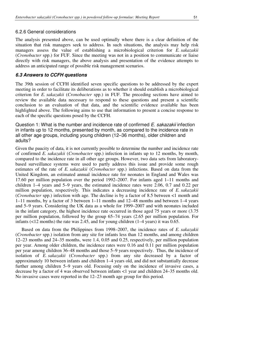### 6.2.6 General considerations

The analysis presented above, can be used optimally where there is a clear definition of the situation that risk managers seek to address. In such situations, the analysis may help risk managers assess the value of establishing a microbiological criterion for *E. sakazakii* (*Cronobacter* spp.) for FUF. Since the meeting was not in a position to communicate or liaise directly with risk managers, the above analysis and presentation of the evidence attempts to address an anticipated range of possible risk management scenarios.

## **6.3 Answers to CCFH questions**

The 39th session of CCFH identified seven specific questions to be addressed by the expert meeting in order to facilitate its deliberations as to whether it should establish a microbiological criterion for *E. sakazakii* (*Cronobacter* spp.) in FUF. The preceding sections have aimed to review the available data necessary to respond to these questions and present a scientific conclusion to an evaluation of that data, and the scientific evidence available has been highlighted above. The following aims to use that information to present a concise response to each of the specific questions posed by the CCFH.

Question 1: What is the number and incidence rate of confirmed E. sakazakii infection in infants up to 12 months, presented by month, as compared to the incidence rate in all other age groups, including young children (12–36 months), older children and adults?

Given the paucity of data, it is not currently possible to determine the number and incidence rate of confirmed *E. sakazakii* (*Cronobacter* spp.) infection in infants up to 12 months, by month, compared to the incidence rate in all other age groups. However, two data sets from laboratorybased surveillance systems were used to partly address this issue and provide some rough estimates of the rate of *E. sakazakii* (*Cronobacter* spp.) infections. Based on data from the United Kingdom, an estimated annual incidence rate for neonates in England and Wales was 17.60 per million population over the period 1992–2007. For infants aged 1–11 months and children 1–4 years and 5–9 years, the estimated incidence rates were 2.06, 0.7 and 0.22 per million population, respectively. This indicates a decreasing incidence rate of *E. sakazakii* (*Cronobacter* spp.) infection with age. The decline is by a factor of 8.5 between <1 month and 1–11 months, by a factor of 3 between 1–11 months and 12–48 months and between 1–4 years and 5–9 years. Considering the UK data as a whole for 1999–2007 and with neonates included in the infant category, the highest incidence rate occurred in those aged 75 years or more (3.75 per million population, followed by the group 65–74 years (2.65 per million population. For infants ( $\langle 12 \text{ months} \rangle$ ) the rate was 2.45, and for young children ( $1-4$  years) it was 0.65.

Based on data from the Philippines from 1998–2007, the incidence rates of *E. sakazakii* (*Cronobacter* spp.) isolation from any site for infants less than 12 months, and among children 12–23 months and 24–35 months, were 1.4, 0.05 and 0.25, respectively, per million population per year. Among older children, the incidence rates were 0.16 and 0.11 per million population per year among children 36–48 months and those 5–9 years respectively. Thus, the incidence of isolation of *E. sakazakii* (*Cronobacter* spp.) from any site decreased by a factor of approximately 10 between infants and children 1–4 years old, and did not substantially decrease further among children 5–9 years old. Focusing only on the incidence of invasive cases, a decrease by a factor of 4 was observed between infants <1 year and children 24–35 months old. No invasive cases were reported in the 12–23 month age group for this period.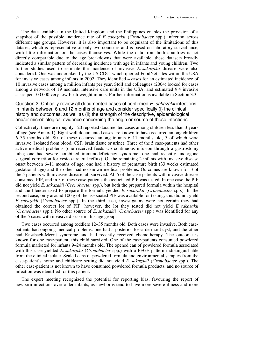The data available in the United Kingdom and the Philippines enables the provision of a snapshot of the possible incidence rate of *E. sakazakii* (*Cronobacter* spp.) infection across different age groups. However, it is also important to be cognisant of the limitations of this dataset, which is representative of only two countries and is based on laboratory surveillance, with little information on the cases themselves. While the data from both countries is not directly comparable due to the age breakdowns that were available, these datasets broadly indicated a similar pattern of decreasing incidence with age in infants and young children. Two further studies used to estimate the incidence of invasive *E. sakazakii* disease were also considered. One was undertaken by the US CDC, which queried FoodNet sites within the USA for invasive cases among infants in 2002. They identified 4 cases for an estimated incidence of 10 invasive cases among a million infants per year. Stoll and colleagues (2004) looked for cases among a network of 19 neonatal intensive care units in the USA, and estimated 9.4 invasive cases per 100 000 very-low-birth-weight infants. Further information is available in Section 3.3.

Question 2: Critically review all documented cases of confirmed E. sakazakii infections in infants between 6 and 12 months of age and consider specifically (i) the clinical history and outcomes, as well as (ii) the strength of the descriptive, epidemiological and/or microbiological evidence concerning the origin or source of these infections.

Collectively, there are roughly 120 reported documented cases among children less than 3 years of age (see Annex 1). Eight well documented cases are known to have occurred among children 6–35 months old. Six of these occurred among infants 6–11 months old, 5 of which were invasive (isolated from blood, CSF, brain tissue or urine). Three of the 5 case-patients had other active medical problems (one received feeds *via* continuous infusion through a gastrostomy tube; one had severe combined immunodeficiency syndrome; one had recently undergone surgical correction for vesico-ureteral reflux). Of the remaining 2 infants with invasive disease onset between 6–11 months of age, one had a history of premature birth (33 weeks estimated gestational age) and the other had no known medical problems. Outcomes are known for 3 of the 5 patients with invasive disease; all survived. All 5 of the case-patients with invasive disease consumed PIF, and in 3 of these case-patients the associated PIF was tested. In one case the PIF did not yield *E. sakazakii* (*Cronobacter* spp.), but both the prepared formula within the hospital and the blender used to prepare the formula yielded *E. sakazakii* (*Cronobacter* spp.). In the second case, only around 100 g of the associated PIF was available for testing; this did not yield *E. sakazakii* (*Cronobacter* spp.). In the third case, investigators were not certain they had obtained the correct lot of PIF; however, the lot they tested did not yield *E. sakazakii*  (*Cronobacter* spp.). No other source of *E. sakazakii* (*Cronobacter* spp.) was identified for any of the 5 cases with invasive disease in this age group.

Two cases occurred among toddlers 12–35 months old. Both cases were invasive. Both casepatients had ongoing medical problems: one had a posterior fossa dermoid cyst, and the other had Kasabach-Merrit syndrome and had recently received chemotherapy. The outcome is known for one case-patient; this child survived. One of the case-patients consumed powdered formula marketed for infants 9–24 months old. The opened can of powdered formula associated with this case yielded *E. sakazakii* (*Cronobacter* spp.) with a PFGE pattern indistinguishable from the clinical isolate. Sealed cans of powdered formula and environmental samples from the case-patient's home and childcare setting did not yield *E. sakazakii* (*Cronobacter* spp.). The other case-patient is not known to have consumed powdered formula products, and no source of infection was identified for this patient.

The expert meeting recognized the potential for reporting bias, favouring the report of newborn infections over older infants, as newborns tend to have more severe illness and more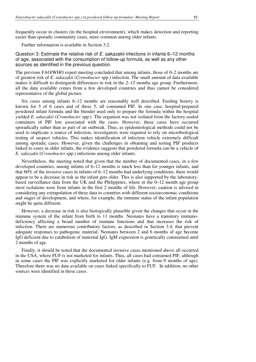frequently occur in clusters (in the hospital environment), which makes detection and reporting easier than sporadic community cases, more common among older infants.

Further information is available in Section 3.2.

Question 3: Estimate the relative risk of E. sakazakii infections in infants 6–12 months of age, associated with the consumption of follow-up formula, as well as any other sources as identified in the previous question.

The previous FAO/WHO expert meeting concluded that among infants, those of 0–2 months are of greatest risk of *E. sakazakii* (*Cronobacter* spp.) infection. The small amount of data available makes it difficult to distinguish differences in risk in the 2–12 months age group. Furthermore, all the data available comes from a few developed countries and thus cannot be considered representative of the global picture.

Six cases among infants 6–12 months are reasonably well described. Feeding history is known for 5 of 6 cases and of these 5, all consumed PIF. In one case, hospital-prepared powdered infant formula and the blender used only to prepare the formula within the hospital yielded *E. sakazakii* (*Cronobacter* spp.). The organism was not isolated from the factory-sealed containers of PIF lots associated with the cases. However, these cases have occurred sporadically rather than as part of an outbreak. Thus, as epidemiological methods could not be used to implicate a source of infection, investigators were required to rely on microbiological testing of suspect vehicles. This makes identification of infection vehicle extremely difficult among sporadic cases. However, given the challenges in obtaining and testing PIF products linked to cases in older infants, the evidence suggests that powdered formula can be a vehicle of *E. sakazakii* (*Cronobacter* spp.) infections among older infants.

Nevertheless, the meeting noted that given that the number of documented cases, in a few developed countries, among infants of 6–12 months is much less than for younger infants, and that 60% of the invasive cases in infants of 6–12 months had underlying conditions, there would appear to be a decrease in risk as the infant gets older. This is also supported by the laboratorybased surveillance data from the UK and the Philippines, where in the 0–12 month age group most isolations were from infants in the first 2 months of life. However, caution is advised in considering any extrapolation of these data to countries with different socioeconomic conditions and stages of development, and where, for example, the immune status of the infant population might be quite different.

However, a decrease in risk is also biologically plausible given the changes that occur in the immune system of the infant from birth to 11 months. Neonates have a transitory immunodeficiency affecting a broad number of immune functions and that increases the risk of infection. There are numerous contributory factors, as described in Section 3.4, that prevent adequate responses to pathogenic material. Neonates between 2 and 6 months of age become IgG deficient due to catabolism of maternal IgG. IgM expression is genetically constrained until 2 months of age.

Finally, it should be noted that the documented invasive cases mentioned above all occurred in the USA, where FUF is not marketed for infants. Thus, all cases had consumed PIF, although in some cases the PIF was explicitly marketed for older infants (e.g. from 9 months of age). Therefore there was no data available on cases linked specifically to FUF. In addition, no other sources were identified in these cases.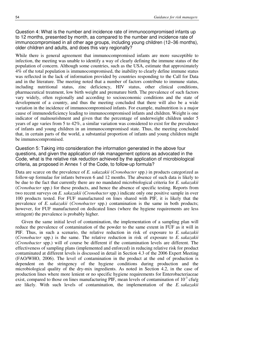Question 4: What is the number and incidence rate of immunocompromised infants up to 12 months, presented by month, as compared to the number and incidence rate of immunocompromised in all other age groups, including young children (12–36 months), older children and adults, and does this vary regionally?

While there is general agreement that immunocompromised infants are more susceptible to infection, the meeting was unable to identify a way of clearly defining the immune status of the population of concern. Although some countries, such as the USA, estimate that approximately 4% of the total population is immunocompromised, the inability to clearly define immune status was reflected in the lack of information provided by countries responding to the Call for Data and in the literature. The meeting noted that a number of factors contribute to immune status, including nutritional status, zinc deficiency, HIV status, other clinical conditions, pharmaceutical treatment, low birth weight and premature birth. The prevalence of such factors vary widely, often regionally and according to socioeconomic conditions and the state of development of a country, and thus the meeting concluded that there will also be a wide variation in the incidence of immunocompromised infants. For example, malnutrition is a major cause of immunodeficiency leading to immunocompromised infants and children. Weight is one indicator of malnourishment and given that the percentage of underweight children under 5 years of age varies from 5 to 42%, a similar variation was considered to exist for the prevalence of infants and young children in an immunocompromised state. Thus, the meeting concluded that, in certain parts of the world, a substantial proportion of infants and young children might be immunocompromised.

Question 5: Taking into consideration the information generated in the above four questions, and given the application of risk management options as advocated in the Code, what is the relative risk reduction achieved by the application of microbiological criteria, as proposed in Annex 1 of the Code, to follow-up formula?

Data are scarce on the prevalence of *E. sakazakii* (*Cronobacter* spp.) in products categorized as follow-up formulae for infants between 6 and 12 months. The absence of such data is likely to be due to the fact that currently there are no mandated microbiological criteria for *E. sakazakii* (*Cronobacter* spp.) for these products, and hence the absence of specific testing. Reports from two recent surveys on *E. sakazakii* (*Cronobacter* spp.) indicate only one positive sample in over 100 products tested. For FUF manufactured on lines shared with PIF, it is likely that the prevalence of *E. sakazakii* (*Cronobacter* spp.) contamination is the same in both products; however, for FUF manufactured on dedicated lines (where the hygiene requirements are less stringent) the prevalence is probably higher.

Given the same initial level of contamination, the implementation of a sampling plan will reduce the prevalence of contamination of the powder to the same extent in FUF as it will in PIF. Thus, in such a scenario, the relative reduction in risk of exposure to *E. sakazakii* (*Cronobacter* spp.) is the same. The relative reduction in risk of exposure to *E. sakazakii* (*Cronobacter* spp.) will of course be different if the contamination levels are different. The effectiveness of sampling plans (implemented and enforced) in reducing relative risk for product contaminated at different levels is discussed in detail in Section 4.3 of the 2006 Expert Meeting (FAO/WHO, 2006). The level of contamination in the product at the end of production is dependent on the stringency of the hygiene conditions during production and the microbiological quality of the dry-mix ingredients. As noted in Section 4.2, in the case of production lines where more lenient or no specific hygiene requirements for Enterobacteriaceae exist, compared to those on lines manufacturing PIF, mean levels of contamination of  $10^{-3}$  cfu/g are likely. With such levels of contamination, the implementation of the *E. sakazakii*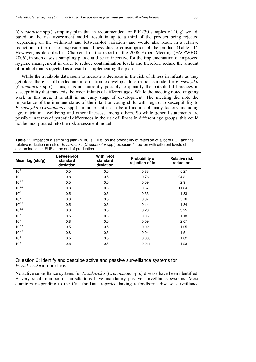(*Cronobacter* spp.) sampling plan that is recommended for PIF (30 samples of 10 g) would, based on the risk assessment model, result in up to a third of the product being rejected (depending on the within-lot and between-lot variation) and would also result in a relative reduction in the risk of exposure and illness due to consumption of the product (Table 11). However, as described in Chapter 4 of the report of the 2006 Expert Meeting (FAO/WHO, 2006), in such cases a sampling plan could be an incentive for the implementation of improved hygiene management in order to reduce contamination levels and therefore reduce the amount of product that is rejected as a result of implementing the plan.

While the available data seem to indicate a decrease in the risk of illness in infants as they get older, there is still inadequate information to develop a dose-response model for *E. sakazakii* (*Cronobacter* spp.). Thus, it is not currently possibly to quantify the potential differences in susceptibility that may exist between infants of different ages. While the meeting noted ongoing work in this area, it is still in an early stage of development. The meeting did note the importance of the immune status of the infant or young child with regard to susceptibility to *E. sakazakii* (*Cronobacter* spp.). Immune status can be a function of many factors, including age, nutritional wellbeing and other illnesses, among others. So while general statements are possible in terms of potential differences in the risk of illness in different age groups, this could not be incorporated into the risk assessment model.

| <b>Table 11.</b> Impact of a sampling plan ( $n=30$ , $s=10$ g) on the probability of rejection of a lot of FUF and the |
|-------------------------------------------------------------------------------------------------------------------------|
| relative reduction in risk of E. sakazakii (Cronobacter spp.) exposure/infection with different levels of               |
| contamination in FUF at the end of production.                                                                          |

| Mean log (cfu/g) | <b>Between-lot</b><br>standard<br>deviation | <b>Within-lot</b><br>standard<br>deviation | Probability of<br>rejection of lot | <b>Relative risk</b><br>reduction |
|------------------|---------------------------------------------|--------------------------------------------|------------------------------------|-----------------------------------|
| $10^{-2}$        | 0.5                                         | 0.5                                        | 0.83                               | 5.27                              |
| $10^{-2}$        | 0.8                                         | 0.5                                        | 0.76                               | 24.3                              |
| $10^{-2.5}$      | 0.5                                         | 0.5                                        | 0.59                               | 2.9                               |
| $10^{-2.5}$      | 0.8                                         | 0.5                                        | 0.57                               | 11.34                             |
| $10^{-3}$        | 0.5                                         | 0.5                                        | 0.33                               | 1.83                              |
| $10^{-3}$        | 0.8                                         | 0.5                                        | 0.37                               | 5.76                              |
| $10^{-3.5}$      | 0.5                                         | 0.5                                        | 0.14                               | 1.34                              |
| $10^{-3.5}$      | 0.8                                         | 0.5                                        | 0.20                               | 3.25                              |
| $10^{-4}$        | 0.5                                         | 0.5                                        | 0.05                               | 1.13                              |
| $10^{-4}$        | 0.8                                         | 0.5                                        | 0.09                               | 2.07                              |
| $10^{-4.5}$      | 0.5                                         | 0.5                                        | 0.02                               | 1.05                              |
| $10^{-4.5}$      | 0.8                                         | 0.5                                        | 0.04                               | 1.5                               |
| $10^{-5}$        | 0.5                                         | 0.5                                        | 0.006                              | 1.02                              |
| $10^{-5}$        | 0.8                                         | 0.5                                        | 0.014                              | 1.23                              |

#### Question 6: Identify and describe active and passive surveillance systems for E. sakazakii in countries.

No active surveillance systems for *E. sakazakii* (*Cronobacter* spp.) disease have been identified. A very small number of jurisdictions have mandatory passive surveillance systems. Most countries responding to the Call for Data reported having a foodborne disease surveillance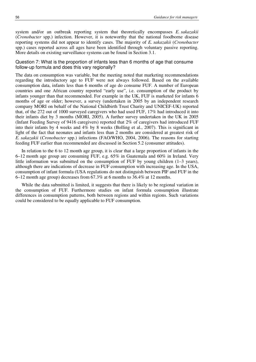system and/or an outbreak reporting system that theoretically encompasses *E. sakazakii* (*Cronobacter* spp.) infection. However, it is noteworthy that the national foodborne disease reporting systems did not appear to identify cases. The majority of *E. sakazakii* (*Cronobacter* spp.) cases reported across all ages have been identified through voluntary passive reporting. More details on existing surveillance systems can be found in Section 3.1.

# Question 7: What is the proportion of infants less than 6 months of age that consume follow-up formula and does this vary regionally?

The data on consumption was variable, but the meeting noted that marketing recommendations regarding the introductory age to FUF were not always followed. Based on the available consumption data, infants less than 6 months of age do consume FUF. A number of European countries and one African country reported "early use", i.e. consumption of the product by infants younger than that recommended. For example in the UK, FUF is marketed for infants 6 months of age or older; however, a survey (undertaken in 2005 by an independent research company MORI on behalf of the National Childbirth Trust Charity and UNICEF-UK) reported that, of the 272 out of 1000 surveyed caregivers who had used FUF, 17% had introduced it into their infants diet by 3 months (MORI, 2005). A further survey undertaken in the UK in 2005 (Infant Feeding Survey of 9416 caregivers) reported that 2% of caregivers had introduced FUF into their infants by 4 weeks and 4% by 8 weeks (Bolling et al*.*, 2007). This is significant in light of the fact that neonates and infants less than 2 months are considered at greatest risk of *E. sakazakii* (*Cronobacter* spp.) infections (FAO/WHO, 2004, 2006). The reasons for starting feeding FUF earlier than recommended are discussed in Section 5.2 (consumer attitudes).

In relation to the 6 to 12 month age group, it is clear that a large proportion of infants in the 6–12 month age group are consuming FUF, e.g. 65% in Guatemala and 60% in Ireland. Very little information was submitted on the consumption of FUF by young children (1–3 years), although there are indications of decrease in FUF consumption with increasing age. In the USA, consumption of infant formula (USA regulations do not distinguish between PIF and FUF in the 6–12 month age group) decreases from 67.3% at 6 months to 36.4% at 12 months.

While the data submitted is limited, it suggests that there is likely to be regional variation in the consumption of FUF. Furthermore studies on infant formula consumption illustrate differences in consumption patterns, both between regions and within regions. Such variations could be considered to be equally applicable to FUF consumption.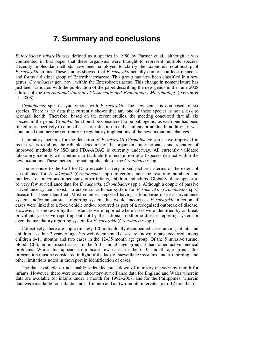### **7. Summary and conclusions**

*Enterobacter sakazakii* was defined as a species in 1980 by Farmer et al*.*, although it was commented in that paper that these organisms were thought to represent multiple species. Recently, molecular methods have been employed to clarify the taxonomic relationship of *E. sakazakii* strains. These studies showed that *E. sakazakii* actually comprise at least 6 species and forms a distinct group of Enterobacteriaceae. This group has now been classified in a new genus, *Cronobacter* gen. nov., within the Enterobacteriaceae. This change in nomenclature has just been validated with the publication of the paper describing the new genus in the June 2008 edition of the *International Journal of Systematic and Evolutionary Microbiology* (Iversen et al*.*, 2008).

*Cronobacter* spp. is synonymous with *E. sakazakii.* The new genus is composed of six species. There is no data that currently shows that any one of these species is not a risk to neonatal health. Therefore, based on the recent studies, the meeting concurred that all six species in the genus *Cronobacter* should be considered to be pathogenic, as each one has been linked retrospectively to clinical cases of infection in either infants or adults. In addition, it was concluded that there are currently no regulatory implications of the new taxonomic changes.

Laboratory methods for the detection of *E. sakazakii* (*Cronobacter* spp.) have improved in recent years to allow the reliable detection of the organism. International standardization of improved methods by ISO and FDA-AOAC is currently underway. All currently validated laboratory methods will continue to facilitate the recognition of all species defined within the new taxonomy. These methods remain applicable for the *Cronobacter* spp.

The response to the Call for Data revealed a very mixed picture in terms of the extent of surveillance for *E. sakazakii* (*Cronobacter* spp.) infections and the resulting numbers and incidence of infections in neonates, other infants, children and adults. Globally, there appear to be very few surveillance data for *E. sakazakii* (*Cronobacter* spp.). Although a couple of passive surveillance systems exist, no active surveillance system for *E. sakazakii* (*Cronobacter* spp.) disease has been identified. Most countries reported having a foodborne disease surveillance system and/or an outbreak reporting system that would encompass *E. sakazakii* infection, if cases were linked to a food vehicle and/or occurred as part of a recognized outbreak of disease. However, it is noteworthy that instances were reported where cases were identified by outbreak or voluntary passive reporting but not by the national foodborne disease reporting system or even the mandatory reporting system for *E. sakazakii* (*Cronobacter* spp.).

Collectively, there are approximately 120 individually documented cases among infants and children less than 3 years of age. Six well documented cases are known to have occurred among children 6–11 months and two cases in the 12–35 month age group. Of the 5 invasive (urine, blood, CFS, brain tissue) cases in the 6–11 month age group, 3 had other active medical problems. While this appears to indicate few cases in the 6–35 month age group, this information must be considered in light of the lack of surveillance systems, under-reporting, and other limitations noted in the report in identification of cases.

The data available do not enable a detailed breakdown of numbers of cases by month for infants. However, there were some laboratory surveillance data for England and Wales wherein data are available for infants under 1 month for 1992–2007, and for the Philippines, wherein data were available for infants under 1 month and at two-month intervals up to 12 months for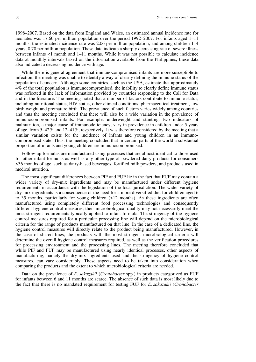1998–2007. Based on the data from England and Wales, an estimated annual incidence rate for neonates was 17.60 per million population over the period 1992–2007. For infants aged 1–11 months, the estimated incidence rate was 2.06 per million population, and among children 1–4 years, 0.70 per million population. These data indicate a sharply decreasing rate of severe illness between infants <1 month and 1–11 months. While it was not possible to calculate incidence data at monthly intervals based on the information available from the Philippines, these data also indicated a decreasing incidence with age.

While there is general agreement that immunocompromised infants are more susceptible to infection, the meeting was unable to identify a way of clearly defining the immune status of the population of concern. Although some countries, such as the USA, estimate that approximately 4% of the total population is immunocompromised, the inability to clearly define immune status was reflected in the lack of information provided by countries responding to the Call for Data and in the literature. The meeting noted that a number of factors contribute to immune status, including nutritional status, HIV status, other clinical conditions, pharmaceutical treatment, low birth weight and premature birth. The prevalence of such factors varies widely among countries and thus the meeting concluded that there will also be a wide variation in the prevalence of immunocompromised infants. For example, underweight and stunting, two indicators of malnutrition, a major cause of immunodeficiency, vary in prevalence in children under 5 years of age, from 5–42% and 12–41%, respectively. It was therefore considered by the meeting that a similar variation exists for the incidence of infants and young children in an immunocompromised state. Thus, the meeting concluded that in certain parts of the world a substantial proportion of infants and young children are immunocompromised.

Follow-up formulas are manufactured using processes that are almost identical to those used for other infant formulas as well as any other type of powdered dairy products for consumers >36 months of age, such as dairy-based beverages, fortified milk powders, and products used in medical nutrition.

The most significant differences between PIF and FUF lie in the fact that FUF may contain a wider variety of dry-mix ingredients and may be manufactured under different hygiene requirements in accordance with the legislation of the local jurisdiction. The wider variety of dry-mix ingredients is a consequence of the need for a more diversified diet for children aged 6 to 35 months, particularly for young children (>12 months). As these ingredients are often manufactured using completely different food processing technologies and consequently different hygiene control measures, their microbiological quality may not necessarily meet the most stringent requirements typically applied to infant formula. The stringency of the hygiene control measures required for a particular processing line will depend on the microbiological criteria for the range of products manufactured on that line. In the case of a dedicated line, the hygiene control measures will directly relate to the product being manufactured. However, in the case of shared lines, the products with the most stringent microbiological criteria will determine the overall hygiene control measures required, as well as the verification procedures for processing environment and the processing lines. The meeting therefore concluded that while PIF and FUF may be manufactured using nearly identical processes, other aspects of manufacturing, namely the dry-mix ingredients used and the stringency of hygiene control measures, can vary considerably. These aspects need to be taken into consideration when comparing the products and the extent to which microbiological criteria are needed.

Data on the prevalence of *E. sakazakii* (*Cronobacter* spp.) in products categorized as FUF for infants between 6 and 11 months are scarce. The absence of such data is most likely due to the fact that there is no mandated requirement for testing FUF for *E. sakazakii* (*Cronobacter*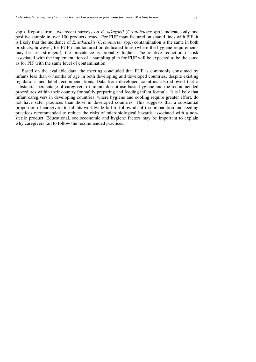spp.). Reports from two recent surveys on *E. sakazakii* (*Cronobacter* spp.) indicate only one positive sample in over 100 products tested. For FUF manufactured on shared lines with PIF, it is likely that the incidence of *E. sakazakii* (*Cronobacter* spp.) contamination is the same in both products; however, for FUF manufactured on dedicated lines (where the hygiene requirements may be less stringent), the prevalence is probably higher. The relative reduction in risk associated with the implementation of a sampling plan for FUF will be expected to be the same as for PIF with the same level of contamination.

Based on the available data, the meeting concluded that FUF is commonly consumed by infants less than 6 months of age in both developing and developed countries, despite existing regulations and label recommendations. Data from developed countries also showed that a substantial percentage of caregivers to infants do not use basic hygiene and the recommended procedures within their country for safely preparing and feeding infant formula. It is likely that infant caregivers in developing countries, where hygiene and cooling require greater effort, do not have safer practices than those in developed countries. This suggests that a substantial proportion of caregivers to infants worldwide fail to follow all of the preparation and feeding practices recommended to reduce the risks of microbiological hazards associated with a nonsterile product. Educational, socioeconomic and hygiene factors may be important to explain why caregivers fail to follow the recommended practices.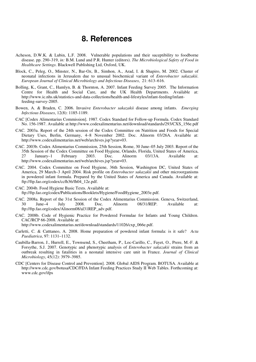### **8. References**

- Acheson, D.W.K. & Lubin, L.F. 2008. Vulnerable populations and their suceptibility to foodborne disease. pp. 290–319, *in:* B.M. Lund and P.R. Hunter (editors). *The Microbiological Safety of Food in Healthcare Settings*. Blackwell Publishing Ltd, Oxford, UK.
- Block, C., Peleg, O., Minster, N., Bar-Oz, B., Simhon, A., Arad, I. & Shapiro, M. 2002. Cluster of neonatal infections in Jerusalem due to unusual biochemical variant of *Enterobacter sakazakii*. *European Journal of Clinical Microbiology and Infectious Diseases*, 21: 613–616.
- Bolling, K., Grant, C., Hamlyn, B. & Thornton, A. 2007. Infant Feeding Survey 2005. The Information Centre for Health and Social Care, and the UK Health Departments. Available at: http://www.ic.nhs.uk/statistics-and-data-collections/health-and-lifestyles/infant-feeding/infantfeeding-survey-2005.
- Bowen, A. & Braden, C. 2006. Invasive *Enterobacter sakazakii* disease among infants. *Emerging Infectious Diseases*, 12(8): 1185-1189.
- CAC [Codex Alimentarius Commission]. 1987. Codex Standard for Follow-up Formula. Codex Standard No. 156-1987. Available at http://www.codexalimentarius.net/download/standards/293/CXS\_156e.pdf
- CAC. 2003a. Report of the 24th session of the Codex Committee on Nutrition and Foods for Special Dietary Uses, Berlin, Germany, 4–8 November 2002. Doc. Alinorm 03/26A. Available at: http://www.codexalimentarius.net/web/archives.jsp?year=03.
- CAC. 2003b. Codex Alimentarius Commission, 25th Session, Rome, 30 June–05 July 2003. Report of the 35th Session of the Codex Committee on Food Hygiene, Orlando, Florida, United States of America, 27 January–1 February 2003. Doc. Alinorm 03/13A. Available at: http://www.codexalimentarius.net/web/archives.jsp?year=03.
- CAC. 2004. Codex Committee on Food Hygiene, 36th Session, Washington DC, United States of America, 29 March–3 April 2004. Risk profile on *Enterobacter sakazakii* and other microorganisms in powdered infant formula. Prepared by the United States of America and Canada. Available at: ftp://ftp.fao.org/codex/ccfh36/fh04\_12e.pdf.
- CAC. 2004b. Food Hygiene Basic Texts. Available at: ftp://ftp.fao.org/codex/Publications/Booklets/Hygiene/FoodHygiene\_2003e.pdf.
- CAC. 2008a. Report of the 31st Session of the Codex Alimentarius Commission. Geneva, Switzerland, 30 June–4 July 2008. Doc. Alinorm 08/31/REP. Available at: ftp://ftp.fao.org/codex/Alinorm08/al31REP\_adv.pdf.
- CAC. 2008b. Code of Hygienic Practice for Powdered Formulae for Infants and Young Children. CAC/RCP 66-2008. Available at:

http://www.codexalimentarius.net/download/standards/11026/cxp\_066e.pdf.

- Carletti, C. & Catttaneo, A. 2008. Home preparation of powdered infant formula: is it safe? *Acta Paediatrica*, 97: 1131–1132.
- Caubilla-Barron, J., Hurrell, E., Townsend, S., Cheetham, P., Loc-Carillo, C., Fayet, O., Prere, M.-F. & Forsythe, S.J. 2007. Genotypic and phenotypic analysis of *Enterobacter sakazakii* strains from an outbreak resulting in fatalities in a neonatal intensive care unit in France. *Journal of Clinical Microbiology*, 45(12): 3979–3985.
- CDC [Centers for Disease Control and Prevention]. 2008. Global AIDS Program. BOTUSA. Available at http://www.cdc.gov/botusa/CDC/FDA Infant Feeding Practices Study II Web Tables. Forthcoming at: www.cdc.gov/ifps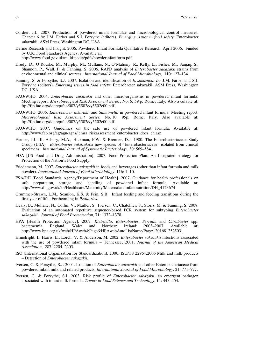- Cordier, J.L. 2007. Production of powdered infant formulae and microbiological control measures. Chapter 6 *in*: J.M. Farber and S.J. Forsythe (editors). *Emerging issues in food safety*: Enterobacter sakazakii*.* ASM Press, Washington DC, USA.
- Define Research and Insight. 2006. Powdered Infant Formula Qualitative Research. April 2006. Funded by U.K. Food Standards Agency. Available at:
	- http://www.food.gov.uk/multimedia/pdfs/powderinfantform.pdf.
- Drudy, D., O'Rourke, M., Murphy, M., Mullane, N., O'Mahony, R., Kelly, L., Fisher, M., Sanjaq, S., Shannon, P., Wall, P. & Fanning, S. 2006. RAPD analysis of *Enterobacter sakazakii* strains from environmental and clinical sources. *International Journal of Food Microbiology*, 110: 127–134.
- Fanning, S. & Forsythe, S.J. 2007. Isolation and identification of *E. sakazakii. In:* J.M. Farber and S.J. Forsythe (editors). *Emerging issues in food safety:* Enterobacter sakazakii. ASM Press, Washington DC, USA.
- FAO/WHO. 2004. *Enterobacter sakazakii* and other micro-organisms in powdered infant formula: Meeting report. *Microbiological Risk Assessment Series*, No. 6. 59 p. Rome, Italy. Also available at: ftp://ftp.fao.org/docrep/fao/007/y5502e/y5502e00.pdf.
- FAO/WHO. 2006. *Enterobacter sakazakii* and *Salmonella* in powdered infant formula: Meeting report. *Microbiological Risk Assessment Series,* No. 10. 95p. Rome, Italy. Also available at: ftp://ftp.fao.org/docrep/fao/007/y5502e/y5502e00.pdf.
- FAO/WHO. 2007. Guidelines on the safe use of powdered infant formula. Available at: http://www.fao.org/ag/agn/agns/jemra\_riskassessment\_enterobacter\_docs\_en.asp
- Farmer, J.J. III, Asbury, M.A., Hickman, F.W. & Brenner, D.J. 1980. The Enterobacteriaceae Study Group (USA). *Enterobacter sakazakii*:a new species of "Enterobacteriaceae" isolated from clinical specimens. *International Journal of Systematic Bacteriology*, 30: 569–584.
- FDA [US Food and Drug Administration]. 2007. Food Protection Plan: An Integrated strategy for Protection of the Nation's Food Supply.
- Friedemann, M. 2007. *Enterobacter sakazakii* in foods and beverages (other than infant formula and milk powder). *International Journal of Food Microbiology*, 116: 1–10.
- FSA/DH [Food Standards Agency/Department of Health]. 2007. Guidance for health professionals on safe preparation, storage and handling of powdered infant formula. Available http://www.dh.gov.uk/en/Healthcare/Maternity/Maternalandinfantnutrition/DH\_4123674
- Grummer-Strawn, L.M., Scanlon, K.S. & Fein, S.B. Infant feeding and feeding transitions during the first year of life. Forthcoming in *Pediatrics.*
- Healy, B., Mullane, N., Collin, V., Mailler, S., Iversen, C., Chatellier, S., Storrs, M. & Fanning, S. 2008. Evaluation of an automated repetitive sequence-based PCR system for subtyping *Enterobacter sakazakii*. *Journal of Food Protectection,* 71: 1372–1378.
- HPA [Health Protection Agency]. 2007. *Klebsiella*, *Enterobacter*, *Serratia* and *Citrobacter* spp. bacteraemia, England, Wales and Northern Ireland: 2003–2007. Available at: http://www.hpa.org.uk/web/HPAweb&Page&HPAwebAutoListName/Page/1201681252503.
- Himelright, I., Harris, E., Lorch, V. & Anderson, M. 2002. *Enterobacter sakazakii* infections associated with the use of powdered infant formula – Tennessee, 2001. *Journal of the American Medical Association*, 287: 2204–2205.
- ISO [International Organization for Standardization]. 2006. ISO/TS 22964:2006 Milk and milk products – Detection of *Enterobacter sakazakii*.
- Iversen, C. & Forsythe, S.J. 2004. Isolation of *Enterobacter sakazakii* and other Enterobacteriaceae from powdered infant milk and related products. *International Journal of Food Microbiology*, 21: 771–777.
- Iversen, C. & Forsythe, S.J. 2003. Risk profile of *Enterobacter sakazakii*, an emergent pathogen associated with infant milk formula. *Trends in Food Science and Technology*, 14: 443–454.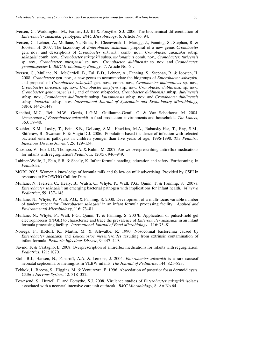- Iversen, C., Waddington, M., Farmer, J.J. III & Forsythe, S.J. 2006. The biochemical differentiation of *Enterobacter sakazakii* genotypes. *BMC Microbiology*, 6: Article No. 94.
- Iversen, C., Lehner, A., Mullane, N., Bidas, E., Cleenwerck, I., Marugg, J., Fanning, S., Stephan, R. & Joosten, H. 2007. The taxonomy of *Enterobacter sakazakii*: proposal of a new genus *Cronobacter* gen. nov. and descriptions of *Cronobacter sakazakii* comb. nov., *Cronobacter sakazakii* subsp. *sakazakii* comb. nov., *Cronobacter sakazakii* subsp. *malonaticus* comb. nov., *Cronobacter. turicensis* sp. nov., *Cronobacter. muytjensii* sp. nov., *Cronobacter. dublinensis* sp. nov. and *Cronobacter. genomospecies* I. *BMC Evolutionary Biology*, 7: Article No. 64.
- Iversen, C., Mullane, N., McCardell, B., Tal, B.D., Lehner, A., Fanning, S., Stephan, R. & Joosten, H. 2008. *Cronobacter* gen. nov., a new genus to accommodate the biogroups of *Enterobacter sakazakii*, and proposal of *Cronobacter sakazakii* gen. nov., comb. nov., *Cronobacter malonaticus* sp. nov., *Cronobacter turicensis* sp. nov., *Cronobacter muytjensii* sp. nov., *Cronobacter dublinensis* sp. nov., *Cronobacter genomospecies* 1, and of three subspecies, *Cronobacter dublinensis* subsp. *dublinensis* subsp. nov., *Cronobacter dublinensis* subsp. *lausannensis* subsp. nov. and *Cronobacter dublinensis* subsp. *lactaridi* subsp. nov. *International Journal of Systematic and Evolutionary Microbiology,*  58(6): 1442–1447.
- Kandhai, M.C., Reij, M.W., Gorris, L.G.M., Guillaume-Gentil, O. & Van Schothorst. M. 2004. *Occurrence of Enterobacter sakazakii* in food production environments and households. *The Lancet,* 363: 39–40.
- Koehler, K.M., Lasky, T., Fein, S.B., DeLong, S.M., Hawkins, M.A., Rabatsky-Her, T., Ray, S.M., Shiferaw, B., Swanson E. & Vugia D.J. 2006. Population-based incidence of infection with selected bacterial enteric pathogens in children younger than five years of age, 1996-1998. *The Pediatric Infectious Disease Journal*, 25: 129–134.
- Khoshoo, V., Edell, D., Thompson, A. & Rubin, M. 2007. Are we overprescribing antireflux medications for infants with regurgitation? *Pediatrics*, 120(5): 946–949.
- Labiner-Wolfe, J., Fein, S.B. & Shealy, K. Infant formula handing, education and safety. Forthcoming in *Pediatrics*.
- MORI. 2005. Women's knowledge of formula milk and follow on milk advertising. Provided by CSPI in response to FAO/WHO Call for Data.
- Mullane, N., Iversen, C., Healy, B., Walsh, C., Whyte, P., Wall, P.G., Quinn, T. & Fanning, S. 2007a. *Enterobacter sakazakii*: an emerging bacterial pathogen with implications for infant health. *Minerva Pediatrica*, 59: 137–148.
- Mullane, N., Whyte, P., Wall, P.G., & Fanning, S. 2008. Development of a multi-locus variable number of tandem repeat for *Enterobacter sakazakii* in an infant formula processing facility. *Applied and Environmental Microbiology*, 116: 73–81.
- Mullane, N., Whyte, P., Wall, P.G., Quinn, T. & Fanning, S. 2007b. Application of pulsed-field gel electrophoresis (PFGE) to characterize and trace the prevalence of *Enterobacter sakazakii* in an infant formula processing facility. *International Journal of Food Microbiology*, 116: 73–81.
- Noriega, F., Kotloff, K., Martin, M. & Schwalbe, R. 1990. Nosocomial bacteremia caused by *Enterobacter sakazakii* and *Leuconostoc mesenteroides* resulting from extrinsic contamination of infant formula. *Pediatric Infectious Disease*, 9: 447–449.
- Savino, F. & Castagno, E. 2008. Overprescription of antireflux medications for infants with regurgitation. *Pediatrics*, 121: 1070.
- Stoll, B.J., Hansen, N., Fanaroff, A.A. & Lemons, J. 2004. *Enterobacter sakazakii* is a rare causeof neonatal septicemia or meningitis in VLBW infants. *The Journal of Pediatrics*, 144: 821–823.
- Tekkok, I., Baeesa, S., Higgins, M. & Ventureyra, E. 1996. Abscedation of posterior fossa dermoid cysts. *Child's Nervous System*, 12: 318–322.
- Townsend, S., Hurrell, E. and Forsythe, S.J. 2008. Virulence studies of *Enterobacter sakazakii* isolates associated with a neonatal intensive care unit outbreak. *BMC Microbiology*, 8: Art.No.64.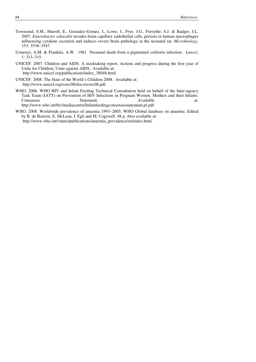- Townsend, S.M., Hurrell, E., Gonzalez-Gomez, I., Lowe, J., Frye, J.G., Forsythe, S.J. & Badger, J.L. 2007. *Enterobacter sakazakii* invades brain capillary endothelial cells, persists in human macrophages influencing cytokine secretion and induces severe brain pathology in the neonatal rat. *Microbiology,*  153: 3538–3547.
- Urmenyi, A.M. & Franklin, A.W. 1961 Neonatal death from a pigmented coliform infection. *Lancet*, 1: 313–315.
- UNICEF. 2007. Children and AIDS. A stocktaking report. Actions and progress during the first year of Unite for Children, Unite against AIDS. Available at: http://www.unicef.org/publications/index\_38048.html.
- UNICEF. 2008. The State of the World's Children 2008. Available at: http://www.unicef.org/sowc08/docs/sowc08.pdf.
- WHO. 2006. WHO HIV and Infant Feeding Technical Consultation held on behalf of the Inter-agency Task Team (IATT) on Prevention of HIV Infections in Pregnant Women, Mothers and their Infants: Statement. Available at: http://www.who.int/hiv/mediacentre/Infantfeedingconsensusstatement.pf.pdf.
- WHO. 2008. Worldwide prevalence of anaemia 1993–2005; WHO Global database on anaemia. Edited by B. de Benoist, E. McLean, I. Egli and M. Cogswell. 48 p. Also available at: http://www.who.int/vmnis/publications/anaemia\_prevalence/en/index.html.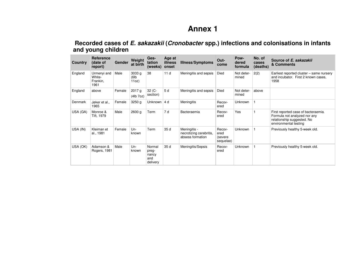## **Annex 1**

 **Recorded cases of E. sakazakii (Cronobacter spp.) infections and colonisations in infants and young children** 

| <b>Country</b> | <b>Reference</b><br>(date of<br>report)   | <b>Gender</b> | Weight<br>at birth                  | Ges-<br>tation<br>(weeks)                   | Age at<br>illness<br>onset | <b>Illness/Symptoms</b>                                     | Out-<br>come                           | Pow-<br>dered<br>formula | No. of<br>cases<br>(deaths) | Source of E. sakazakii<br>& Comments                                                                                       |
|----------------|-------------------------------------------|---------------|-------------------------------------|---------------------------------------------|----------------------------|-------------------------------------------------------------|----------------------------------------|--------------------------|-----------------------------|----------------------------------------------------------------------------------------------------------------------------|
| England        | Urmenyi and<br>White-<br>Frankin,<br>1961 | Male          | 3033 <sub>g</sub><br>(6lb)<br>11oz) | 38                                          | 11 <sub>d</sub>            | Meningitis and sepsis                                       | Died                                   | Not deter-<br>mined      | 2(2)                        | Earliest reported cluster - same nursery<br>and incubator. First 2 known cases,<br>1958                                    |
| England        | above                                     | Female        | 2017 g<br>(4lb 7oz)                 | $32 (C -$<br>section)                       | 5 d                        | Meningitis and sepsis                                       | Died                                   | Not deter-<br>mined      | above                       |                                                                                                                            |
| Denmark        | Jøker et al<br>1965                       | Female        | 3250 <sub>g</sub>                   | Unknown                                     | 4 d                        | Meningitis                                                  | Recov-<br>ered                         | Unknown                  |                             |                                                                                                                            |
| USA (GA)       | Monroe &<br>Tift, 1979                    | Male          | 2600 g                              | Term                                        | 7 d                        | Bacteraemia                                                 | Recov-<br>ered                         | Yes                      |                             | First reported case of bacteraemia.<br>Formula not analyzed nor any<br>relationship suggested. No<br>environmental testing |
| USA (IN)       | Kleiman et<br>al., 1981                   | Female        | Un-<br>known                        | Term                                        | 35 d                       | Meningitis -<br>necrotizing cerebritis,<br>absess formation | Recov-<br>ered<br>(severe<br>sequelae) | Unknown                  |                             | Previously healthy 5-week old.                                                                                             |
| USA (OK)       | Adamson &<br>Rogers, 1981                 | Male          | $Un-$<br>known                      | Normal<br>preg-<br>nancy<br>and<br>delivery | 35 d                       | Meningitis/Sepsis                                           | Recov-<br>ered                         | Unknown                  |                             | Previously healthy 5-week old.                                                                                             |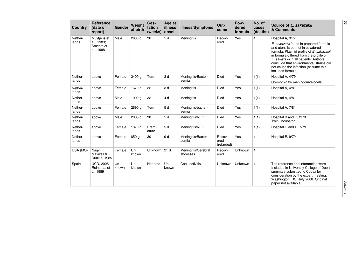| <b>Country</b>   | <b>Reference</b><br>(date of<br>report)       | Gender       | Weight<br>at birth | Ges-<br>tation<br>(weeks) | Age at<br>illness<br>onset | <b>Illness/Symptoms</b>         | Out-<br>come                 | Pow-<br>dered<br>formula | No. of<br>cases<br>(deaths) | Source of E. sakazakii<br>& Comments                                                                                                                                                                                                                                                                               |
|------------------|-----------------------------------------------|--------------|--------------------|---------------------------|----------------------------|---------------------------------|------------------------------|--------------------------|-----------------------------|--------------------------------------------------------------------------------------------------------------------------------------------------------------------------------------------------------------------------------------------------------------------------------------------------------------------|
| Nether-          | Muytjens et                                   | Male         | 2830 g             | 36                        | 5d                         | Meningitis                      | Recov-                       | Yes                      | $\mathbf{1}$                | Hospital A, 9/77                                                                                                                                                                                                                                                                                                   |
| lands            | al., 1983;<br>Smeets et<br>al., 1998          |              |                    |                           |                            |                                 | ered                         |                          |                             | E. sakazakii found in prepared formula<br>and utensils but not in powdered<br>formula. Plasmid profile of E. sakazakii<br>in formula differed from the profile of<br>E. sakazakii in all patients. Authors<br>conclude that environmental strains did<br>not cause the infection (assume this<br>includes formula) |
| Nether-          | above                                         | Female       | 2400 g             | Term                      | 3d                         | Meningitis/Bacter-              | Died                         | Yes                      | 1(1)                        | Hospital A, 4/79                                                                                                                                                                                                                                                                                                   |
| lands            |                                               |              |                    |                           |                            | aemia                           |                              |                          |                             | Co-morbidity-meningomyelocele.                                                                                                                                                                                                                                                                                     |
| Nether-<br>lands | above                                         | Female       | 1670 g             | 32                        | 3d                         | <b>Meningitis</b>               | Died                         | Yes                      | 1(1)                        | Hospital A, 4/81                                                                                                                                                                                                                                                                                                   |
| Nether-<br>lands | above                                         | Male         | 1900 g             | 32                        | 4 d                        | <b>Meningitis</b>               | Died                         | Yes                      | 1(1)                        | Hospital A, 4/81                                                                                                                                                                                                                                                                                                   |
| Nether-<br>lands | above                                         | Female       | 2690 g             | Term                      | 5d                         | Meningitis/bacter-<br>aemia     | Died                         | Yes                      | 1(1)                        | Hospital A, 7/81                                                                                                                                                                                                                                                                                                   |
| Nether-<br>lands | above                                         | Male         | 2085 g             | 38                        | 5d                         | Meningitis/NEC                  | Died                         | Yes                      | 1(1)                        | Hospital B and D, 2/78<br>Twin, incubator                                                                                                                                                                                                                                                                          |
| Nether-<br>lands | above                                         | Female       | 1370 g             | Prem-<br>ature            | 5d                         | Meningitis/NEC                  | <b>Died</b>                  | Yes                      | 1(1)                        | Hospital C and D, 7/79                                                                                                                                                                                                                                                                                             |
| Nether-<br>lands | above                                         | Female       | 850 <sub>g</sub>   | 30                        | 9 d                        | Meningitis/Bacter-<br>aemia     | Recov-<br>ered<br>(retarded) | Yes                      | $\mathbf{1}$                | Hospital E, 9/79                                                                                                                                                                                                                                                                                                   |
| USA (MO)         | Nagvi,<br>Maxwell &<br>Dunkle, 1985           | Female       | $Un-$<br>known     | Unknown 21 d              |                            | Meningitis/Cerebral<br>abcesses | Recov-<br>ered               | Unknown                  | $\mathbf{1}$                |                                                                                                                                                                                                                                                                                                                    |
| Spain            | <b>UCD, 2008</b><br>Reina, J., et<br>al. 1989 | Un-<br>known | $Un -$<br>known    | Neonate                   | Un-<br>known               | Conjunctivitis                  | <b>Unknown</b>               | Unknown                  | $\mathbf{1}$                | The reference and information were<br>Included in University College of Dublin<br>summary submitted to Codex for<br>consideration by the expert meeting,<br>Washington, DC. July 2008. Original<br>paper not available.                                                                                            |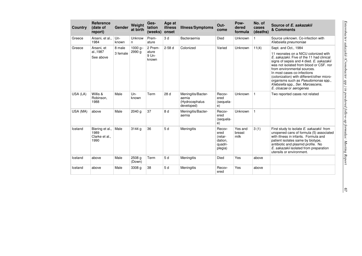| Country  | <b>Reference</b><br>(date of<br>report)           | Gender             | Weiaht<br>at birth   | Ges-<br>tation<br>(weeks)          | Age at<br>illness<br>onset | <b>Illness/Symptoms</b>                                     | Out-<br>come                                               | Pow-<br>dered<br>formula  | No. of<br>cases<br>(deaths) | Source of E. sakazakii<br>& Comments                                                                                                                                                                                                                                                                                                                                                                                |
|----------|---------------------------------------------------|--------------------|----------------------|------------------------------------|----------------------------|-------------------------------------------------------------|------------------------------------------------------------|---------------------------|-----------------------------|---------------------------------------------------------------------------------------------------------------------------------------------------------------------------------------------------------------------------------------------------------------------------------------------------------------------------------------------------------------------------------------------------------------------|
| Greece   | Arseni, et al.,<br>1984                           | Un-<br>known       | Unknow<br>n          | Prem-<br>ature                     | 3d                         | Bacteraemia                                                 | Died                                                       | Unknown                   | $\mathbf{1}$                | Source unknown, Co-infection with<br>Klebsiella pneumoniae                                                                                                                                                                                                                                                                                                                                                          |
| Greece   | Arseni, et<br>al.,1987<br>See above               | 8 male<br>3 female | $1000 g -$<br>2990 g | 2 Prem-<br>ature<br>9 Un-<br>known | $2-58d$                    | Colonized                                                   | Varied                                                     | <b>Unknown</b>            | 11(4)                       | Sept. and Oct., 1984<br>11 neonates on a NICU colonized with<br>E. sakazakii. Five of the 11 had clinical<br>signs of sepsis and 4 died. E. sakazakii<br>was not isolated from blood or CSF. nor<br>from environmental sources.<br>In most cases co-infections<br>(colonization) with different/other micro-<br>organisms such as Pseudomonas spp.,<br>Klebsiella spp., Ser. Marcescens,<br>E. cloacae or aerogenes |
| USA (LA) | Willis &<br>Robinson,<br>1988                     | Male               | Un-<br>known         | Term                               | 28 d                       | Meningitis/Bacter-<br>aemia<br>(Hydrocephalus<br>developed) | Recov-<br>ered<br>(sequela-<br>e)                          | Unknown                   | 1                           | Two reported cases not related                                                                                                                                                                                                                                                                                                                                                                                      |
| USA (MA) | above                                             | Male               | 2040 g               | 37                                 | 8 d                        | Meningitis/Bacter-<br>aemia                                 | Recov-<br>ered<br>(sequela-<br>e)                          | Unknown                   | $\mathbf{1}$                |                                                                                                                                                                                                                                                                                                                                                                                                                     |
| Iceland  | Biering et al.,<br>1989<br>Clarke et al.,<br>1990 | Male               | 3144 g               | 36                                 | 5 d                        | Meningitis                                                  | Recov-<br>ered<br>(retar-<br>dation,<br>quadri-<br>plegia) | Yes and<br>breast<br>milk | 3(1)                        | First study to isolate E. sakazakii from<br>unopened cans of formula (5) associated<br>with illness in infants. Formula and<br>patient isolates same by biotype,<br>antibiotic and plasmid profile. No<br>E. sakazakii isolated from preparation<br>utensils or environment.                                                                                                                                        |
| Iceland  | above                                             | Male               | 2508 g<br>(Down)     | Term                               | 5 d                        | Meningitis                                                  | <b>Died</b>                                                | Yes                       | above                       |                                                                                                                                                                                                                                                                                                                                                                                                                     |
| Iceland  | above                                             | Male               | 3308 g               | 38                                 | 5 d                        | Meningitis                                                  | Recov-<br>ered                                             | Yes                       | above                       |                                                                                                                                                                                                                                                                                                                                                                                                                     |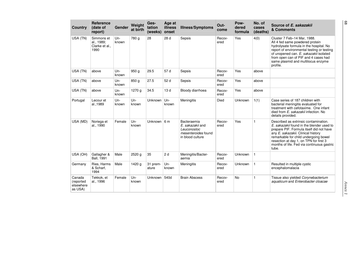| <b>Country</b>                              | <b>Reference</b><br>(date of<br>report)            | Gender          | Weight<br>at birth | Ges-<br>tation<br>(weeks) | Age at<br>illness<br>onset | <b>Illness/Symptoms</b>                                                                   | Out-<br>come   | Pow-<br>dered<br>formula | No. of<br>cases<br>(deaths) | Source of E. sakazakii<br>& Comments                                                                                                                                                                                                                                                                           |
|---------------------------------------------|----------------------------------------------------|-----------------|--------------------|---------------------------|----------------------------|-------------------------------------------------------------------------------------------|----------------|--------------------------|-----------------------------|----------------------------------------------------------------------------------------------------------------------------------------------------------------------------------------------------------------------------------------------------------------------------------------------------------------|
| USA (TN)                                    | Simmons et<br>al., 1989;<br>Clarke et al.,<br>1990 | $Un -$<br>known | 780 g              | 28                        | 28 d                       | Sepsis                                                                                    | Recov-<br>ered | Yes                      | 4(0)                        | Cluster 7 Feb-14 Mar, 1988.<br>All 4 fed same powdered protein<br>hydrolysate formula in the hospital. No<br>report of environmental testing or testing<br>of unopened can. E. sakazakii isolated<br>from open can of PIF and 4 cases had<br>same plasmid and multilocus enzyme<br>profile.                    |
| USA (TN)                                    | above                                              | Un-<br>known    | 950 <sub>g</sub>   | 29.5                      | 57 d                       | Sepsis                                                                                    | Recov-<br>ered | Yes                      | above                       |                                                                                                                                                                                                                                                                                                                |
| USA (TN)                                    | above                                              | Un-<br>known    | 850 <sub>g</sub>   | 27.5                      | 52 d                       | Sepsis                                                                                    | Recov-<br>ered | Yes                      | above                       |                                                                                                                                                                                                                                                                                                                |
| USA (TN)                                    | above                                              | Un-<br>known    | 1270 g             | 34.5                      | 13 d                       | Bloody diarrhoea                                                                          | Recov-<br>ered | Yes                      | above                       |                                                                                                                                                                                                                                                                                                                |
| Portugal                                    | Lecour et<br>al., 1989                             | $Un-$<br>known  | $Un-$<br>known     | Unknown                   | $Un -$<br>known            | Meningitis                                                                                | Died           | Unknown                  | 1(1)                        | Case series of 187 children with<br>bacterial meningitis evaluated for<br>treatment with cefotaxime. One infant<br>died from E. sakazakii infection. No<br>details provided.                                                                                                                                   |
| USA (MD)                                    | Noriega et<br>al., 1990                            | Female          | $Un-$<br>known     | Unknown $6m$              |                            | Bacteraemia<br>E. sakazakii and<br>Leuconostoc<br>mesenteroides found<br>in blood culture | Recov-<br>ered | Yes                      | $\mathbf{1}$                | Described as extrinsic contamination.<br>E. sakazakij found in the blender used to<br>prepare PIF. Formula itself did not have<br>any E. sakazakii. Clinical history<br>remarkable for child undergoing bowel<br>resection at day 1, on TPN for first 3<br>months of life. Fed via continuous gastric<br>tube. |
| USA (OH)                                    | Gallagher &<br><b>Ball. 1991</b>                   | Male            | 2520 g             | 35                        | 2d                         | Meningitis/Bacter-<br>aemia                                                               | Recov-<br>ered | Unknown                  | $\mathbf{1}$                |                                                                                                                                                                                                                                                                                                                |
| Germany                                     | Ries, Harms<br>& Scharf.<br>1994                   | Male            | 1420 g             | 31 prem-<br>ature         | $Un-$<br>known             | Meningitis                                                                                | Recov-<br>ered | Unknown                  | $\mathbf{1}$                | Resulted in multiple cystic<br>encephalomalacia                                                                                                                                                                                                                                                                |
| Canada<br>(reported<br>elsewhere<br>as USA) | Tekkok, et<br>al., 1996                            | Female          | Un-<br>known       | Unknown                   | 540d                       | <b>Brain Abscess</b>                                                                      | Recov-<br>ered | <b>No</b>                | $\mathbf{1}$                | Tissue also yielded Corynebacterium<br>aquaticum and Enterobacter cloacae                                                                                                                                                                                                                                      |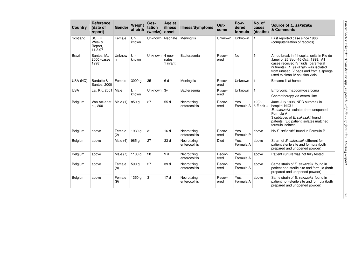| Country       | <b>Reference</b><br>(date of<br>report)      | Gender        | Weight<br>at birth | Ges-<br>tation<br>(weeks) | Age at<br>illness<br>onset  | <b>Illness/Symptoms</b>      | Out-<br>come   | Pow-<br>dered<br>formula               | No. of<br>cases<br>(deaths) | Source of E. sakazakii<br>& Comments                                                                                                                                                                                                           |
|---------------|----------------------------------------------|---------------|--------------------|---------------------------|-----------------------------|------------------------------|----------------|----------------------------------------|-----------------------------|------------------------------------------------------------------------------------------------------------------------------------------------------------------------------------------------------------------------------------------------|
| Scotland      | <b>SCIEH</b><br>Weekly<br>Report,<br>11.3.97 | Female        | $Un-$<br>known     | Unknown                   | Neonate                     | Meningitis                   | Unknown        | Unknown                                | 1                           | First reported case since 1986<br>(computerization of records)                                                                                                                                                                                 |
| <b>Brazil</b> | Santos, M.,<br>2000 (cases<br>1998)          | Unknow<br>n.  | $Un-$<br>known     | Unknown                   | 4 neo-<br>nates<br>1 infant | Bacteraemia                  | Recov-<br>ered | <b>No</b>                              | 5                           | An outbreak in 4 hospital units in Rio de<br>Janeiro, 26 Sept-16 Oct., 1998. All<br>cases received IV fluids (parenteral<br>nutrients). E. sakazakii was isolated<br>from unused IV bags and from a sponge<br>used to clean IV solution vials. |
| USA (NC)      | Burdette &<br><b>Santos, 2000</b>            | Female        | 3000 g             | 35                        | 6 d                         | Meningitis                   | Recov-<br>ered | Unknown                                | $\mathbf{1}$                | Became ill at home                                                                                                                                                                                                                             |
| <b>USA</b>    | Lai, KK, 2001                                | Male          | Un-<br>known       | Unknown                   | 3y                          | Bacteraemia                  | Recov-<br>ered | Unknown                                | $\mathbf{1}$                | Embryonic rhabdomyosarcoma<br>Chemotherapy via central line                                                                                                                                                                                    |
| Belgium       | Van Acker et<br>al., 2001                    | Male $(1)$    | 850 <sub>g</sub>   | 27                        | 55 d                        | Necrotizing<br>enterocolitis | Recov-<br>ered | Yes.<br>Formula A $ 6 \text{ E sak} +$ | 12(2)                       | June-July 1998, NEC outbreak in<br>hospital NICU<br>E. sakazakii isolated from unopened<br>Formula A<br>3 subtypes of E. sakazakii found in<br>patents. 3/6 patient isolates matched<br>formula isolates.                                      |
| Belgium       | above                                        | Female<br>(2) | 1930 g             | 31                        | 16d                         | Necrotizing<br>enterocolitis | Recov-<br>ered | Yes.<br>Formula P                      | above                       | No E. sakazakii found in Formula P                                                                                                                                                                                                             |
| Belgium       | above                                        | Male $(4)$    | 965 g              | 27                        | 33 d                        | Necrotizing<br>enterocolitis | Died           | Yes.<br>Formula A                      | above                       | Strain of E. sakazakii different for<br>patient sterile site and formula (both<br>prepared and unopened powder)                                                                                                                                |
| Belgium       | above                                        | Male (7)      | 1100 g             | 28                        | 9 d                         | Necrotizing<br>enterocolitis | Recov-<br>ered | Yes.<br>Formula A                      | above                       | Patient culture was not fully tested                                                                                                                                                                                                           |
| Belgium       | above                                        | Female<br>(8) | 590 g              | 27                        | 39 d                        | Necrotizing<br>enterocolitis | Recov-<br>ered | Yes.<br>Formula A                      | above                       | Same strain of E. sakazakii found in<br>patient non-sterile site and formula (both<br>prepared and unopened powder).                                                                                                                           |
| Belgium       | above                                        | Female<br>(9) | 1350 g             | 31                        | 17 d                        | Necrotizing<br>enterocolitis | Recov-<br>ered | Yes.<br>Formula A                      | above                       | Same strain of E. sakazakii found in<br>patient non-sterile site and formula (both<br>prepared and unopened powder).                                                                                                                           |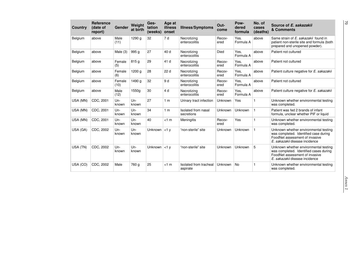| Country  | <b>Reference</b><br>(date of<br>report) | Gender          | Weight<br>at birth | Ges-<br>tation<br>(weeks) | Age at<br>illness<br>onset | <b>Illness/Symptoms</b>            | Out-<br>come   | Pow-<br>dered<br>formula | No. of<br>cases<br>(deaths) | Source of E. sakazakii<br>& Comments                                                                                                                |
|----------|-----------------------------------------|-----------------|--------------------|---------------------------|----------------------------|------------------------------------|----------------|--------------------------|-----------------------------|-----------------------------------------------------------------------------------------------------------------------------------------------------|
| Belgium  | above                                   | Male<br>(11)    | 1290 g             | 32                        | 7 d                        | Necrotizing<br>enterocolitis       | Recov-<br>ered | Yes.<br>Formula A        | above                       | Same strain of E. sakazakij found in<br>patient non-sterile site and formula (both<br>prepared and unopened powder).                                |
| Belgium  | above                                   | Male $(3)$      | 995 a              | 27                        | 40 d                       | Necrotizing<br>enterocolitis       | Died           | Yes.<br>Formula A        | above                       | Patient not cultured                                                                                                                                |
| Belgium  | above                                   | Female<br>(5)   | 815 g              | 29                        | 41 d                       | Necrotizing<br>enterocolitis       | Recov-<br>ered | Yes.<br>Formula A        | above                       | Patient not cultured                                                                                                                                |
| Belgium  | above                                   | Female<br>(6)   | 1200 g             | 28                        | 22 d                       | Necrotizina<br>enterocolitis       | Recov-<br>ered | Yes.<br>Formula A        | above                       | Patient culture negative for E. sakazakii                                                                                                           |
| Belgium  | above                                   | Female<br>(10)  | 1490 g             | 32                        | 9 d                        | Necrotizing<br>enterocolitis       | Recov-<br>ered | Yes.<br>Formula A        | above                       | Patient not cultured                                                                                                                                |
| Belgium  | above                                   | Male<br>(12)    | 1550g              | 30                        | 4 d                        | Necrotizing<br>enterocolitis       | Recov-<br>ered | Yes.<br>Formula A        | above                       | Patient culture negative for E. sakazakii                                                                                                           |
| USA (MN) | CDC, 2001                               | Un-<br>known    | Un-<br>known       | 27                        | 1 <sub>m</sub>             | Urinary tract infection            | <b>Unknown</b> | Yes                      | 1                           | Unknown whether environmental testing<br>was completed.                                                                                             |
| USA (MN) | CDC, 2001                               | Un-<br>known    | Un-<br>known       | 34                        | 1 <sub>m</sub>             | Isolated from nasal<br>secretions  | Unknown        | Unknown                  | $\mathbf{1}$                | Patient was fed 2 brands of infant<br>formula, unclear whether PIF or liquid                                                                        |
| USA (MN) | CDC, 2001                               | $Un-$<br>known  | $Un-$<br>known     | 40                        | $<1$ m                     | Meningitis                         | Recov-<br>ered | Yes                      | 1                           | Unknown whether environmental testing<br>was completed.                                                                                             |
| USA (GA) | CDC, 2002                               | $Un -$<br>known | $Un-$<br>known     | Unknown                   | $<1$ y                     | "non-sterile" site                 | Unknown        | Unknown                  | 1                           | Unknown whether environmental testing<br>was completed. Identified case during<br>FoodNet assessment of invasive<br>E. sakazakii disease incidence  |
| USA (TN) | CDC, 2002                               | $Un-$<br>known  | $Un -$<br>known    | Unknown                   | $<1$ $V$                   | "non-sterile" site                 | Unknown        | <b>Unknown</b>           | 5                           | Unknown whether environmental testing<br>was completed. Identified cases during<br>FoodNet assessment of invasive<br>E. sakazakii disease incidence |
| USA (CO) | CDC, 2002                               | Male            | 760 g              | 25                        | $<1$ m                     | Isolated from tracheal<br>aspirate | Unknown        | <b>No</b>                | 1                           | Unknown whether environmental testing<br>was completed.                                                                                             |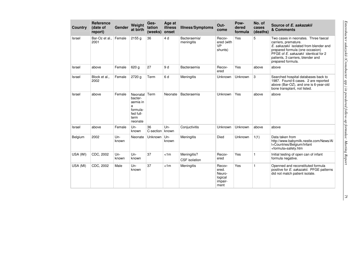| <b>Country</b> | Reference<br>(date of<br>report) | Gender         | Weight<br>at birth                                                               | Ges-<br>tation<br>(weeks) | Age at<br>illness<br>onset | <b>Illness/Symptoms</b>             | Out-<br>come                                            | Pow-<br>dered<br>formula | No. of<br>cases<br>(deaths) | Source of E. sakazakii<br>& Comments                                                                                                                                                                                                       |
|----------------|----------------------------------|----------------|----------------------------------------------------------------------------------|---------------------------|----------------------------|-------------------------------------|---------------------------------------------------------|--------------------------|-----------------------------|--------------------------------------------------------------------------------------------------------------------------------------------------------------------------------------------------------------------------------------------|
| Israel         | Bar-Oz et al.,<br>2001           | Female         | 2155q                                                                            | 36                        | 4 d                        | Bacteraemia/<br>meningitis          | Recov-<br>ered (with<br><b>VP</b><br>shunts)            | Yes                      | 5                           | Two cases in neonates. Three faecal<br>carriers, premature.<br>E. sakazakii isolated from blender and<br>prepared formula (one occasion)<br>PFGE of E. sakazakii identical for 2<br>patients, 3 carriers, blender and<br>prepared formula. |
| Israel         | above                            | Female         | 620 g                                                                            | 27                        | 9 d                        | Bacteraemia                         | Recov-<br>ered                                          | Yes                      | above                       | above                                                                                                                                                                                                                                      |
| Israel         | Block et al.,<br>2002            | Female         | 2720 g                                                                           | Term                      | 6 d                        | Meningitis                          | Unknown                                                 | Unknown                  | 3                           | Searched hospital databases back to<br>1987. Found 6 cases. 2 are reported<br>above (Bar-OZ), and one is 6-year-old<br>bone transplant, not listed.                                                                                        |
| Israel         | above                            | Female         | Neonatal<br>bacter-<br>aemia in<br>a<br>formula-<br>fed full-<br>term<br>neonate | Term                      | Neonate                    | Bacteraemia                         | Unknown                                                 | Yes                      | above                       | above                                                                                                                                                                                                                                      |
| Israel         | above                            | Female         | Un-<br>known                                                                     | 36<br>C-section           | $Un-$<br>known             | Conjuctivitis                       | Unknown                                                 | Unknown                  | above                       | above                                                                                                                                                                                                                                      |
| Belgium        | 2002                             | Un-<br>known   | Neonate                                                                          | <b>Unknown</b>            | Un-<br>known               | Meningitis                          | Died                                                    | Unknown                  | 1(1)                        | Data taken from<br>http://www.babymilk.nestle.com/News/Al<br>I+Countries/Belgium/Infant<br>+formula+safety.htm                                                                                                                             |
| USA (WI)       | CDC, 2002                        | $Un-$<br>known | $Un-$<br>known                                                                   | 37                        | < 1m                       | Meningitis?<br><b>CSF</b> isolation | Recov-<br>ered                                          | Yes                      | $\mathbf{1}$                | Initial testing of open can of infant<br>formula negative.                                                                                                                                                                                 |
| USA (MI)       | CDC, 2002                        | Male           | $Un-$<br>known                                                                   | 37                        | < 1m                       | Meningitis                          | Recov-<br>ered.<br>Neuro-<br>logical<br>impair-<br>ment | Yes                      | $\mathbf{1}$                | Openned and reconstituted formula<br>positive for E. sakazakii. PFGE patterns<br>did not match patient isolate.                                                                                                                            |

71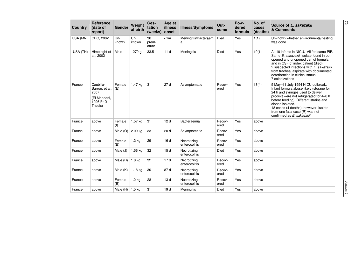| <b>Country</b> | <b>Reference</b><br>(date of<br>report)                                     | Gender            | Weight<br>at birth | Ges-<br>tation<br>(weeks) | Age at<br>illness<br>onset | <b>Illness/Symptoms</b>      | Out-<br>come   | Pow-<br>dered<br>formula | No. of<br>cases<br>(deaths) | Source of E. sakazakii<br>& Comments                                                                                                                                                                                                                                                                                                 |
|----------------|-----------------------------------------------------------------------------|-------------------|--------------------|---------------------------|----------------------------|------------------------------|----------------|--------------------------|-----------------------------|--------------------------------------------------------------------------------------------------------------------------------------------------------------------------------------------------------------------------------------------------------------------------------------------------------------------------------------|
| USA (MN)       | CDC, 2002                                                                   | Un-<br>known      | Un-<br>known       | 36<br>prem-<br>ature      | < 1m                       | Meningitis/Bacteraemi<br>a   | Died           | Yes                      | 1(1)                        | Unknown whether environmental testing<br>was done                                                                                                                                                                                                                                                                                    |
| USA (TN)       | Himelright et<br>al., 2002                                                  | Male              | 1270 g             | 33.5                      | 11d                        | Meningitis                   | Died           | Yes                      | 10(1)                       | All 10 infants in NICU. All fed same PIF.<br>Same E. sakazakii isolate found in both<br>opened and unopened can of formula<br>and in CSF of index patient (died).<br>2 suspected infections with E. sakazakii<br>from tracheal aspirate with documented<br>deterioration in clinical status.<br>7 colonizations                      |
| France         | Caubilla-<br>Barron, et al.,<br>2007<br>(El Maadani.<br>1996 PhD<br>Thesis) | Female<br>(E)     | 1.47 kg            | 31                        | 27d                        | Asymptomatic                 | Recov-<br>ered | Yes                      | 18(4)                       | 5 May-11 July 1994 NICU outbreak.<br>Infant formula abuse likely (storage for<br>24 h and syringes used to deliver<br>product were not refrigerated for 4-6 h<br>before feeding). Different strains and<br>clones isolated.<br>18 cases (4 deaths); however, isolate<br>from one fatal case (R) was not<br>confirmed as E. sakazakii |
| France         | above                                                                       | Female<br>(I)     | 1.57 kg            | 31                        | 12d                        | Bacteraemia                  | Recov-<br>ered | Yes                      | above                       |                                                                                                                                                                                                                                                                                                                                      |
| France         | above                                                                       | Male $(O)$        | 2.09 kg            | 33                        | 20 d                       | Asymptomatic                 | Recov-<br>ered | Yes                      | above                       |                                                                                                                                                                                                                                                                                                                                      |
| France         | above                                                                       | Female<br>(B)     | $1.2$ kg           | 29                        | 16d                        | Necrotizing<br>enterocolitis | Recov-<br>ered | Yes                      | above                       |                                                                                                                                                                                                                                                                                                                                      |
| France         | above                                                                       | Male $(J)$        | 1.56 kg            | 32                        | 15d                        | Necrotizing<br>enterocolitis | <b>Died</b>    | Yes                      | above                       |                                                                                                                                                                                                                                                                                                                                      |
| France         | above                                                                       | Male (D)          | $1.8$ kg           | 32                        | 17d                        | Necrotizing<br>enterocolitis | Recov-<br>ered | Yes                      | above                       |                                                                                                                                                                                                                                                                                                                                      |
| France         | above                                                                       | Male (K)          | $1.18$ kg          | 30                        | 87 d                       | Necrotizing<br>enterocolitis | Recov-<br>ered | Yes                      | above                       |                                                                                                                                                                                                                                                                                                                                      |
| France         | above                                                                       | Female<br>(B)     | $1.2$ kg           | 28                        | 13d                        | Necrotizing<br>enterocolitis | Recov-<br>ered | Yes                      | above                       |                                                                                                                                                                                                                                                                                                                                      |
| France         | above                                                                       | Male $(H)$ 1.5 kg |                    | 31                        | 19d                        | Meningitis                   | Died           | Yes                      | above                       |                                                                                                                                                                                                                                                                                                                                      |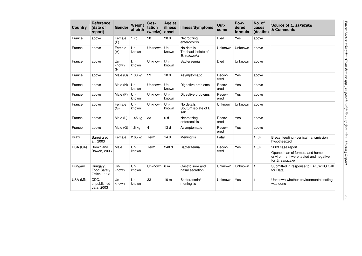| <b>Country</b> | <b>Reference</b><br>(date of<br>report)        | Gender              | Weight<br>at birth | Ges-<br>tation<br>(weeks) | Age at<br>illness<br>onset | <b>Illness/Symptoms</b>                           | Out-<br>come   | Pow-<br>dered<br>formula | No. of<br>cases<br>(deaths) | Source of E. sakazakii<br>& Comments                                                       |
|----------------|------------------------------------------------|---------------------|--------------------|---------------------------|----------------------------|---------------------------------------------------|----------------|--------------------------|-----------------------------|--------------------------------------------------------------------------------------------|
| France         | above                                          | Female<br>(F)       | $1$ kg             | 28                        | 28 d                       | Necrotizing<br>enterocolitis                      | Died           | Yes                      | above                       |                                                                                            |
| France         | above                                          | Female<br>(A)       | $Un-$<br>known     | Unknown                   | Un-<br>known               | No details<br>Trachael isolate of<br>E. sakazakii | Unknown        | Unknown                  | above                       |                                                                                            |
| France         | above                                          | Un-<br>known<br>(R) | Un-<br>known       | <b>Unknown</b>            | $Un -$<br>known            | Bacteraemia                                       | Died           | Unknown                  | above                       |                                                                                            |
| France         | above                                          | Male $(C)$          | 1.38 kg            | 29                        | 18 <sub>d</sub>            | Asymptomatic                                      | Recov-<br>ered | Yes                      | above                       |                                                                                            |
| France         | above                                          | Male (N)            | Un-<br>known       | Unknown                   | Un-<br>known               | Digestive problems                                | Recov-<br>ered | Yes                      | above                       |                                                                                            |
| France         | above                                          | Male (P)            | Un-<br>known       | Unknown                   | $Un-$<br>known             | Digestive problems                                | Recov-<br>ered | Yes                      | above                       |                                                                                            |
| France         | above                                          | Female<br>(G)       | Un-<br>known       | Unknown                   | Un-<br>known               | No details<br>Sputum isolate of E<br>sak          | Unknown        | Unknown                  | above                       |                                                                                            |
| France         | above                                          | Male $(L)$          | 1.45 kg            | 33                        | 6 d                        | Necrotizing<br>enterocolitis                      | Recov-<br>ered | Yes                      | above                       |                                                                                            |
| France         | above                                          | Male $(Q)$          | 1.6 kg             | 41                        | 13d                        | Asymptomatic                                      | Recov-<br>ered | Yes                      | above                       |                                                                                            |
| <b>Brazil</b>  | Barreira et<br>al., 2003                       | Female              | 2.65 kg            | Term                      | 14 <sub>d</sub>            | Meningitis                                        | Fatal          |                          | 1(0)                        | Breast feeding - vertical transmission<br>hypothesized                                     |
| USA (CA)       | Brown and                                      | Male                | Un-                | Term                      | 240 d                      | Bacteraemia                                       | Recov-         | Yes                      | 1(0)                        | 2003 case report                                                                           |
|                | Bowen, 2006                                    |                     | known              |                           |                            |                                                   | ered           |                          |                             | Opened can of formula and home<br>environment were tested and negative<br>for E. sakazakii |
| Hungary        | Hungary,<br><b>Food Safety</b><br>Office, 2003 | Un-<br>known        | Un-<br>known       | <b>Unknown</b>            | 6 <sub>m</sub>             | Gastric sore and<br>nasal secretion               | Unknown        | Unknown                  | 1                           | Submitted in response to FAO/WHO Call<br>for Data                                          |
| USA (MN)       | CDC.<br>unpublished<br>data, 2003              | $Un -$<br>known     | Un-<br>known       | 33                        | 10 <sub>m</sub>            | Bacteraemia/<br>meningitis                        | Unknown        | Yes                      | 1                           | Unknown whether environmental testing<br>was done                                          |

73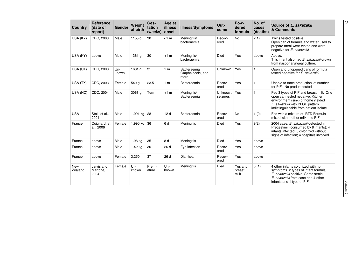| <b>Country</b>        | <b>Reference</b><br>(date of<br>report) | Gender       | Weight<br>at birth | Ges-<br>tation<br>(weeks) | Age at<br>illness<br>onset | <b>Illness/Symptoms</b>                 | Out-<br>come         | Pow-<br>dered<br>formula  | No. of<br>cases<br>(deaths) | Source of E. sakazakii<br>& Comments                                                                                                                                                            |
|-----------------------|-----------------------------------------|--------------|--------------------|---------------------------|----------------------------|-----------------------------------------|----------------------|---------------------------|-----------------------------|-------------------------------------------------------------------------------------------------------------------------------------------------------------------------------------------------|
| USA (KY)              | CDC, 2003                               | Male         | 1155 g             | 30                        | $<1$ m                     | Meningitis/<br>bacteraemia              | Recov-<br>ered       | <b>No</b>                 | 2(1)                        | Twins tested positive.<br>Open can of formula and water used to<br>prepare meal were tested and were<br>negative for E. sakazakii                                                               |
| USA (KY)              | above                                   | Male         | 1361 g             | 30                        | $<1$ m                     | Meningitis/<br>bacteraemia              | Died                 | Yes                       | above                       | Above.<br>This infant also had E. sakazakii grown<br>from nasopharyngeal culture.                                                                                                               |
| USA (UT)              | CDC, 2003                               | Un-<br>known | 1681 g             | 31                        | 1 <sub>m</sub>             | Bacteraemia<br>Omphalocele, and<br>more | Unknown              | Yes                       | $\mathbf{1}$                | Open and unopened cans of formula<br>tested negative for E. sakazakii                                                                                                                           |
| USA (TX)              | CDC, 2003                               | Female       | 540 g              | 23.5                      | 1 <sub>m</sub>             | Bacteraemia                             | Recov-<br>ered       | Yes                       | $\mathbf{1}$                | Unable to trace production lot number<br>for PIF. No product tested                                                                                                                             |
| USA (NC)              | CDC, 2004                               | Male         | 3068 g             | Term                      | $<1$ m                     | Meningitis/<br>Bacteraemia              | Unknown,<br>seizures | Yes                       | $\mathbf{1}$                | Fed 3 types of PIF and breast milk. One<br>open can tested negative. Kitchen<br>environment (sink) of home yielded<br>E. sakazakii with PFGE pattern<br>indistinguishable from patient isolate. |
| <b>USA</b>            | Stoll, et al.,<br>2004                  | Male         | 1.091 kg           | 28                        | 12d                        | Bacteraemia                             | Recov-<br>ered       | <b>No</b>                 | 1(0)                        | Fed with a mixture of RTD Formula<br>mixed with mother milk - no PIF                                                                                                                            |
| France                | Coignard, et<br>al., 2006               | Female       | 1.995 kg $ 36 $    |                           | 6 d                        | Meningitis                              | Died                 | Yes                       | 9(2)                        | 2004 case. E .sakazakii detected in<br>Pregestimil (consumed by 8 infants); 4<br>infants infected, 5 colonized without<br>signs of infection; 4 hospitals involved.                             |
| France                | above                                   | Male         | 1.98 kg            | 35                        | 8 d                        | Meningitis                              | Died                 | Yes                       | above                       |                                                                                                                                                                                                 |
| France                | above                                   | Male         | 1.42 kg            | 30                        | 26 d                       | Eye infection                           | Recov-<br>ered       | Yes                       | above                       |                                                                                                                                                                                                 |
| France                | above                                   | Female       | 3.250              | 37                        | 26 d                       | Diarrhea                                | Recov-<br>ered       | Yes                       | above                       |                                                                                                                                                                                                 |
| <b>New</b><br>Zealand | Jarvis and<br>Martone,<br>2004          | Female       | Un-<br>known       | Prem-<br>ature            | Un-<br>known               | Meningitis                              | Died                 | Yes and<br>breast<br>milk | 5(1)                        | 4 other infants colonized with no<br>symptoms. 2 types of infant formula<br>E. sakazakii positive. Same strain<br>E. sakazakij from case and 4 other<br>infants and 1 type of PIF.              |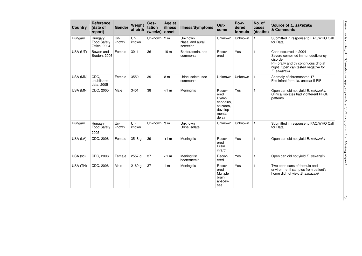| Country  | <b>Reference</b><br>(date of<br>report)       | Gender         | Weight<br>at birth | Ges-<br>tation<br>(weeks) | Age at<br>illness<br>onset | <b>Illness/Symptoms</b>                        | Out-<br>come                                                                      | Pow-<br>dered<br>formula | No. of<br>cases<br>(deaths) | Source of E. sakazakii<br>& Comments                                                                                                                                 |
|----------|-----------------------------------------------|----------------|--------------------|---------------------------|----------------------------|------------------------------------------------|-----------------------------------------------------------------------------------|--------------------------|-----------------------------|----------------------------------------------------------------------------------------------------------------------------------------------------------------------|
| Hungary  | Hungary<br><b>Food Safety</b><br>Office, 2004 | Un-<br>known   | $Un-$<br>known     | Unknown $2m$              |                            | <b>Unknown</b><br>Nasal and aural<br>secretion | Unknown                                                                           | Unknown                  | $\mathbf{1}$                | Submitted in response to FAO/WHO Call<br>for Data                                                                                                                    |
| USA (UT) | Bowen and<br>Braden, 2006                     | Female         | 3011               | 36                        | 10 <sub>m</sub>            | Bacteraemia, see<br>comments                   | Recov-<br>ered                                                                    | Yes                      | $\mathbf{1}$                | Case occurred in 2004<br>Severe combined immunodeficiency<br>disorder<br>PIF orally and by continuous drip at<br>night. Open can tested negative for<br>E. sakazakii |
| USA (MN) | CDC.<br>upublished<br>data, 2005              | Female         | 3550               | 39                        | 8 <sub>m</sub>             | Urine isolate, see<br>comments                 | Unknown                                                                           | Unknown                  | $\mathbf{1}$                | Anomaly of chromosome 17<br>Fed infant formula, unclear if PIF                                                                                                       |
| USA (MN) | CDC, 2005                                     | Male           | 3401               | 38                        | $<1$ m                     | Meningitis                                     | Recov-<br>ered<br>Hydro-<br>cephalus,<br>seizures,<br>develop-<br>mental<br>delay | Yes                      | $\mathbf{1}$                | Open can did not yield E. sakazakii.<br>Clinical isolates had 2 different PFGE<br>patterns.                                                                          |
| Hungary  | Hungary<br><b>Food Safety</b><br>2005         | $Un-$<br>known | Un-<br>known       | Unknown $3m$              |                            | Unknown<br>Urine isolate                       | Unknown                                                                           | Unknown                  | 1                           | Submitted in response to FAO/WHO Call<br>for Data                                                                                                                    |
| USA (LA) | CDC, 2006                                     | Female         | 3518 g             | 39                        | $<1$ m                     | Meningitis                                     | Recov-<br>ered<br><b>Brain</b><br>infarct                                         | Yes                      | $\mathbf{1}$                | Open can did not yield E. sakazakii                                                                                                                                  |
| USA (sc) | CDC, 2006                                     | Female         | 2557 <sub>g</sub>  | 37                        | $<1$ m                     | Meningitis/<br>bacteraemia                     | Recov-<br>ered                                                                    | Yes                      | $\mathbf{1}$                | Open can did not yield E. sakazakii                                                                                                                                  |
| USA (TN) | CDC, 2006                                     | Male           | 2160 g             | 37                        | 1 <sub>m</sub>             | Meningitis                                     | Recov-<br>ered<br>Multiple<br>brain<br>absces-<br>ses                             | Yes                      | $\mathbf{1}$                | Two open cans of formula and<br>environmentl samples from patient's<br>home did not yield E. sakazakii                                                               |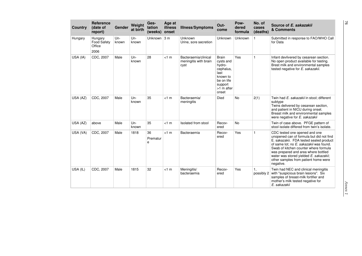| Country  | <b>Reference</b><br>(date of<br>report)         | Gender       | Weight<br>at birth | Ges-<br>tation<br>(weeks) | Age at<br>illness<br>onset | <b>Illness/Symptoms</b>                               | Out-<br>come                                                                                                         | Pow-<br>dered<br>formula | No. of<br>cases<br>(deaths) | Source of E. sakazakii<br>& Comments                                                                                                                                                                                                                                                                                                           |
|----------|-------------------------------------------------|--------------|--------------------|---------------------------|----------------------------|-------------------------------------------------------|----------------------------------------------------------------------------------------------------------------------|--------------------------|-----------------------------|------------------------------------------------------------------------------------------------------------------------------------------------------------------------------------------------------------------------------------------------------------------------------------------------------------------------------------------------|
| Hungary  | Hungary<br><b>Food Safety</b><br>Office<br>2006 | Un-<br>known | Un-<br>known       | Unknown $3m$              |                            | Unknown<br>Urine, sore secretion                      | Unknown                                                                                                              | Unknown                  | 1                           | Submitted in response to FAO/WHO Call<br>for Data                                                                                                                                                                                                                                                                                              |
| USA (IA) | CDC, 2007                                       | Male         | Un-<br>known       | 28                        | $<1$ m                     | Bacteraemia/clinical<br>meningitis with brain<br>cyst | <b>Brain</b><br>cysts and<br>hydro-<br>cephalus,<br>last<br>known to<br>be on life<br>support<br>>1 m after<br>onset | Yes                      | $\mathbf{1}$                | Infant devlivered by cesarean section.<br>No open product available for testing.<br>Brest milk and environmental samples<br>tested negative for E. sakazakii.                                                                                                                                                                                  |
| USA (AZ) | CDC, 2007                                       | Male         | $Un-$<br>known     | 35                        | $<1$ m                     | Bacteraemia/<br>meningitis                            | Died                                                                                                                 | <b>No</b>                | 2(1)                        | Twin had E. sakazakii in stool; different<br>subtype<br>Twins delivered by cesarean section,<br>and patient in NICU during onset.<br>Breast milk and environmental samples<br>were negative for E. sakazakii                                                                                                                                   |
| USA (AZ) | above                                           | Male         | $Un-$<br>known     | 35                        | $<1$ m                     | Isolated from stool                                   | Recov-<br>ered                                                                                                       | <b>No</b>                |                             | Twin of case above. PFGE pattern of<br>stool isolate differed from twin's isolate.                                                                                                                                                                                                                                                             |
| USA (VA) | CDC, 2007                                       | Male         | 1818               | 36<br>Prematur<br>e       | $<1$ m                     | Bacteraemia                                           | Recov-<br>ered                                                                                                       | Yes                      | 1                           | CDC tested one opened and one<br>unopened can of formula but did not find<br>E. sakazakii. FDA tested sealed product<br>of same lot; no E. sakazakii was found.<br>Swab of kitchen counter where formula<br>was prepared and area where bottled<br>water was stored yielded E. sakazakii;<br>other samples from patient home were<br>negative. |
| USA (IL) | CDC, 2007                                       | Male         | 1815               | 32                        | $<1$ m                     | Meningitis/<br>bacteraemia                            | Recov-<br>ered                                                                                                       | Yes                      | 1,<br>possibly 2            | Twin had NEC and clinical meningitis<br>with "suspicious brain lesions". Six<br>samples of breast-milk fortifier and<br>mother's milk tested negative for<br>E. sakazakii                                                                                                                                                                      |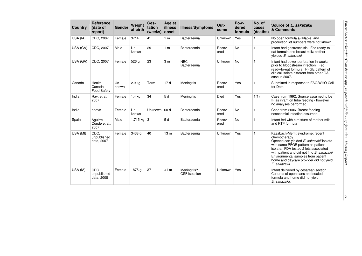| <b>Country</b> | <b>Reference</b><br>(date of<br>report) | Gender       | Weight<br>at birth | Ges-<br>tation<br>(weeks) | Age at<br>illness<br>onset | <b>Illness/Symptoms</b>      | Out-<br>come   | Pow-<br>dered<br>formula | No. of<br>cases<br>(deaths) | Source of E. sakazakii<br>& Comments                                                                                                                                                                                                                                                                                      |
|----------------|-----------------------------------------|--------------|--------------------|---------------------------|----------------------------|------------------------------|----------------|--------------------------|-----------------------------|---------------------------------------------------------------------------------------------------------------------------------------------------------------------------------------------------------------------------------------------------------------------------------------------------------------------------|
| USA (IA)       | CDC, 2007                               | Female       | 3714               | 41                        | 1 <sub>m</sub>             | Bacteraemia                  | Unknown        | Yes                      | $\mathbf{1}$                | No open formula available, and<br>production lot numbers were not known.                                                                                                                                                                                                                                                  |
| USA (GA)       | CDC, 2007                               | Male         | Un-<br>known       | 29                        | 1 <sub>m</sub>             | Bacteraemia                  | Recov-<br>ered | <b>No</b>                | $\mathbf{1}$                | Infant had gastroschisis. Fed ready-to-<br>eat formula and breast milk; neither<br>vielded E. sakazakii                                                                                                                                                                                                                   |
| USA (GA)       | CDC, 2007                               | Female       | 526 g              | 23                        | 3 <sub>m</sub>             | <b>NEC</b><br>Bacteraemia    | Unknown        | <b>No</b>                | 1                           | Infant had bowel perforation in weeks<br>prior to bloodstream infection. Fed<br>ready-to-eat formula. PFGE pattern of<br>clinical isolate different from other GA<br>case in 2007.                                                                                                                                        |
| Canada         | Health<br>Canada<br><b>Food Safety</b>  | Un-<br>known | 2.9 kg             | Term                      | 17d                        | Meningitis                   | Recov-<br>ered | Yes                      | 1                           | Submitted in response to FAO/WHO Call<br>for Data                                                                                                                                                                                                                                                                         |
| India          | Ray, et al.<br>2007                     | Female       | 1.4 kg             | 34                        | 5 d                        | Meningitis                   | Died           | Yes                      | 1(1)                        | Case from 1992; Source assumed to be<br>IF as infant on tube feeding - however<br>no analyses performed                                                                                                                                                                                                                   |
| India          | above                                   | Female       | Un-<br>known       | Unknown                   | 60 d                       | Bacteraemia                  | Recov-<br>ered | <b>No</b>                | $\mathbf{1}$                | Case from 2006. Breast feeding -<br>nosocomial infection assumed.                                                                                                                                                                                                                                                         |
| Spain          | Aquirre<br>Conde et al.,<br>2007        | Male         | 1.715 kg           | 31                        | 5 d                        | Bacteraemia                  | Recov-<br>ered | <b>No</b>                | 1                           | Infant fed with a mixture of mother milk<br>and RTF formula                                                                                                                                                                                                                                                               |
| USA (MI)       | CDC.<br>unpublished<br>data, 2007       | Female       | 3438 g             | 40                        | 13 <sub>m</sub>            | Bacteraemia                  | Unknown        | Yes                      | $\mathbf{1}$                | Kasabach-Merrit syndrome; recent<br>chemotherapy<br>Opened can yielded E. sakazakii isolate<br>with same PFGE pattern as patient<br>isolate. FDA tested 2 lots associated<br>with patient and did not find E. sakazakii.<br>Environmental samples from patient<br>home and daycare provider did not yield<br>E. sakazakii |
| USA (IA)       | <b>CDC</b><br>unpublished<br>data, 2008 | Female       | 1875 g             | 37                        | $<1$ m                     | Meningitis?<br>CSF isolation | Unknown        | Yes                      | 1                           | Infant delivered by cesarean section.<br>Cultures of open cans and sealed<br>formula and home did not yield<br>E. sakazakii.                                                                                                                                                                                              |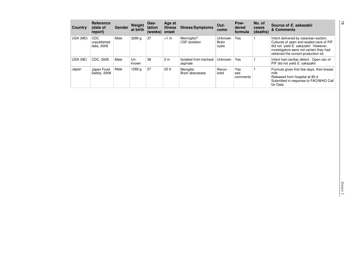| <b>Country</b> | Reference<br>(date of<br>report)        | Gender | Weight<br>at birth | Ges-<br>tation<br>(weeks) | Age at<br><b>illness</b><br>onset | <b>Illness/Symptoms</b>             | Out-<br>come                     | Pow-<br>dered<br>formula | No. of<br>cases<br>(deaths) | Source of E. sakazakii<br>& Comments                                                                                                                                                                        |
|----------------|-----------------------------------------|--------|--------------------|---------------------------|-----------------------------------|-------------------------------------|----------------------------------|--------------------------|-----------------------------|-------------------------------------------------------------------------------------------------------------------------------------------------------------------------------------------------------------|
| USA (MD)       | <b>CDC</b><br>unpublished<br>data, 2008 | Male   | 3289 g             | 37                        | $<1$ m                            | Meningitis?<br>CSF isolation        | Unknown<br><b>Brain</b><br>cysts | Yes                      |                             | Infant delivered by cesarean section.<br>Cultures of open and sealed cans of PIF<br>did not yield E. sakazakii. However,<br>investigators were not certain they had<br>obtained the correct production lot. |
| USA (NE)       | CDC, 2008                               | Male   | $Un-$<br>known     | 38                        | 2 <sub>m</sub>                    | Isolated from tracheal<br>aspirate  | <b>Unknown</b>                   | Yes                      |                             | Infant had cardiac defect. Open can of<br>PIF did not yield E. sakazakii.                                                                                                                                   |
| Japan          | Japan Food<br>Safety, 2008              | Male   | 1269 a             | 27                        | 22d                               | <b>Menigitis</b><br>Brain abscesses | Recov-<br>ered                   | Yes<br>see<br>comments   |                             | Formula given first few days, then breast<br>milk<br>Released from hospital at 85 d<br>Submitted in response to FAO/WHO Call<br>for Data                                                                    |

78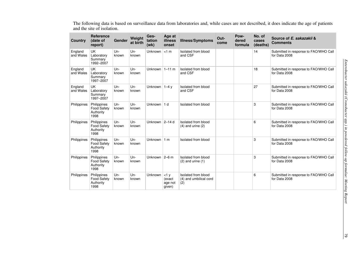The following data is based on surveillance data from laboratories and, while cases are not described, it does indicate the age of patients and the site of isolation.

| <b>Country</b>       | <b>Reference</b><br>(date of<br>report)                | Gender          | Weight<br>at birth | Ges-<br>tation<br>(wk) | Age at<br>illness<br>onset            | <b>Illness/Symptoms</b>                              | Out-<br>come | Pow-<br>dered<br>formula | No. of<br>cases<br>(deaths) | Source of E. sakazakii &<br><b>Comments</b>            |
|----------------------|--------------------------------------------------------|-----------------|--------------------|------------------------|---------------------------------------|------------------------------------------------------|--------------|--------------------------|-----------------------------|--------------------------------------------------------|
| England<br>and Wales | <b>UK</b><br>Laboratory<br>Summary<br>1992-2007        | Un-<br>known    | Un-<br>known       | <b>Unknown</b>         | $<1$ m                                | Isolated from blood<br>and CSF                       |              |                          | 14                          | Submitted in response to FAO/WHO Call<br>for Data 2008 |
| England<br>and Wales | <b>UK</b><br>Laboratory<br>Summary<br>1997-2007        | Un-<br>known    | Un-<br>known       | Unknown                | $1 - 11$ m                            | Isolated from blood<br>and CSF                       |              |                          | 18                          | Submitted in response to FAO/WHO Call<br>for Data 2008 |
| England<br>and Wales | <b>UK</b><br>Laboratory<br>Summary<br>1997-2007        | $Un -$<br>known | Un-<br>known       | Unknown                | $1-4v$                                | Isolated from blood<br>and CSF                       |              |                          | 27                          | Submitted in response to FAO/WHO Call<br>for Data 2008 |
| Philippines          | Philippines<br><b>Food Safety</b><br>Authority<br>1998 | $Un-$<br>known  | $Un -$<br>known    | <b>Unknown</b>         | 1d                                    | Isolated from blood                                  |              |                          | 3                           | Submitted in response to FAO/WHO Call<br>for Data 2008 |
| Philippines          | Philippines<br><b>Food Safety</b><br>Authority<br>1998 | Un-<br>known    | Un-<br>known       | Unknown                | $2-14d$                               | Isolated from blood<br>$(4)$ and urine $(2)$         |              |                          | 6                           | Submitted in response to FAO/WHO Call<br>for Data 2008 |
| Philippines          | Philippines<br>Food Safety<br>Authority<br>1998        | Un-<br>known    | Un-<br>known       | <b>Unknown</b>         | 1 <sub>m</sub>                        | Isolated from blood                                  |              |                          | 3                           | Submitted in response to FAO/WHO Call<br>for Data 2008 |
| Philippines          | Philippines<br>Food Safety<br>Authority<br>1998        | $Un-$<br>known  | Un-<br>known       | Unknown $ 2-6$ m       |                                       | Isolated from blood<br>$(2)$ and urine $(1)$         |              |                          | 3                           | Submitted in response to FAO/WHO Call<br>for Data 2008 |
| Philippines          | Philippines<br><b>Food Safety</b><br>Authority<br>1998 | Un-<br>known    | Un-<br>known       | Unknown                | $<1$ y<br>(exact<br>age not<br>given) | Isolated from blood<br>(4) and umbilical cord<br>(2) |              |                          | 6                           | Submitted in response to FAO/WHO Call<br>for Data 2008 |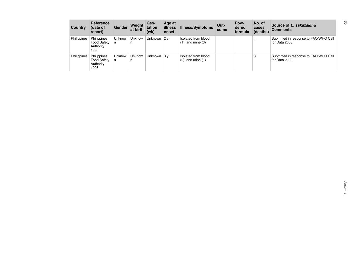| Country     | Reference<br>(date of<br>report)                | Gender      | Weight<br>at birth | Ges-<br>tation<br>(wk) | Age at<br>illness<br>onset | <b>Illness/Symptoms</b>                      | Out-<br>come | Pow-<br>dered<br>formula | No. of<br>cases<br>(deaths) | Source of E. sakazakij &<br><b>Comments</b>            |
|-------------|-------------------------------------------------|-------------|--------------------|------------------------|----------------------------|----------------------------------------------|--------------|--------------------------|-----------------------------|--------------------------------------------------------|
| Philippines | Philippines<br>Food Safety<br>Authority<br>1998 | Unknow<br>n | Unknow<br>n        | Unknown $ 2$ y         |                            | Isolated from blood<br>and urine (3)<br>(1)  |              |                          | 4                           | Submitted in response to FAO/WHO Call<br>for Data 2008 |
| Philippines | Philippines<br>Food Safety<br>Authority<br>1998 | Unknow<br>n | Unknow<br>n        | Unknown $ 3$ v         |                            | Isolated from blood<br>$(2)$ and urine $(1)$ |              |                          | 3                           | Submitted in response to FAO/WHO Call<br>for Data 2008 |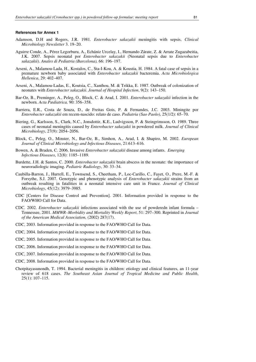#### **References for Annex 1**

- Adamson, D.H and Rogers, J.R. 1981. *Enterobacter sakazakii* meningitis with sepsis, *Clinical Microbiology Newsletter* 3. 19–20.
- Aguirre Conde, A., Pérez Legorburu, A., Echániz Urcelay, I., Hernando Zárate, Z. & Arrate Zugazabeitia, J.K. 2007. Sepsis neonatal por *Enterobacter sakazakii* (Neonatal sepsis due to *Enterobacter sakazakii*). *Anales di Pediatria (Barcelona),* 66: 196–197.
- Arseni, A., Malamou-Lada, H., Kostalos, C., Sta-I-Kou, A. & Koustia, H. 1984. A fatal case of sepsis in a premature newborn baby associated with *Enterobacter sakazakii* bacteremia. *Acta Microbiologica Hellenica*, 29: 402–407.
- Arseni, A., Malamou-Ladas, E., Koutsia, C., Xanthou, M. & Trikka, E. 1987. Outbreak of colonization of neonates with *Enterobacter sakazakii*. *Journal of Hospital Infection*, 9(2): 143–150.
- Bar-Oz, B., Preminger, A., Peleg, O., Block, C. & Arad, I. 2001. *Enterobacter sakazakii* infection in the newborn. *Acta Pædiatrica,* 90: 356–358.
- Barriera, E.R., Costa de Souza, D., de Freitas Gois, P. & Fernandes, J.C. 2003. Miningite por *Enterobacter sakazakii* em recem-nascido: relato de caso. *Pediatria (Sao Paolo)*, 25(1/2): 65–70.
- Biering, G., Karlsson, S., Clark, N.C., Jonsdottir, K.E., Ludvigsson, P. & Steingrimsson, O. 1989. Three cases of neonatal meningitis caused by *Enterobacter sakazakii* in powdered milk. *Journal of Clinical Microbiology*, 27(9): 2054–2056.
- Block, C., Peleg, O., Minster, N., Bar-Oz, B., Simhon, A., Arad, I. & Shapiro, M. 2002. *European Journal of Clinical Microbiology and Infectious Diseases*, 21:613–616.
- Bowen, A. & Braden, C. 2006. Invasive *Enterobacter sakazakii* disease among infants. *Emerging Infectious Diseases*, 12(8): 1185–1189.
- Burdette, J.H. & Santos, C. 2000. *Enterobacter sakazakii* brain abscess in the neonate: the importance of neuroradiologic imaging. *Pediatric Radiology*, 30: 33–34.
- Caubilla-Barron, J., Hurrell, E., Townsend, S., Cheetham, P., Loc-Carillo, C., Fayet, O., Prere, M.-F. & Forsythe, S.J. 2007. Genotypic and phenotypic analysis of *Enterobacter sakazakii* strains from an outbreak resulting in fatalities in a neonatal intensive care unit in France. *Journal of Clinical Microbiology*, 45(12): 3979–3985.
- CDC [Centers for Disease Control and Prevention]. 2001. Information provided in response to the FAO/WHO Call for Data.
- CDC. 2002. *Enterobacter sakazakii* infections associated with the use of powderedn infant formula Tennessee, 2001. *MMWR–Morbidity and Mortality Weekly Report*, 51: 297–300. Reprinted in *Journal of the American Medical Association,* (2002) 287(17).
- CDC, 2003. Information provided in response to the FAO/WHO Call for Data.
- CDC, 2004. Information provided in response to the FAO/WHO Call for Data.
- CDC, 2005. Information provided in response to the FAO/WHO Call for Data.
- CDC, 2006. Information provided in response to the FAO/WHO Call for Data.
- CDC, 2007. Information provided in response to the FAO/WHO Call for Data.
- CDC, 2008. Information provided in response to the FAO/WHO Call for Data.
- Chotpitayasunondh, T. 1994. Bacterial meningitis in children: etiology and clinical features, an 11-year review of 618 cases. *The Southeast Asian Journal of Tropical Medicine and Public Health*, 25(1): 107–115.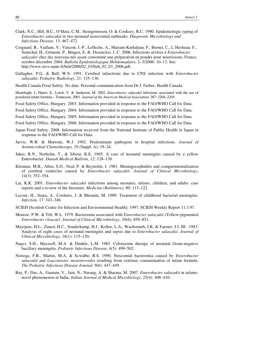- Clark, N.C., Hill, B.C., O'Hara, C.M., Steingrimsson, O. & Cooksey, R.C. 1990. Epidemiologic typing of *Enterobacter sakazakii* in two neonatal nosocomial outbreaks. *Diagnostic Microbiology and Infectious Disease,* 13: 467–472.
- Coignard, B., Vaillant, V., Vincent, J.-P., Lefleche, A., Mariani-Kurkdjian, P., Bernet, C., L'Heriteau, F., Senechal, H., Grimont, P., Bingen, E. &. Desenclos, J.-C. 2006. Infections sévéres é *Enterobacter sakazakii* chez des nouveau-nés ayant consommé une préparation en poudre pour nourrissons, France, octobre-décembre 2004. *Bulletin Epidemiologique Hebdomadaire,* 2–3/2006: 10–13. See: http://www.invs.sante.fr/beh/2006/02\_03/beh\_02\_03\_2006.pdf.
- Gallagher, P.G. & Ball, W.S. 1991. Cerebral infarctions due to CNS infection with *Enterobacter sakazakii*. *Pediatric Radiology,* 21: 135–136.

Health Canada Food Safety. No date. Personal communication from Dr J. Farber, Health Canada.

Himelright, I., Harris, E., Lorch, V. & Anderson, M. 2002. *Enterobacter sakazakii* infections associated with the use of powdered infant formula – Tennessee, 2001. *Journal of the American Medical Association*, 287: 2204–2205.

- Food Safety Office, Hungary. 2003. Information provided in response to the FAO/WHO Call for Data.
- Food Safety Office, Hungary. 2004. Information provided in response to the FAO/WHO Call for Data.
- Food Safety Office, Hungary. 2005. Information provided in response to the FAO/WHO Call for Data.
- Food Safety Office, Hungary. 2006. Information provided in response to the FAO/WHO Call for Data.
- Japan Food Safety. 2008. Information received from the National Institute of Public Health in Japan in response to the FAO/WHO Call for Data.
- Jarvis, W.R. & Martone, W.J. 1992. Predominant pathogens in hospital infections. *Journal of Antimicrobial Chemotherapy,* 29 (Suppl. A): 19–24.
- Jøker, R.N., Norholm, T., & Siboni, K.E. 1965. A case of neonatal meningitis caused by a yellow Enterobacter. *Danish Medical Bulletin*, 12: 128–130.
- Kleiman, M.B., Allen, S.D., Neal, P. & Reynolds, J. 1981. Meningocephalitis and compartmentalization of cerebral ventricles caused by *Enterobacter sakazakii*. *Journal of Clinical Microbiology*, 14(3): 352–354.
- Lai, K.K. 2001. *Enterobacter sakazakii* infections among neonates, infants, children, and adults: case reports and a review of the literature. *Medicine (Baltimore),* 80: 113–122.
- Lecour, H., Seara, A., Cordeiro, J. & Miranda, M. 1989. Treatment of childhood bacterial meningitis. *Infection*, 17: 343–346.
- SCIEH [Scottish Centre for Infection and Environmental Health]. 1997. SCIEH Weekly Report 11.3.97.
- Monroe, P.W. & Tift, W.L. 1979. Bacteremia associated with *Enterobacter sakazakii* (Yellow-pigmented *Enterobacter cloacae*). *Journal of Clinical Microbiology*, 10(6): 850–851.
- Muytjens, H.L., Zanen, H.C., Sonderkamp, H.J., Kollee, L.A., Wachsmuth, I.K. & Farmer, J.J. III. 1983. Analysis of eight cases of neonatal meningitis and sepsis due to *Enterobacter sakazakii*. *Journal of Clinical Microbiology,* 18(1): 115–120.
- Naqvi, S.H., Maxwell, M.A. & Dunkle, L.M. 1985. Cefotaxime therapy of neonatal Gram-negative bacillary meningitis. *Pediatric Infectious Disease*, 4(5): 499–502.
- Noriega, F.R., Martin, M.A. & Scwalbe, R.S. 1990. Noscomial bacteremia caused by *Enterobacter sakazakii* and *Leuconostoc mesenteroides* resulting from extrinsic contamination of infant formula. *The Pediatric Infectious Disease Journal,* 9(6): 447–449.
- Ray, P., Das, A., Gautam, V., Jain, N., Narang, A. & Sharma, M. 2007. *Enterobacter sakazakii* in infants: novel phenomenon in India. *Indian Journal of Medical Microbiology*, 25(4): 408–410.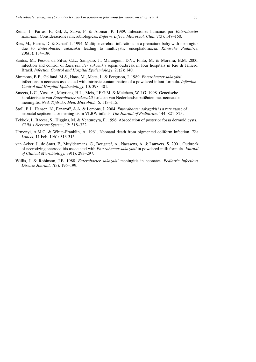- Reina, J., Parras, F., Gil, J., Salva, F. & Alomar, P. 1989. Infecciones humanas por *Enterobacter sakazakii*. Consideraciones microbiologicas. *Enferm. Infecc. Microbiol. Clin.*, 7(3): 147–150.
- Ries, M., Harms, D. & Scharf, J. 1994. Multiple cerebral infarctions in a premature baby with meningitis due to *Enterobacter sakazakii* leading to multicystic encephalomacia. *Klinische Padiatrie*, 206(3): 184–186.
- Santos, M., Pessoa da Silva, C.L., Sampaio, J., Marangoni, D.V., Pinto, M. & Moreira, B.M. 2000. infection and control of *Enterobacter sakazakii* sepsis outbreak in four hospitals in Rio di Janiero, Brazil. *Infection Control and Hospital Epidemiology*, 21(2): 140.
- Simmons, B.P., Gelfand, M.S., Haas, M., Metts, L. & Ferguson, J. 1989. *Enterobacter sakazakii*  infections in neonates associated with intrinsic contamination of a powdered infant formula. *Infection Control and Hospital Epidemiology*, 10: 398–401.
- Smeets, L.C., Voss, A., Muytjens, H.L., Meis, J.F.G.M. & Melchers, W.J.G. 1998. Genetische karakterisatie van *Enterobacter sakazakii*-isolaten van Nederlandse patiënten met neonatale meningitis. *Ned. Tijdschr. Med. Microbiol.*, 6: 113–115.
- Stoll, B.J., Hansen, N., Fanaroff, A.A. & Lemons, J. 2004. *Enterobacter sakazakii* is a rare cause of neonatal septicemia or meningitis in VLBW infants. *The Journal of Pediatrics*, 144: 821–823.
- Tekkok, I., Baeesa, S., Higgins, M. & Ventureyra, E. 1996. Abscedation of posterior fossa dermoid cysts. *Child's Nervous System*, 12: 318–322.
- Urmenyi, A.M.C. & White-Franklin, A. 1961. Neonatal death from pigmented coliform infection. *The Lancet*, 11 Feb. 1961: 313-315.
- van Acker, J., de Smet, F., Muyldermans, G., Bougatef, A., Naessens, A. & Lauwers, S. 2001. Outbreak of necrotizing enterocolitis associated with *Enterobacter sakazakii* in powdered milk formula. *Journal of Clinical Microbiology,* 39(1): 293–297.
- Willis, J. & Robinson, J.E. 1988. *Enterobacter sakazakii* meningitis in neonates. *Pediatric Infectious Disease Journal*, 7(3): 196–199.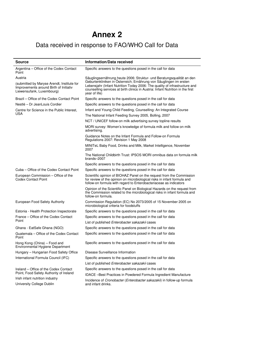# **Annex 2**

## Data received in response to FAO/WHO Call for Data

| <b>Source</b>                                                                                                     | Information/Data received                                                                                                                                                                                                                            |  |  |  |  |  |  |
|-------------------------------------------------------------------------------------------------------------------|------------------------------------------------------------------------------------------------------------------------------------------------------------------------------------------------------------------------------------------------------|--|--|--|--|--|--|
| Argentina – Office of the Codex Contact<br>Point                                                                  | Specific answers to the questions posed in the call for data                                                                                                                                                                                         |  |  |  |  |  |  |
| Austria                                                                                                           | Säuglingsernährung heute 2006: Struktur- und Beratungsqualität an den                                                                                                                                                                                |  |  |  |  |  |  |
| (submitted by Maryse Arendt, Institute for<br>Improvements around Birth of Initiativ<br>Liewensufank, Luxembourg) | Geburtenkliniken in Österreich; Ernährung von Säuglingen im ersten<br>Lebensjahr (Infant Nutrition Today 2006: The quality of infrastructure and<br>counselling services at birth clinics in Austria: Infant Nutrition in the first<br>year of life) |  |  |  |  |  |  |
| Brazil – Office of the Codex Contact Point                                                                        | Specific answers to the questions posed in the call for data                                                                                                                                                                                         |  |  |  |  |  |  |
| Nestlé - Dr JeanLouis Cordier                                                                                     | Specific answers to the questions posed in the call for data                                                                                                                                                                                         |  |  |  |  |  |  |
| Centre for Science in the Public Interest,                                                                        | Infant and Young Child Feeding, Counselling: An Integrated Course                                                                                                                                                                                    |  |  |  |  |  |  |
| <b>USA</b>                                                                                                        | The National Infant Feeding Survey 2005, Bolling, 2007                                                                                                                                                                                               |  |  |  |  |  |  |
|                                                                                                                   | NCT / UNICEF follow-on milk advertising survey topline results                                                                                                                                                                                       |  |  |  |  |  |  |
|                                                                                                                   | MORI survey: Women's knowledge of formula milk and follow on milk<br>advertising.                                                                                                                                                                    |  |  |  |  |  |  |
|                                                                                                                   | Guidance Notes on the Infant Formula and Follow-on Formula<br>Regulations 2007: Revision 1 May 2008                                                                                                                                                  |  |  |  |  |  |  |
|                                                                                                                   | MINITeL Baby Food, Drinks and Milk, Market Intelligence, November<br>2007                                                                                                                                                                            |  |  |  |  |  |  |
|                                                                                                                   | The National Childbirth Trust: IPSOS MORI omnibus data on formula milk<br>brands-2007                                                                                                                                                                |  |  |  |  |  |  |
|                                                                                                                   | Specific answers to the questions posed in the call for data                                                                                                                                                                                         |  |  |  |  |  |  |
| Cuba – Office of the Codex Contact Point                                                                          | Specific answers to the questions posed in the call for data                                                                                                                                                                                         |  |  |  |  |  |  |
| European Commission – Office of the<br><b>Codex Contact Point</b>                                                 | Scientific opinion of BIOHAZ Panel on the request from the Commission<br>for review of the opinion on microbiological risks in infant formula and<br>follow-on formula with regard to Enterobacteriaceae as indicators                               |  |  |  |  |  |  |
|                                                                                                                   | Opinion of the Scientific Panel on Biological Hazards on the request from<br>the Commission related to the microbiological risks in infant formula and<br>follow-on formula.                                                                         |  |  |  |  |  |  |
| European Food Safety Authority                                                                                    | Commission Regulation (EC) No 2073/2005 of 15 November 2005 on<br>microbiological criteria for foodstuffs                                                                                                                                            |  |  |  |  |  |  |
| Estonia - Health Protection Inspectorate                                                                          | Specific answers to the questions posed in the call for data                                                                                                                                                                                         |  |  |  |  |  |  |
| France – Office of the Codex Contact                                                                              | Specific answers to the questions posed in the call for data                                                                                                                                                                                         |  |  |  |  |  |  |
| Point                                                                                                             | List of published Enterobacter sakazakii cases                                                                                                                                                                                                       |  |  |  |  |  |  |
| Ghana - EatSafe Ghana (NGO)                                                                                       | Specific answers to the questions posed in the call for data                                                                                                                                                                                         |  |  |  |  |  |  |
| Guatemala – Office of the Codex Contact<br>Point                                                                  | Specific answers to the questions posed in the call for data                                                                                                                                                                                         |  |  |  |  |  |  |
| Hong Kong (China) – Food and<br><b>Environmental Hygiene Department</b>                                           | Specific answers to the questions posed in the call for data                                                                                                                                                                                         |  |  |  |  |  |  |
| Hungary - Hungarian Food Safety Office                                                                            | Disease Surveillance Information                                                                                                                                                                                                                     |  |  |  |  |  |  |
| International Formula Council (IFC)                                                                               | Specific answers to the questions posed in the call for data                                                                                                                                                                                         |  |  |  |  |  |  |
|                                                                                                                   | List of published Enterobacter sakazakii cases                                                                                                                                                                                                       |  |  |  |  |  |  |
| Ireland – Office of the Codex Contact                                                                             | Specific answers to the questions posed in the call for data                                                                                                                                                                                         |  |  |  |  |  |  |
| Point, Food Safety Authority of Ireland                                                                           | IDACE -Best Practices in Powdered Formula Ingredient Manufacture                                                                                                                                                                                     |  |  |  |  |  |  |
| Irish infant nutrition industry<br>University College Dublin                                                      | Incidence of Cronobacter (Enterobacter sakazakii) in follow-up formula<br>and infant drinks.                                                                                                                                                         |  |  |  |  |  |  |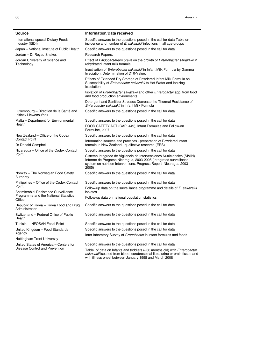| Source                                                                | <b>Information/Data received</b>                                                                                                                                                                                            |  |  |  |  |  |
|-----------------------------------------------------------------------|-----------------------------------------------------------------------------------------------------------------------------------------------------------------------------------------------------------------------------|--|--|--|--|--|
| International special Dietary Foods<br>Industry (ISDI)                | Specific answers to the questions posed in the call for data Table on<br>incidence and number of E. sakazakii infections in all age groups                                                                                  |  |  |  |  |  |
| Japan - National Institute of Public Health                           | Specific answers to the questions posed in the call for data                                                                                                                                                                |  |  |  |  |  |
| Jordan - Dr Reyad Shaker,                                             | Research Papers:                                                                                                                                                                                                            |  |  |  |  |  |
| Jordan University of Science and<br>Technology                        | Effect of Bifidobacterium breve on the growth of Enterobacter sakazakii in<br>rehydrated infant milk formula.                                                                                                               |  |  |  |  |  |
|                                                                       | Inactivation of <i>Enterobacter sakazakii</i> in Infant Milk Formula by Gamma<br>Irradiation: Determination of D10-Value.                                                                                                   |  |  |  |  |  |
|                                                                       | Effects of Extended Dry Storage of Powdered Infant Milk Formula on<br>Susceptibility of Enterobacter sakazakii to Hot Water and lonizing<br>Irradiation                                                                     |  |  |  |  |  |
|                                                                       | Isolation of <i>Enterobacter sakazakii</i> and other <i>Enterobacter</i> spp. from food<br>and food production environments                                                                                                 |  |  |  |  |  |
|                                                                       | Detergent and Sanitizer Stresses Decrease the Thermal Resistance of<br>Enterobacter sakazakii in Infant Milk Formula                                                                                                        |  |  |  |  |  |
| Luxembourg – Direction de la Santé and<br>Initiativ Liewensufank      | Specific answers to the questions posed in the call for data                                                                                                                                                                |  |  |  |  |  |
| Malta - Department for Environmental                                  | Specific answers to the questions posed in the call for data                                                                                                                                                                |  |  |  |  |  |
| Health                                                                | FOOD SAFETY ACT (CAP. 449), Infant Formulae and Follow-on<br>Formulae, 2007                                                                                                                                                 |  |  |  |  |  |
| New Zealand – Office of the Codex                                     | Specific answers to the questions posed in the call for data                                                                                                                                                                |  |  |  |  |  |
| <b>Contact Point</b><br>Dr Donald Campbell                            | Information sources and practices - preparation of Powdered infant<br>formula in New Zealand - qualitative research (ERS)                                                                                                   |  |  |  |  |  |
| Nicaragua - Office of the Codex Contact                               | Specific answers to the questions posed in the call for data                                                                                                                                                                |  |  |  |  |  |
| Point                                                                 | Sistema Integrado de Vigilancia de Intervenciones Nutricionales (SIVIN)<br>Informe de Progreso Nicaragua, 2003-2005 (Integrated surveillance<br>system on nutrition Interventions: Progress Report Nicaragua 2003-<br>2005) |  |  |  |  |  |
| Norway - The Norwegian Food Safety<br>Authority                       | Specific answers to the questions posed in the call for data                                                                                                                                                                |  |  |  |  |  |
| Philippines - Office of the Codex Contact                             | Specific answers to the questions posed in the call for data                                                                                                                                                                |  |  |  |  |  |
| Point<br>Antimicrobial Resistance Surveillance                        | Follow-up data on the surveillance programme and details of E. sakazakii<br>isolates                                                                                                                                        |  |  |  |  |  |
| Programme and the National Statistics<br>Office                       | Follow-up data on national population statistics                                                                                                                                                                            |  |  |  |  |  |
| Republic of Korea - Korea Food and Drug<br>Administration             | Specific answers to the questions posed in the call for data                                                                                                                                                                |  |  |  |  |  |
| Switzerland - Federal Office of Public<br>Health                      | Specific answers to the questions posed in the call for data                                                                                                                                                                |  |  |  |  |  |
| Tunisia – INFOSAN Focal Point                                         | Specific answers to the questions posed in the call for data                                                                                                                                                                |  |  |  |  |  |
| United Kingdom - Food Standards                                       | Specific answers to the questions posed in the call for data                                                                                                                                                                |  |  |  |  |  |
| Agency                                                                | Inter-laboratory Survey of Cronobacter in infant formulas and foods                                                                                                                                                         |  |  |  |  |  |
| Nottingham Trent University<br>United States of America - Centers for | Specific answers to the questions posed in the call for data                                                                                                                                                                |  |  |  |  |  |
| Disease Control and Prevention                                        |                                                                                                                                                                                                                             |  |  |  |  |  |
|                                                                       | Table of data on Infants and toddlers (<36 months old) with <i>Enterobacter</i><br>sakazakii isolated from blood, cerebrospinal fluid, urine or brain tissue and                                                            |  |  |  |  |  |

with illness onset between January 1998 and March 2008

-